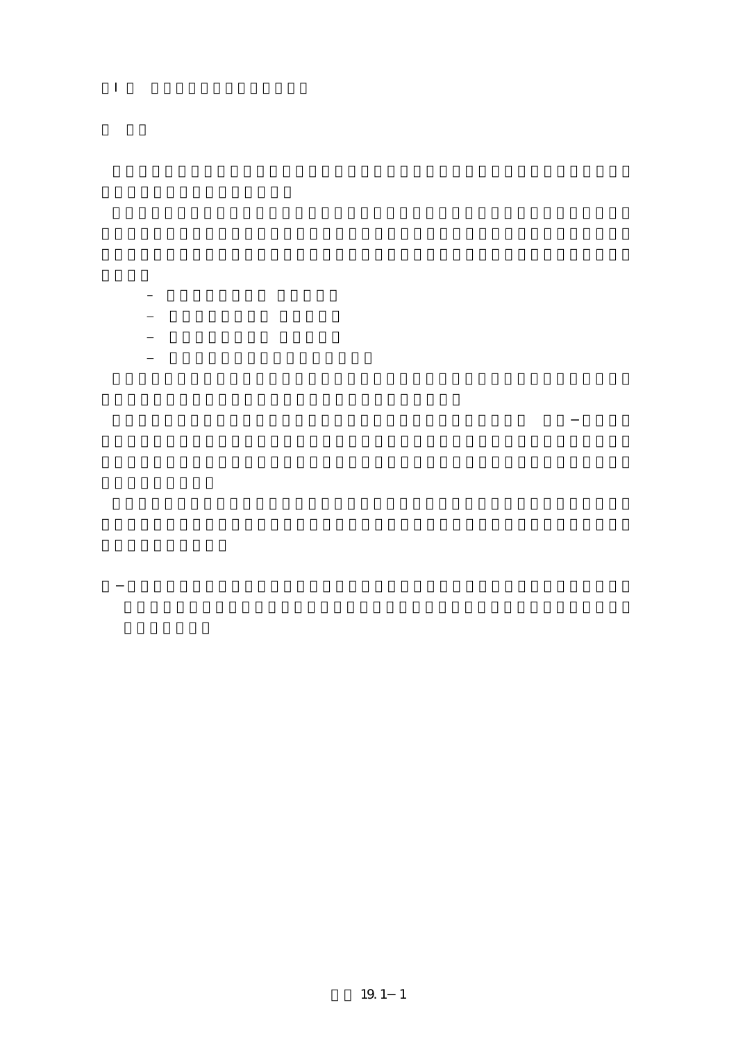– サービス交換機能 (SSF)  $-$  the contract of the contract of the contract of the contract of the contract of the contract of the contract of the contract of the contract of the contract of the contract of the contract of the contract of the contr  $-$  (SRF)  $\sim$  (SRF)  $\sim$  (SRF)  $\sim$  (SRF)  $\sim$  (SRF)  $\sim$  $-$  (customer  $\mathbb{R}^n$ ) and  $\mathbb{R}^n$  (customer  $\mathbb{R}^n$ ) and  $\mathbb{R}^n$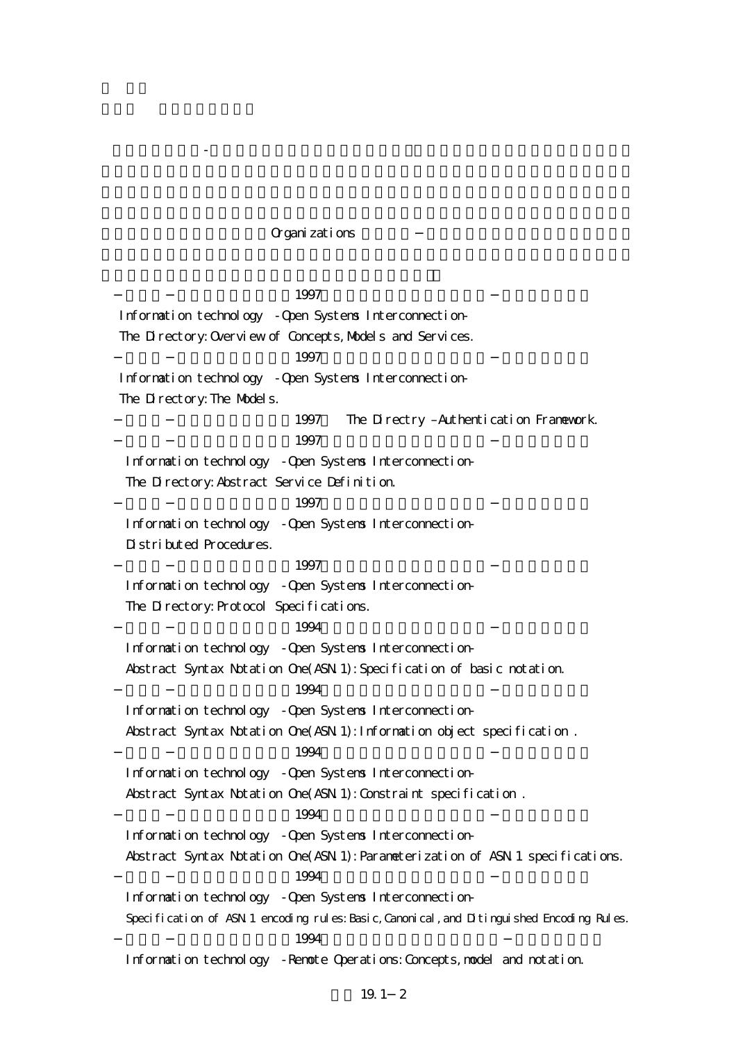Organizations

「以下のITU-T勧告および他のリファレンスは、本テキストから参照されることにより

## $1997$

 Information technology -Open Systems Interconnection- The Directory: Overview of Concepts, Models and Services.  $1997$  Information technology -Open Systems Interconnection- The Directory: The Models. 1997 The Directry –Authentication Framework.  $1997$  Information technology -Open Systems Interconnection- The Directory:Abstract Service Definition.  $1997$  Information technology -Open Systems Interconnection- Distributed Procedures.  $1997$  Information technology -Open Systems Interconnection- The Directory: Protocol Specifications.  $1994$  Information technology -Open Systems Interconnection- Abstract Syntax Notation One(ASN.1):Specification of basic notation.  $1994$  Information technology -Open Systems Interconnection- Abstract Syntax Notation One(ASN 1): Information object specification.  $1994$  Information technology -Open Systems Interconnection- Abstract Syntax Notation One(ASN 1): Constraint specification.  $1994$  Information technology -Open Systems Interconnection- Abstract Syntax Notation One(ASN 1): Parameterization of ASN 1 specifications.  $1994$  Information technology -Open Systems Interconnection- Specification of ASN.1 encoding rules: Basic, Canonical, and Ditinguished Encoding Rules.  $1994$ Information technology -Remote Operations:Concepts,model and notation.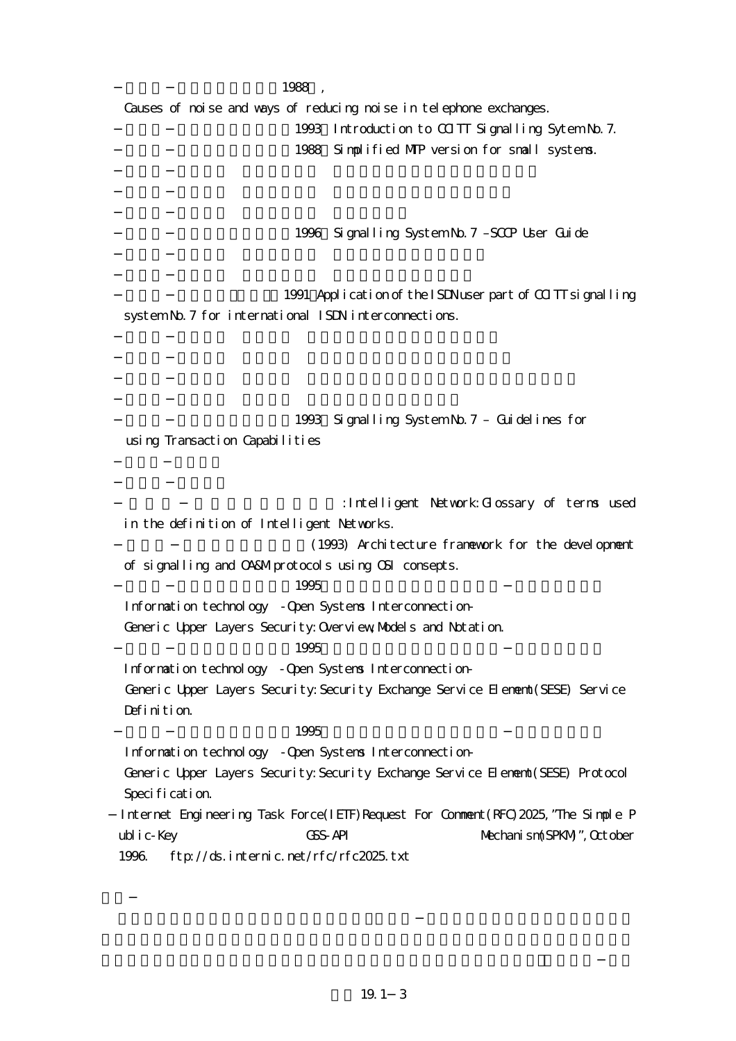1988, Causes of noise and ways of reducing noise in telephone exchanges. 1993 Introduction to CCITT Signalling Sytem No. 7. 1988 Simplified MTP version for small systems.

1996 Signalling System No. 7 – SCCP User Guide

1991 Application of the ISDN user part of  $CCTT$  signalling system No. 7 for international ISDN interconnections.

1993 Signalling System No.7 – Guidelines for using Transaction Capabilities

: Intelligent Network: Glossary of terms used in the definition of Intelligent Networks.

(1993) Architecture framework for the development of signalling and OA&M protocols using OSI consepts.

 $1995$ 

Information technology -Open Systems Interconnection-

Generic Upper Layers Security:Overview,Models and Notation.

 $1995$ 

Information technology -Open Systems Interconnection- Generic Upper Layers Security:Security Exchange Service Elememt(SESE) Service

# $1995$

Definition.

 Information technology -Open Systems Interconnection-Generic Upper Layers Security:Security Exchange Service Elememt(SESE) Protocol Specification. -Internet Engineering Task Force(IETF)Request For Comment(RFC)2025,"The Simple P ublic-Key GSS-API Mechanism(SPKM)", October 1996. ftp://ds.internic.net/rfc/rfc2025.txt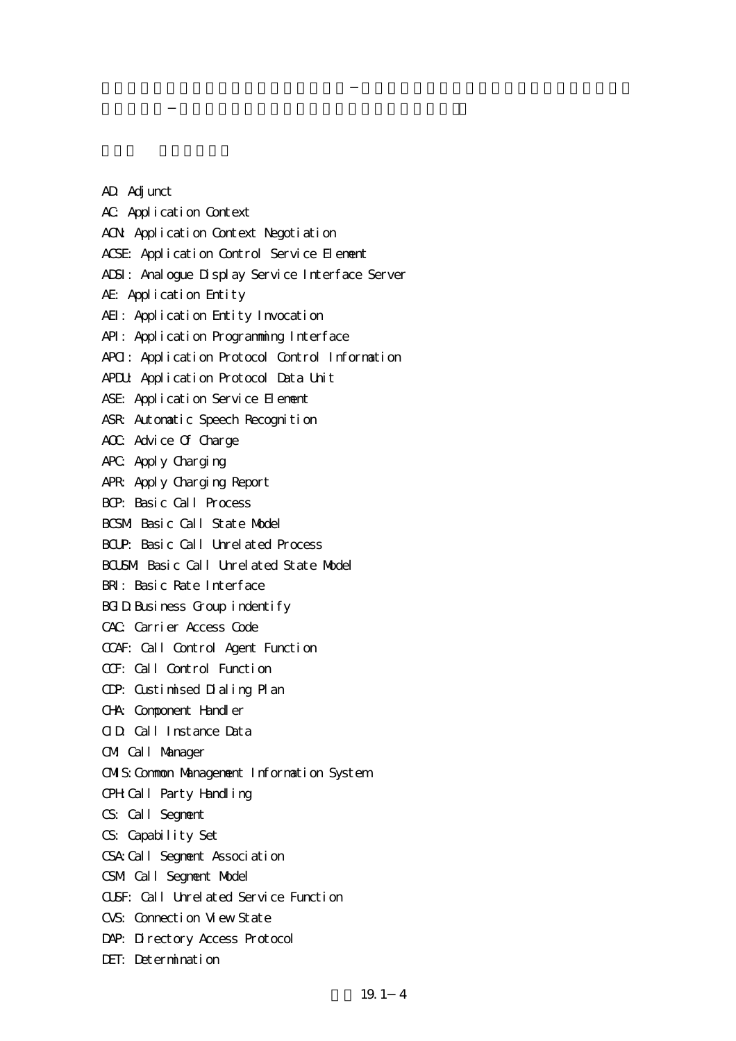AD: Adjunct AC: Application Context ACN: Application Context Negotiation ACSE: Application Control Service Element ADSI: Analogue Display Service Interface Server AE: Application Entity AEI: Application Entity Invocation API: Application Programming Interface APCI: Application Protocol Control Information APDU: Application Protocol Data Unit ASE: Application Service Element ASR: Automatic Speech Recognition AOC: Advice Of Charge APC: Apply Charging APR: Apply Charging Report BCP: Basic Call Process BCSM: Basic Call State Model BCUP: Basic Call Unrelated Process BCUSM: Basic Call Unrelated State Model BRI: Basic Rate Interface BGID: Business Group indentify CAC: Carrier Access Code CCAF: Call Control Agent Function CCF: Call Control Function CDP: Custimised Dialing Plan CHA: Component Handler CID: Call Instance Data CM: Call Manager CMIS:Common Management Information System CPH:Call Party Handling CS: Call Segment CS: Capability Set CSA:Call Segment Association CSM: Call Segment Model CUSF: Call Unrelated Service Function CVS: Connection View State DAP: Directory Access Protocol DET: Determination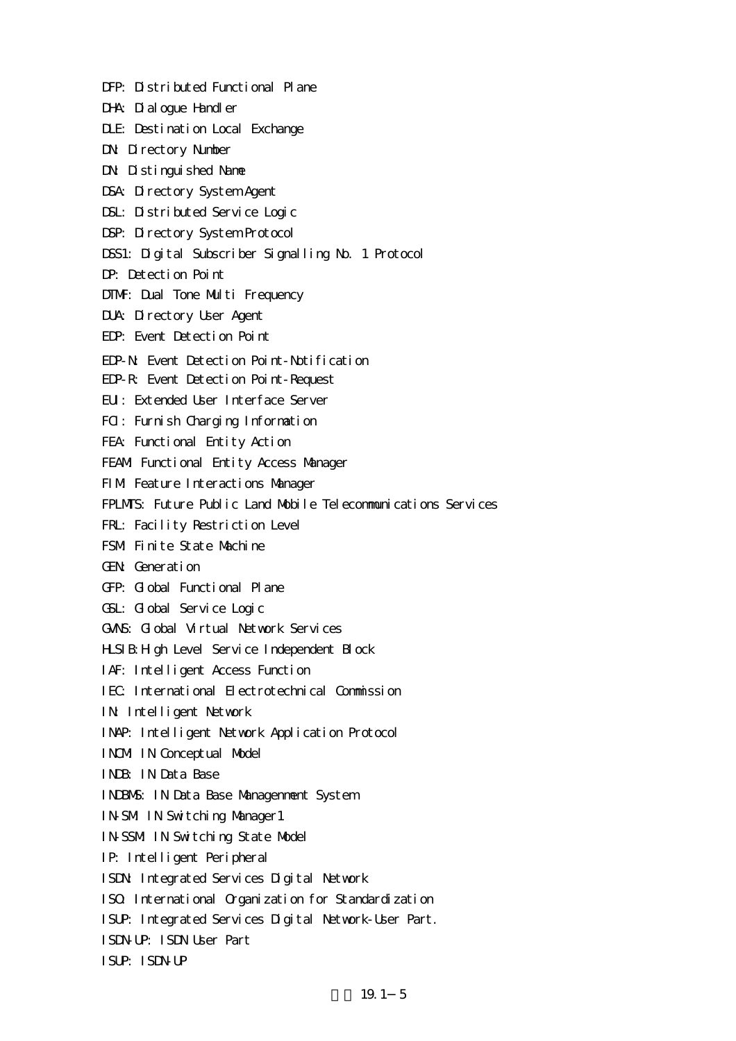DFP: Distributed Functional Plane DHA: Dialogue Handler DLE: Destination Local Exchange DN: Directory Number DN: Distinguished Name DSA: Directory System Agent DSL: Distributed Service Logic DSP: Directory System Protocol DSS1: Digital Subscriber Signalling No. 1 Protocol DP: Detection Point DTMF: Dual Tone Multi Frequency DUA: Directory User Agent EDP: Event Detection Point EDP-N: Event Detection Point-Notification EDP-R: Event Detection Point-Request EU: Extended User Interface Server FCI: Furnish Charging Information FEA: Functional Entity Action FEAM: Functional Entity Access Manager FIM: Feature Interactions Manager FPLMTS: Future Public Land Mobile Telecommunications Services FRL: Facility Restriction Level FSM: Finite State Machine GEN: Generation GFP: Global Functional Plane GSL: Global Service Logic GMS: Global Virtual Network Services HLSIB:High Level Service Independent Block IAF: Intelligent Access Function IEC: International Electrotechnical Commission IN: Intelligent Network INAP: Intelligent Network Application Protocol INCM: IN Conceptual Model INDB: IN Data Base INDBMS: IN Data Base Managenment System IN-SM: IN Switching Manager1 IN-SSM: IN Switching State Model IP: Intelligent Peripheral ISDN: Integrated Services Digital Network ISO: International Organization for Standardization ISUP: Integrated Services Digital Network-User Part. ISDN-UP: ISDN User Part ISUP: ISDN-UP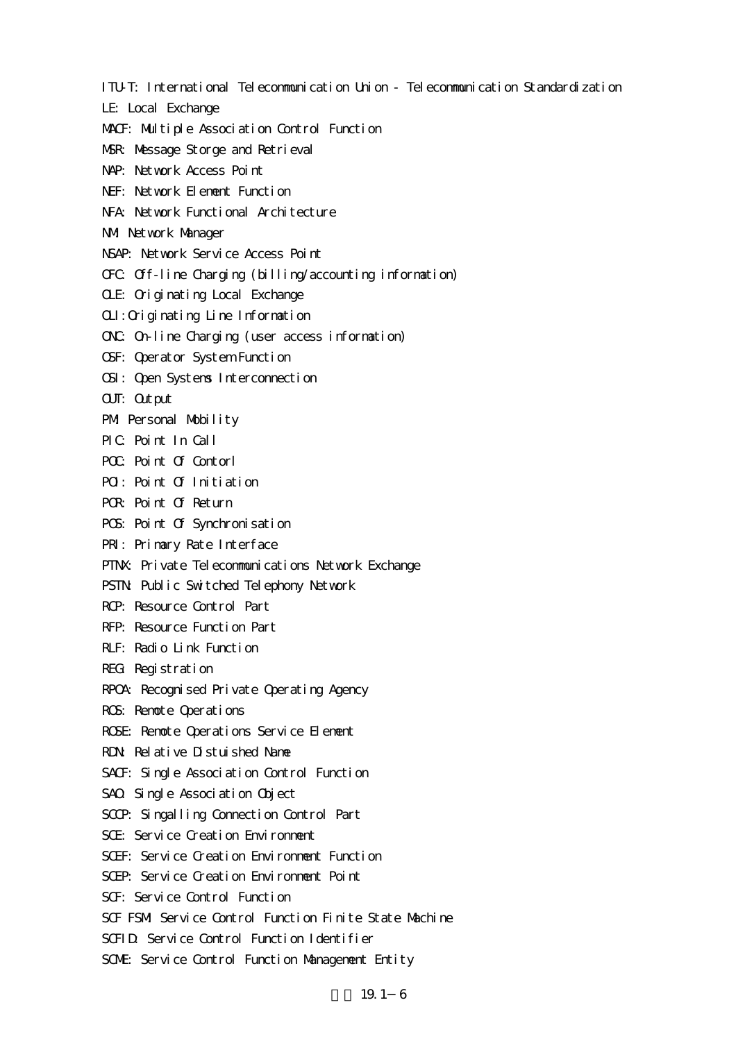- ITU-T: International Telecommunication Union Telecommunication Standardization
- LE: Local Exchange
- MACF: Multiple Association Control Function
- MSR: Message Storge and Retrieval
- NAP: Network Access Point
- NEF: Network Element Function
- NFA: Network Functional Architecture
- NM: Network Manager
- NSAP: Network Service Access Point
- OFC: Off-line Charging (billing/accounting information)
- OLE: Originating Local Exchange
- OLI:Originating Line Information
- ONC: On-line Charging (user access information)
- OSF: Operator System Function
- OSI: Open Systems Interconnection
- OUT: Output
- PM: Personal Mobility
- PIC: Point In Call
- POC: Point Of Contorl
- POI: Point Of Initiation
- POR: Point Of Return
- POS: Point Of Synchronisation
- PRI: Primary Rate Interface
- PTNX: Private Telecommunications Network Exchange
- PSTN: Public Switched Telephony Network
- RCP: Resource Control Part
- RFP: Resource Function Part
- RLF: Radio Link Function
- REG: Registration
- RPOA: Recognised Private Operating Agency
- ROS: Remote Operations
- ROSE: Remote Operations Service Element
- RDN: Relative Distuished Name
- SACF: Single Association Control Function
- SAO: Single Association Object
- SCCP: Singalling Connection Control Part
- SCE: Service Creation Environment
- SCEF: Service Creation Environment Function
- SCEP: Service Creation Environment Point
- SCF: Service Control Function
- SCF FSM: Service Control Function Finite State Machine
- SCFID: Service Control Function Identifier
- SCME: Service Control Function Management Entity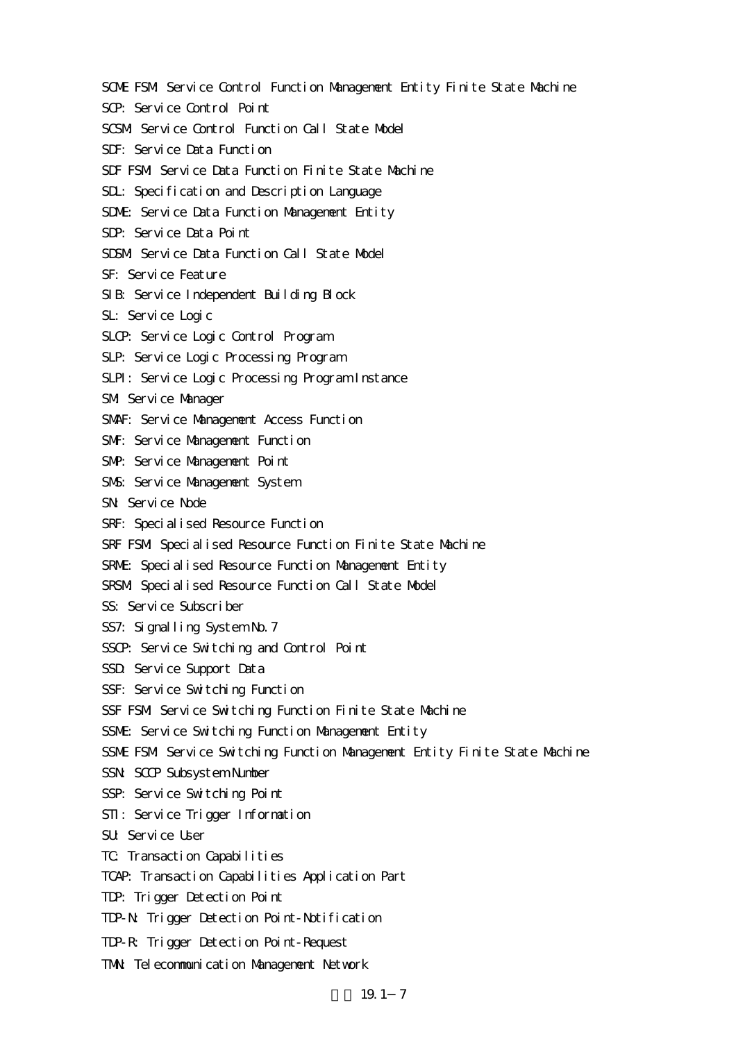SCME FSM: Service Control Function Management Entity Finite State Machine SCP: Service Control Point SCSM: Service Control Function Call State Model SDF: Service Data Function SDF FSM: Service Data Function Finite State Machine SDL: Specification and Description Language SDME: Service Data Function Management Entity SDP: Service Data Point SDSM: Service Data Function Call State Model SF: Service Feature SIB: Service Independent Building Block SL: Service Logic SLCP: Service Logic Control Program SLP: Service Logic Processing Program SLPI: Service Logic Processing Program Instance SM: Service Manager SMAF: Service Management Access Function SMF: Service Management Function SMP: Service Management Point SMS: Service Management System SN: Service Node SRF: Specialised Resource Function SRF FSM: Specialised Resource Function Finite State Machine SRME: Specialised Resource Function Management Entity SRSM: Specialised Resource Function Call State Model SS: Service Subscriber SS7: Signalling System No. 7 SSCP: Service Switching and Control Point SSD: Service Support Data SSF: Service Switching Function SSF FSM: Service Switching Function Finite State Machine SSME: Service Switching Function Management Entity SSME FSM: Service Switching Function Management Entity Finite State Machine SSN: SCCP Subsystem Number SSP: Service Switching Point STI: Service Trigger Information SU: Service User TC: Transaction Capabilities TCAP: Transaction Capabilities Application Part TDP: Trigger Detection Point TDP-N: Trigger Detection Point-Notification TDP-R: Trigger Detection Point-Request TMN: Telecommunication Management Network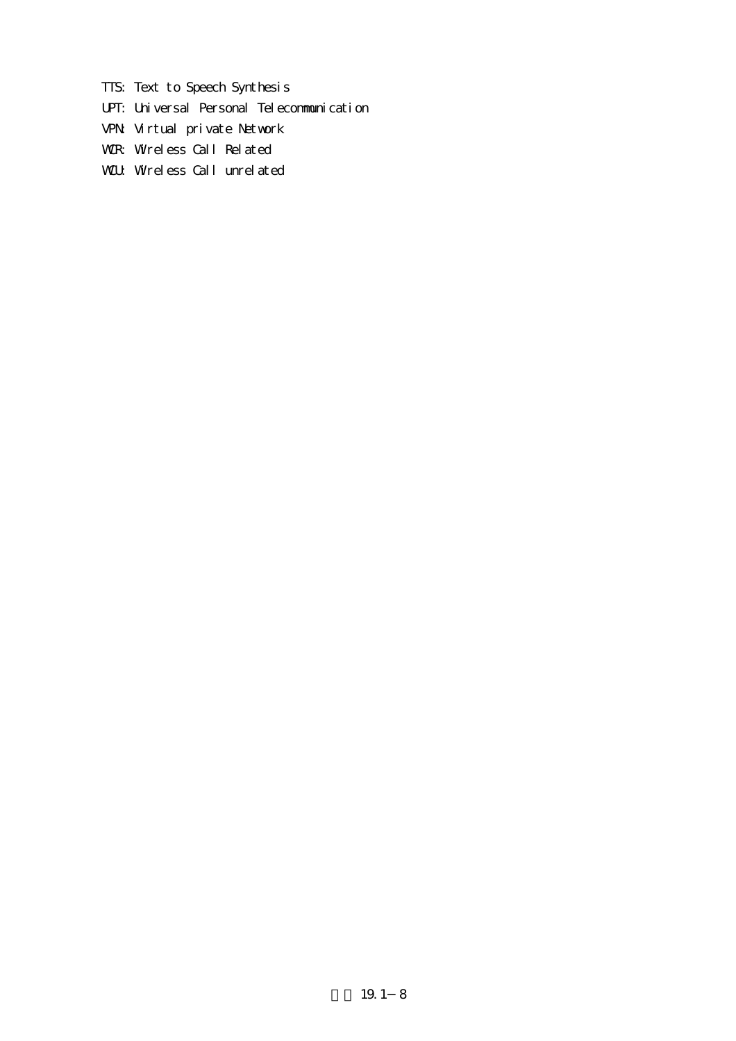- TTS: Text to Speech Synthesis
- UPT: Universal Personal Telecommunication
- VPN: Virtual private Network
- WCR: Wreless Call Related
- WCU: Wreless Call unrelated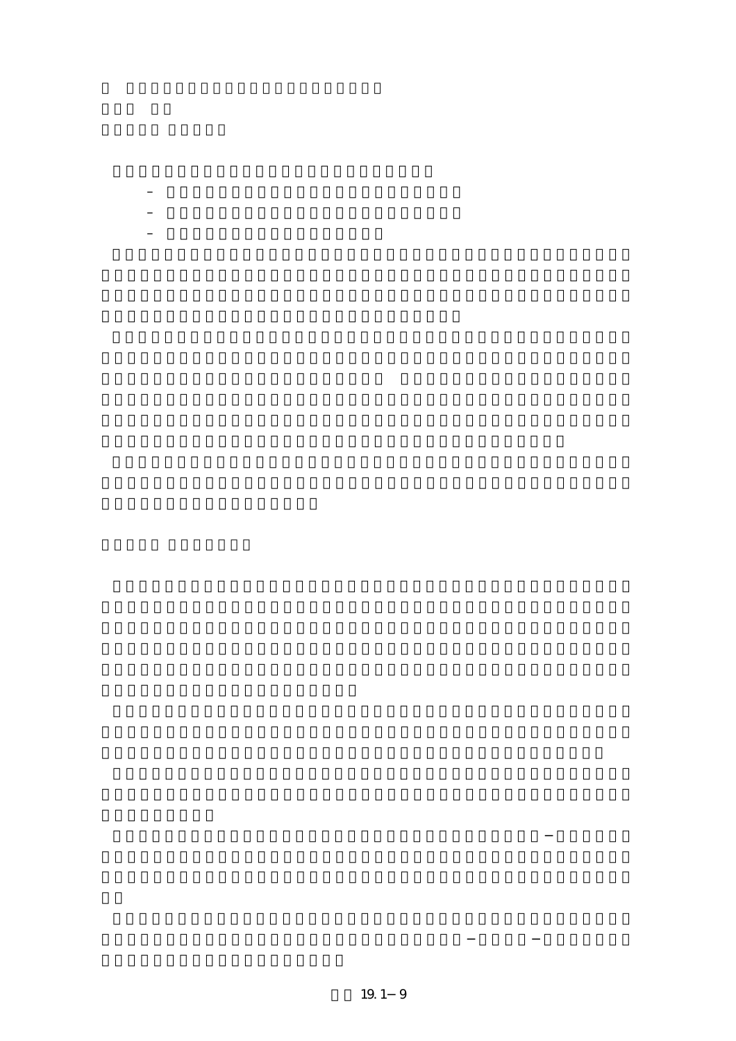技別 19.1-9

 – プロトコルのためのSACF/MACF規則の定義 – エンティティ間で転送されるオペレーションの定義

– 各エンティティで行われる動作の定義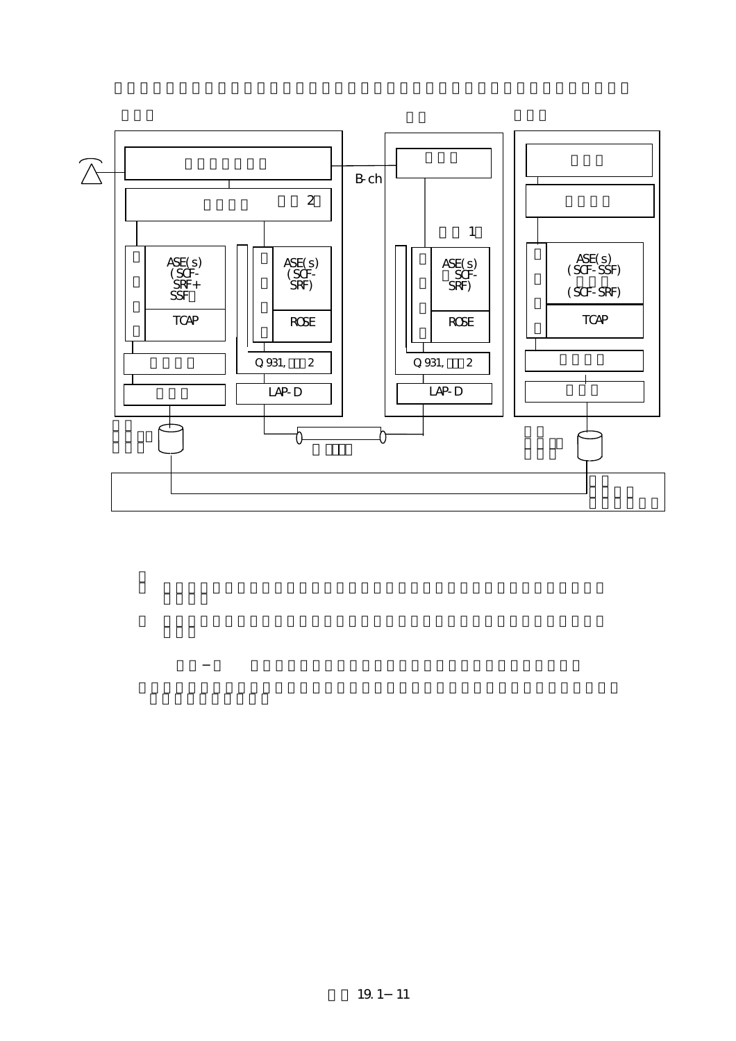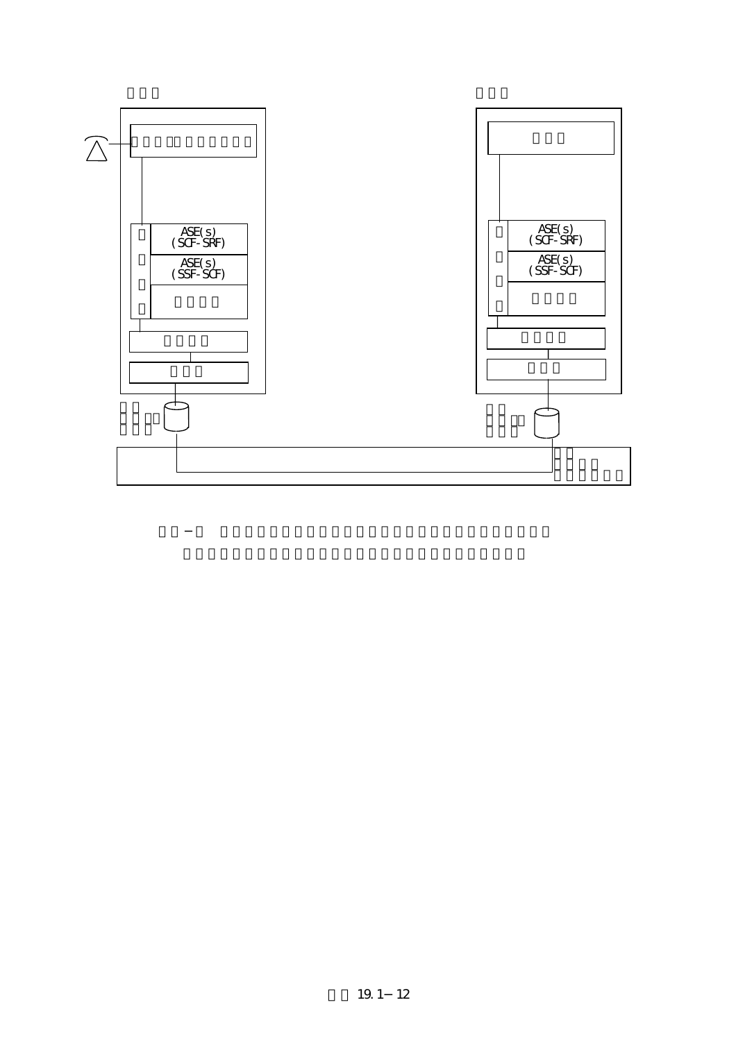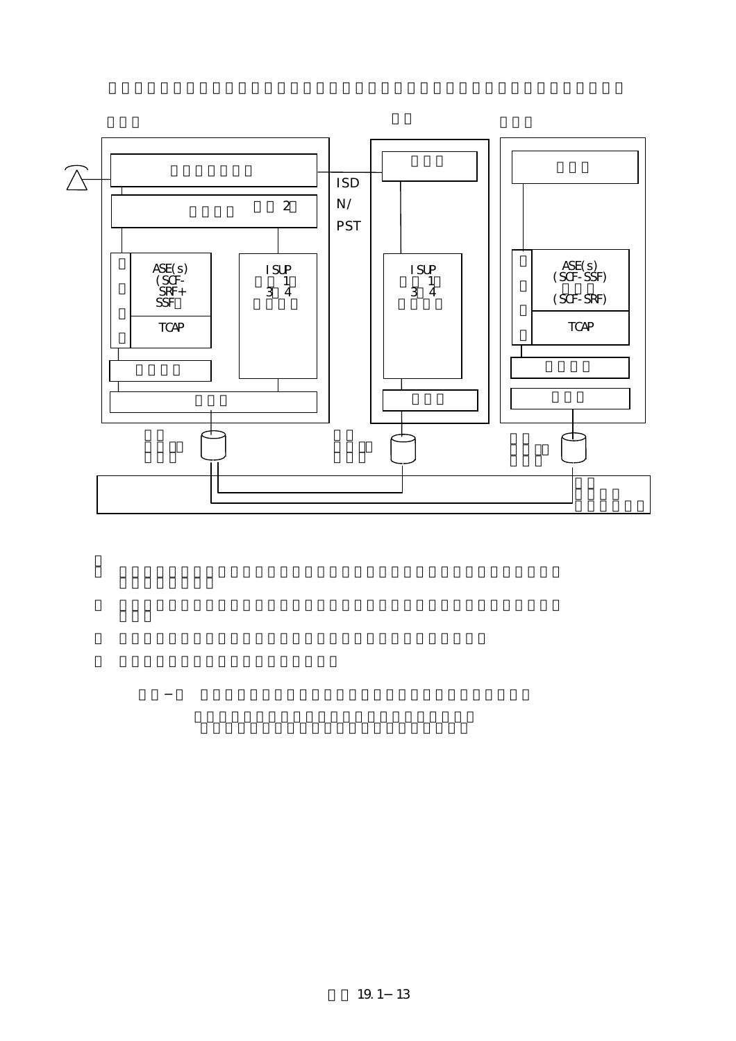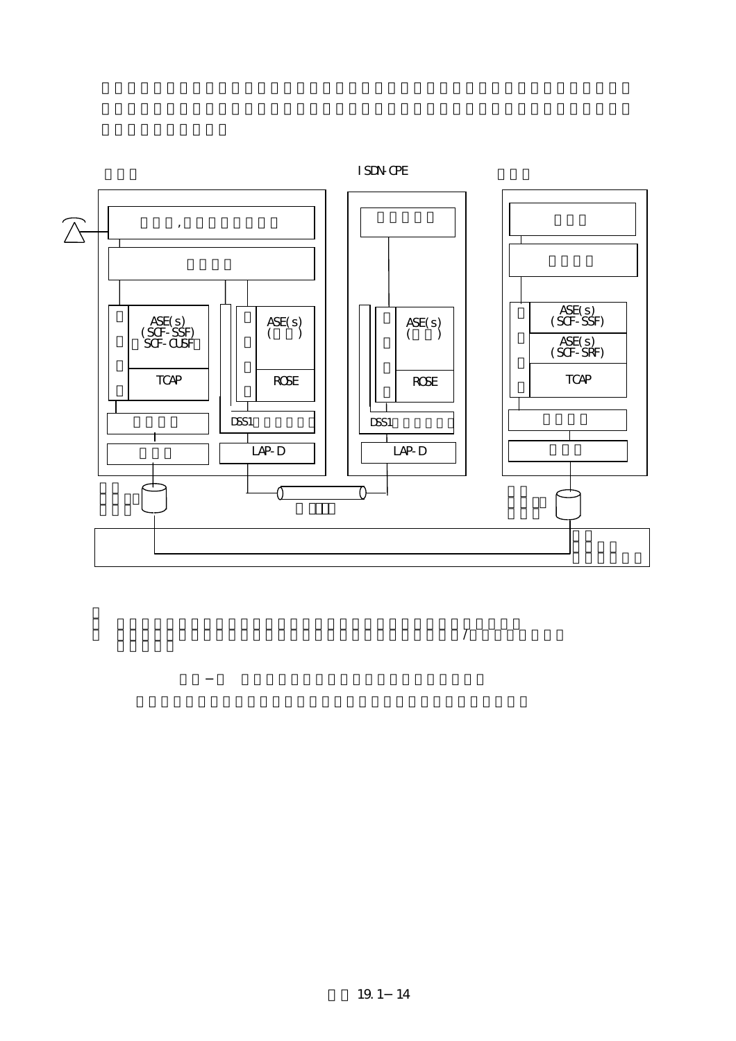



 $\mathcal{L}$  IP is the internal point in the internal point in the internal point in the internal point in the internal point in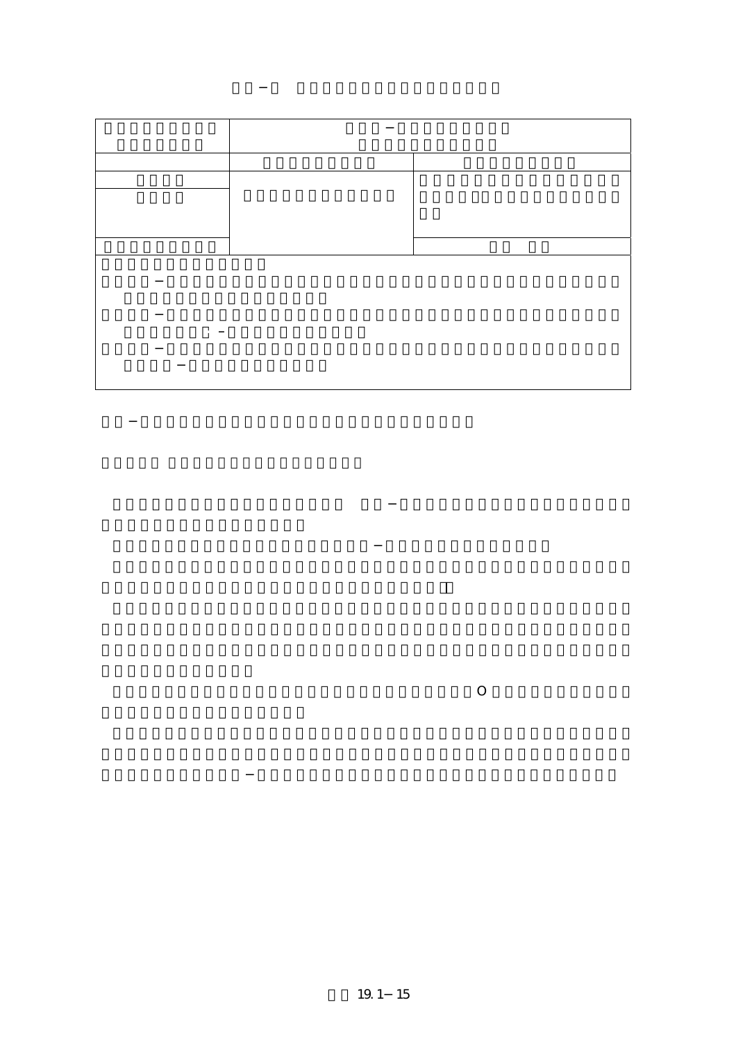$\overline{0}$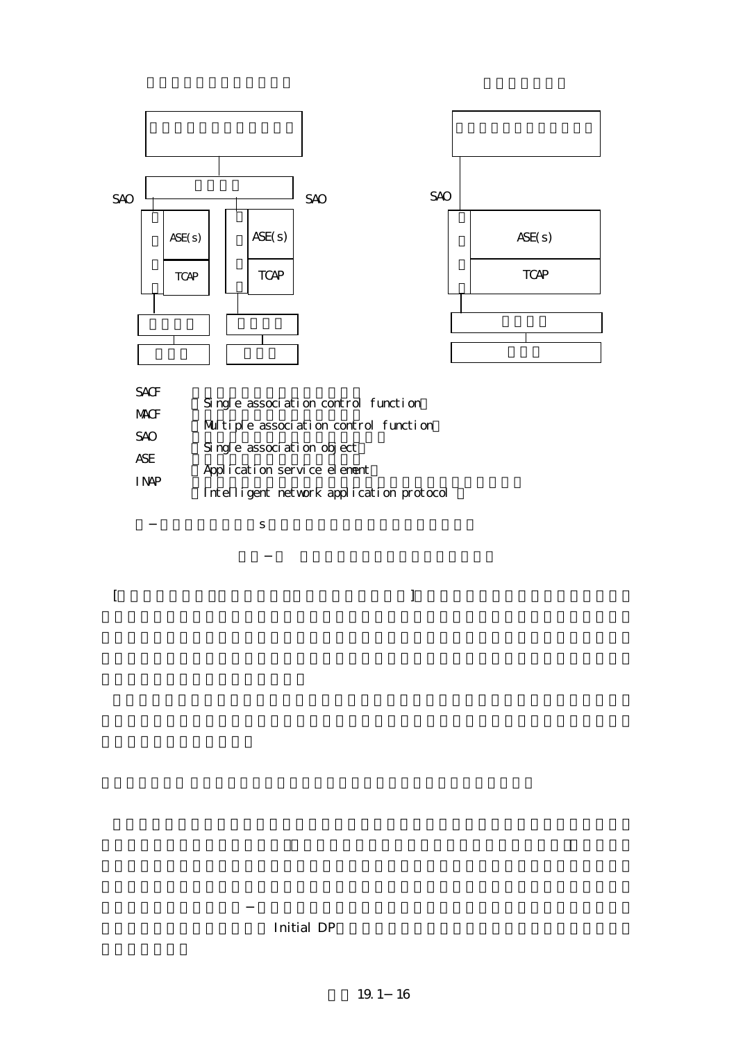

| <b>SACF</b> |                                          |  |  |  |
|-------------|------------------------------------------|--|--|--|
|             | Single association control function      |  |  |  |
| MACF        | Multiple association control function    |  |  |  |
| SAO         | Single association object                |  |  |  |
| ASE         |                                          |  |  |  |
| <b>TNAP</b> | Application service element              |  |  |  |
|             | Intelligent network application protocol |  |  |  |

 $S$ 

 $[$ 

Initial DP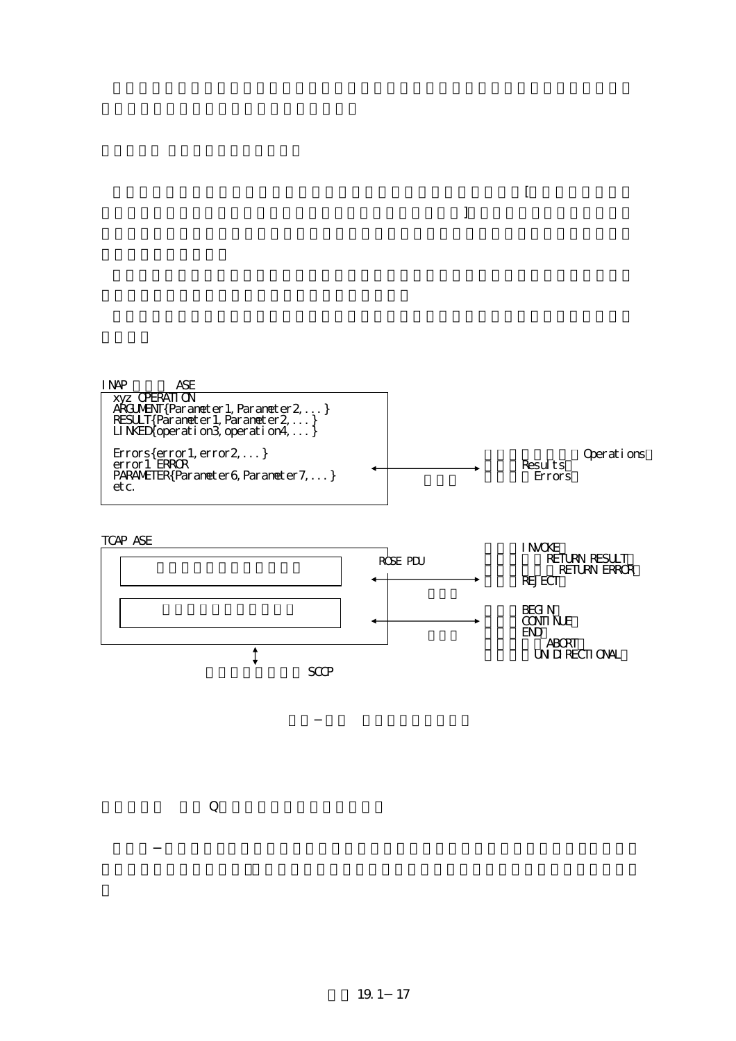

SCCPグローバルタイトルとMTPポイントコードアドレッシング[Q710シリーズ  $\int$ 



 $\overline{Q}$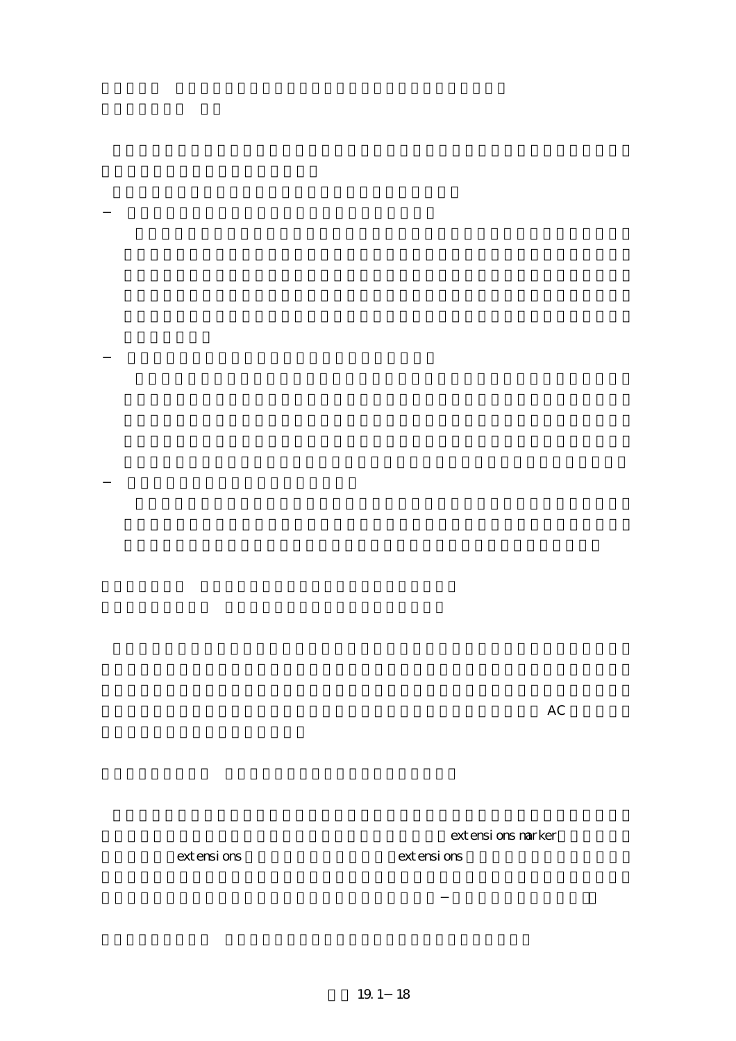$AC$ 

extensions extensions

extensions marker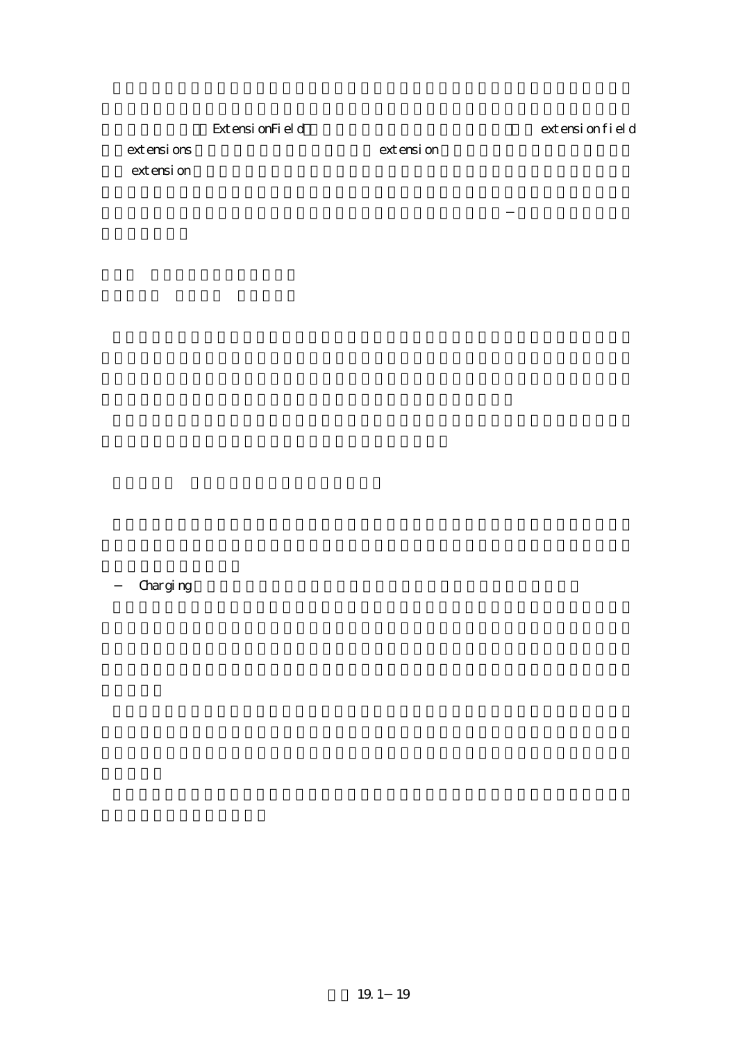型定義の終了部に「ExtensionField」を定義することによって機能する。この extension field

extension

extensions extensions extension

Charging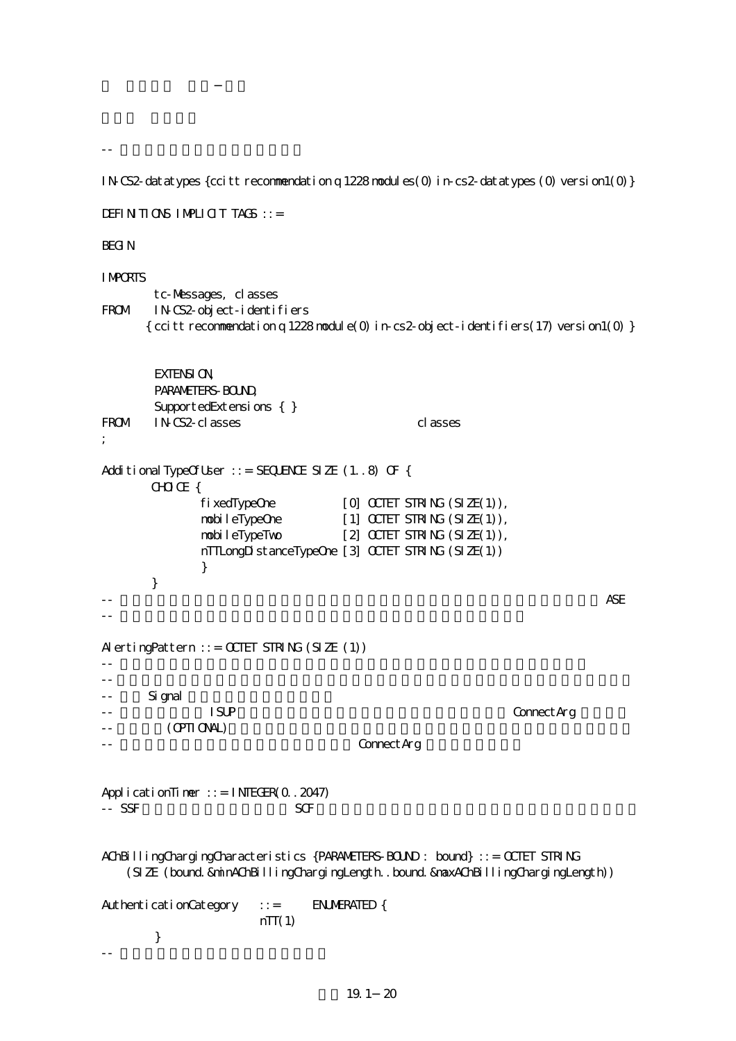$\pm\frac{1}{2}$ 

IN-CS2-datatypes {ccitt recommendation q 1228 modules(0) in-cs2-datatypes (0) version1(0)}

DEFINITIONS IMPLICITIAGS ::=

#### BEGIN

IMPORTS

 tc-Messages, classes FROM IN-CS2-object-identifiers { ccitt recommendation q 1228 module(0) in-cs2-object-identifiers(17) version1(0) } EXTENSI ON PARAMETERS-BOUND, Support edExt ensions { } FROM IN-CS2-classes classes ; Additional TypeOfUser ::= SEQUENCE SIZE  $(1. .8)$  OF {  $GHJCE$  {

fixedTypeOne  $[0]$  OCTET STRING  $(SIZE(1)),$ mobileTypeOne [1] OCTET STRING (SIZE(1)), mobileTypeTwo [2] OCTET STRING (SIZE(1)), nTTLongDistanceTypeOne [3] OCTET STRING (SIZE(1)) } }  $-$ -- 仕様の付加ユーザ種別パラメータ中の各情報要素コーディングに準ずる。 AlertingPattern ::=  $\text{CIET STR} \times (\text{SIZE} (1))$ --  $\sim$  100  $\mu$  m  $\sim$   $\mu$  m  $\sim$   $\mu$  m  $\sim$   $\mu$  ,  $\mu$  ,  $\mu$  ,  $\mu$  ,  $\mu$  ,  $\mu$  ,  $\mu$  ,  $\mu$  ,  $\mu$  ,  $\mu$  ,  $\mu$ -- 加入者に対してSSFが着加入者交換機の場合にのみ適用される。符合化についてはQ.93 -- Signal -- ISUP ISUP EXAMPLE EXAMPLE ConnectArg connectArg  $($   $\text{QPII} \text{ONL})$ -- ConnectArg には違っているのからない。

ApplicationTimer ::=  $I NIEGER(0.2047)$  $-$  SSF  $\overline{S}$ 

AChBillingChargingCharacteristics {PARAMETERS-BOUND : bound} ::= OCTET STRING (SIZE (bound.&minAChBillingChargingLength..bound.&maxAChBillingChargingLength))

AuthenticationCategory ::= ENUMERATED {  $nTT(1)$ }

-- 端末認証に利用する認証方式を示す。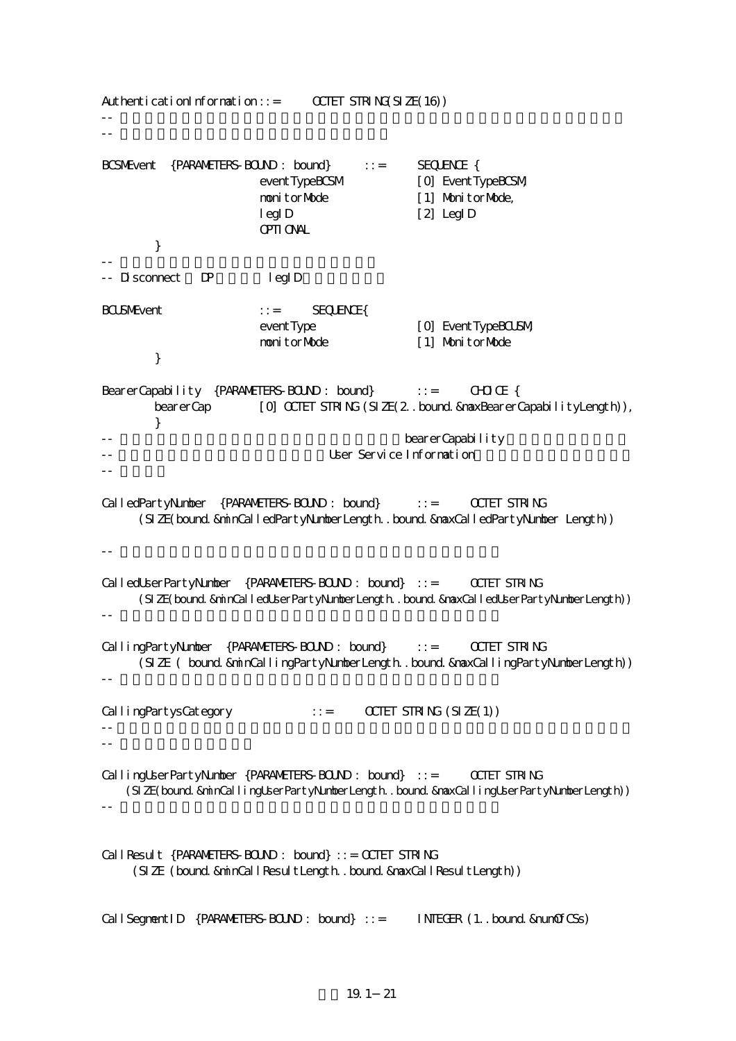AuthenticationInformation::=  $\text{CIET STR NG}$ SIZE(16)) -- PHS端末の認証に利用される乱数およびPHS端末から受信した演算結果を順に並べた情 -- 報を示す。それぞれの情報は8オクテットある。 BCSMEvent {PARAMETERS-BOUND : bound} ::= SEQUENCE { eventTypeBCSM [0] EventTypeBCSM, monitorMode [1] MonitorMode, legID [2] LegID OPTIONAL } -- 監視するためのBCSMイベント情報を示す。  $-$  Disconnect DP  $\qquad$  legID BOUSMEvent ::= SEQUENCE{ eventType [0] EventTypeBCUSM, monitorMode [1] MonitorMode } BearerCapability {PARAMETERS-BOUND : bound} ::=  $CHOCE$  { bearerCap [0] OCTET STRING (SIZE(2..bound.&maxBearerCapabilityLength)), } --  $\blacksquare$ -- 1( $\overline{C}$  1) Iser Service Information -- い得る。 CalledPartyNumber  ${PARAWEIERS-BAND : bound}$  ::= OCTET STRING (SIZE(bound.&minCalledPartyNumberLength..bound.&maxCalledPartyNumber Length)) -- 着パーティの番号を示す。符合化については、Q763参照のこと。 CalledUserPartyNumber {PARAMETERS-BOUND : bound} ::= OCTET STRING (SIZE(bound.&minCalledUserPartyNumberLength..bound.&maxCalledUserPartyNumberLength)) -- 着ユーザ番号を示す。符合化については、Q.763を参照のこと。 CallingPartyNumber {PARAMETERS-BOUND : bound} ::= OCTET STRING (SIZE ( bound.&minCallingPartyNumberLength..bound.&maxCallingPartyNumberLength)) -- 発パーティ番号を示す。符合化については、Q.763参照のこと。 CallingPartysCategory  $\therefore$   $\therefore$   $\qquad$  OCTET STRING (SIZE(1)) -- 発パーティの種別(例えば、オペレータ、公衆電話、一般加入者)を示す。符合化については、 -- Q.763参照のこと。 CallingUserPartyNumber {PARAMETERS-BOUND : bound}  $\therefore$  = OCTET STRING (SIZE(bound.&minCallingUserPartyNumberLength..bound.&maxCallingUserPartyNumberLength)) -- 発ユーザ番号を示す。符合化については、Q.763を参照のこと。 Call Result {PARAMETERS-BOUND : bound} ::= OCTET STRING (SIZE (bound.&minCallResultLength..bound.&maxCallResultLength)) Call Segment ID {PARAMETERS-BOUND : bound} ::= INTEGER (1..bound.&numOfCSs)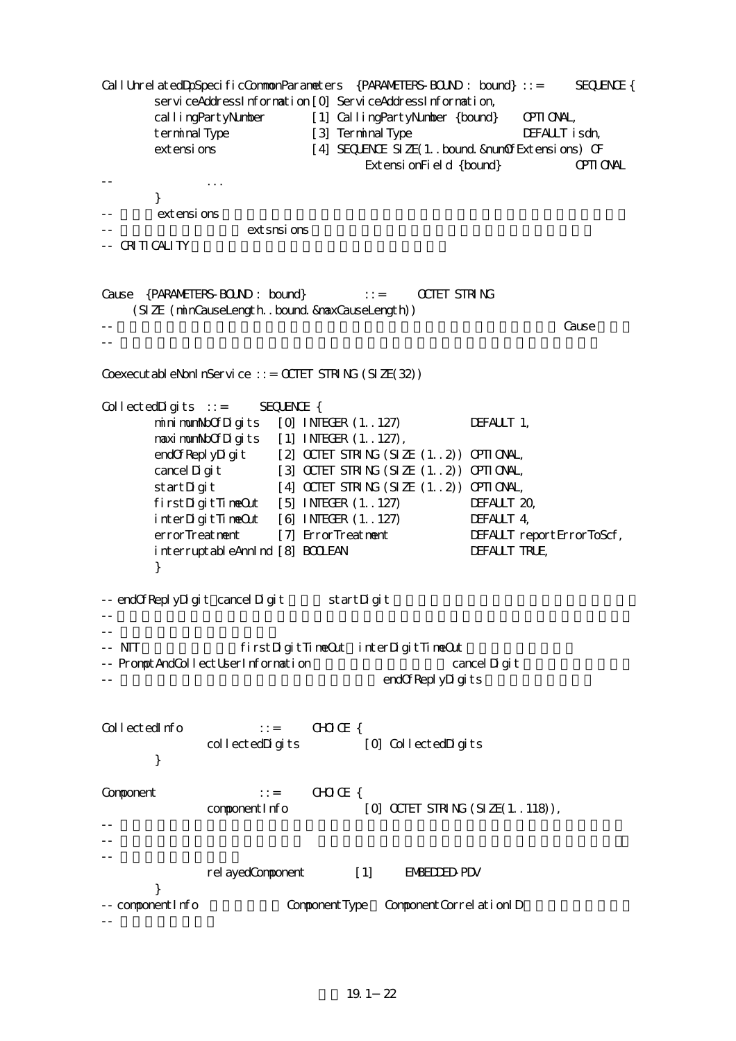```
Call Unrel at edDpSpecificCommonParameters {PARAMETERS-BOUND : bound} ::= SEQUENCE {
        serviceAddressInformation [0] ServiceAddressInformation,
        callingPartyNumber [1] CallingPartyNumber {bound} OPTIONAL
         terminalType [3] TerminalType DEFAULT isdn, 
        extensions [4] SEQUENCE SIZE(1..bound.&nunOfExtensions) OF
                                          ExtensionField {bound} OPTIONAL
-- ... 
         } 
-- extensions
                       ext snsions
- CRITICALITY
Cause {PARAMETERS-BOUND : bound} \therefore = OCTET STRING
      (SIZE (minCauseLength..bound.&maxCauseLength)) 
-- インタフェース関連情報に対する理由を示す。符合化については、Q.763の Cause パラメ 
-- ータを参照のこと。理由と生成源の値の利用にあたっては、Q.850を参照のこと。 
CoexecutableNonInService ::= \text{CIET STR} \ N G (SIZE(32))
CollectedDigits ::= SEQUENCE {
        minimumNbOfDigits [O] INTEGER (1..127) DEFAULT 1,
        maxi mumNbGDigits [1] INTEGER (1..127),
        endOfReplyDigit [2] OCTET STRING (SIZE (1, 2)) OPTIONAL,
        cancel \text{Diff} \to \text{Diff} \to \text{Diff} \to \text{Diff} \to \text{Diff} \to \text{Diff} \to \text{Diff} \to \text{Diff} \to \text{Diff} \to \text{Diff} \to \text{Diff} \to \text{Diff} \to \text{Diff} \to \text{Diff} \to \text{Diff} \to \text{Diff} \to \text{Diff} \to \text{Diff} \to \text{Diff} \to \text{Diff} \to \text{Diff} \to \text{Diff} \to \text{Diff} \to \text{Diff} \to \text{Diff} \to \text{Diff} \to \text{Diff} \to \text{Diff} \to \text{Diff} \to \text{Diff} \to \text{startD git [4] OCTET STRING (SIZE (1..2)) OPTIONAL,
        firstD git T i ne\Omegat [5] INTEGER (1..127) DEFAULT 20,
         interDigitTimeOut [6] INTEGER (1..127) DEFAULT 4, 
         errorTreatment [7] ErrorTreatment DEFAULT reportErrorToScf,
         interruptableAnnInd [8] BOOLEAN DEFAULT TRUE, 
         } 
-- endOfReplyDigit cancelDigit startDigit
-- BCDで、オクテットあたり1BCDのみが下位4ビット側に含まれるよう符合化される。利 
-- 用法はサービス依存である。 
-- NTT firstDigitTimeOut interDigitTimeOut
-- PromptAndCollectUserInformation cancelDigit
                                             \text{endG}ReplyDigits
\text{Col} lectedInfo ::= \text{CH} \times \{ collectedDigits [0] CollectedDigits 
         } 
\text{Component} ::= \text{CHOCE} {
                component I nfo[0] OCTET STRING (SIZE(1..118)),
-- UNI上のオペレーション起動/結果応答もしくはエラー応答/拒否に対するパラメータセ 
-- ット/シーケンスに加え、UNI APDU内のオペレーション値(オブジェクト識別子)、 
-- エラー値などを含む。 
                 relayedComponent [1] EMBEDDED-PDV 
         } 
-- component Info Component Type Component Correl at i on ID
- -
```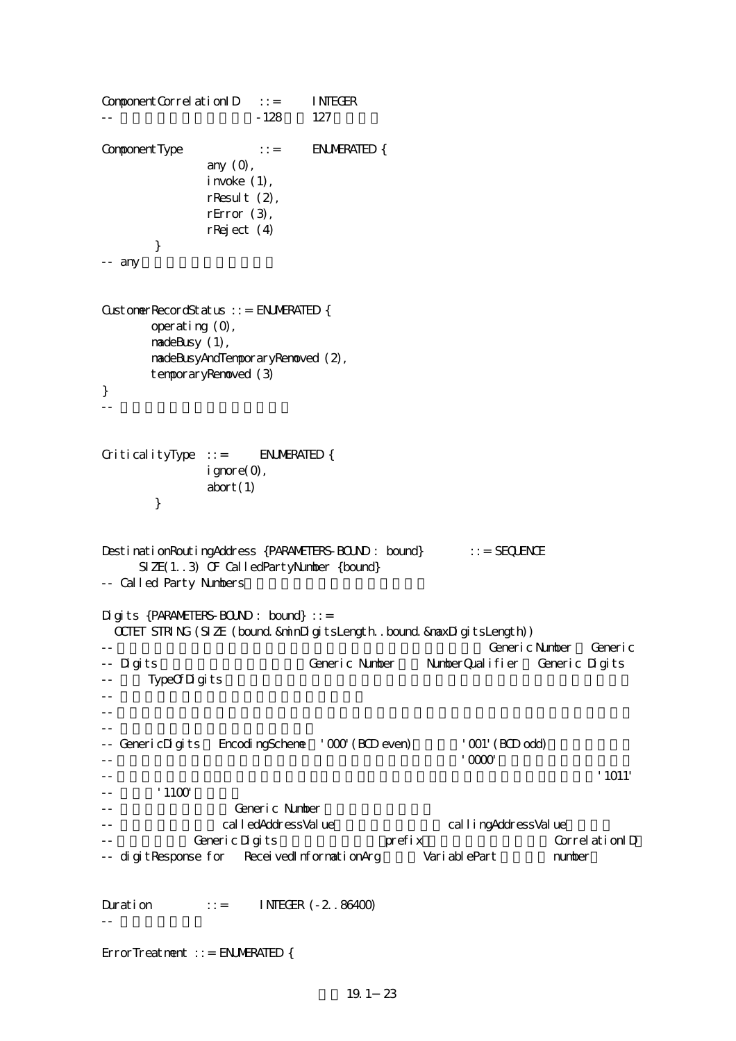```
ComponentCorrelationID ::= INTEGER 
-- 128 127
Component Type :: = ENLMERATED {
             any (0),
             invoke (1),
              rResult (2), 
              rError (3), 
              rReject (4) 
       } 
- any
CustomerRecordStatus ::= ENUMERATED {
      operating (0),
       madeBusy (1), 
       madeBusyAndTemporaryRemoved (2), 
       temporaryRemoved (3) 
} 
-- カスタマ定義域の状態を示す。 
CriticalityType ::= ENLAERATED {
             i gnore(0),
              abort(1) 
       } 
DestinationRoutingAddress {PARAMETERS-BOUND : bound} ::= SEQUENCE
     SIZE(1..3) OF CalledPartyNumber {bound} 
-- Called Party Numbers
Digits {PARAMETERS-BOUND : bound} ::=
  OCTET STRING (SIZE (bound.&minDigitsLength..bound.&maxDigitsLength)) 
-- The results of the results of the Contract of Ceneric Number Ceneric Number
-- Digits Ceneric Number Number Qualifier Ceneric Digits
-- TypeOfDigits
-- グはパラメータを識別するのに十分である。 
-- ISUPフォーマットはこれらのサブフィールドを除くことを許容しない。そのため、値はネ 
-- ットワークオペレータ特有である。 
-- GenericDigits EncodingScheme '000'(BCD even) '001'(BCD odd)
-- より使い分ける。アドレス情報の桁数が奇数の場合、フィラー'0000'が最後のアドレス情報の 
-- 後に挿入される。*(アスタリスク)および#(シャープ)のBCD符合化は、それぞれ'1011' 
- '1100-- Ceneric Number
-- calledAddressValue callingAddressValue
-- Ceneric Digits prefix CorrelationID
-- digitResponse for ReceivedInformationArg VariablePart number
\text{Drati on} ::= INTEGER (-2..86400)
-- 値は秒である。 
ErrorTreatment ::= ENUMERATED {
```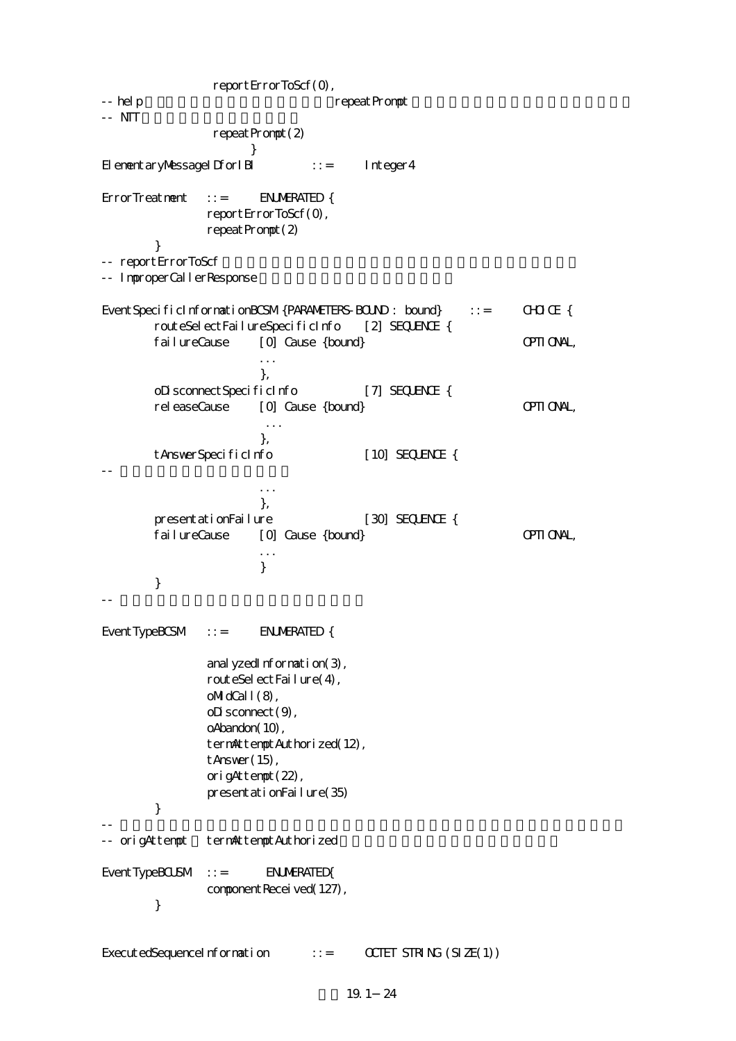reportErrorToScf(0), -- help repeat Prompt  $-$  NTT repeat Prompt (2) } ElementaryMessageIDforIBI ::= Integer4 ErrorTreatment ::= ENUMERATED { reportErrorToScf(0),  $repeatPrompt(2)$  } -- reportErrorToScf -- ImproperCallerResponse Event Specific Information BCSM { PARAMETERS-BOUND : bound} ::= CHOICE { routeSelectFailureSpecificInfo [2] SEQUENCE { failureCause [0] Cause {bound} OPTIONAL, ... }, oDisconnect SpecificInfo [7] SEQUENCE { releaseCause [0] Cause {bound} OPTI ONL ... }, t Answer SpecificInfo [10] SEQUENCE { -- 特有の情報は定義されていない ... }, presentationFailure [30] SEQUENCE { failureCause [0] Cause {bound} OPTIONAL, ... } } -- イベントに特有の呼に関連する情報を示す。 Event TypeBCSM ::= ENUMERATED { analyzedInformation(3), routeSelectFailure(4), oMidCall(8), oDisconnect(9), oAbandon(10), tern Authorized(12), tAnswer(15), origAttempt(22), presentationFailure(35) } -- BCSM  $\sim$  BCSM  $\sim$  BCSM  $\sim$  BCSM  $\sim$  BCSM  $\sim$  BCSM  $\sim$  BCSM  $\sim$  BCSM  $\sim$   $\sim$   $\sim$ -- origAttempt termAttemptAuthorized Event TypeBCUSM ::= ENUMERATED component Received(127), }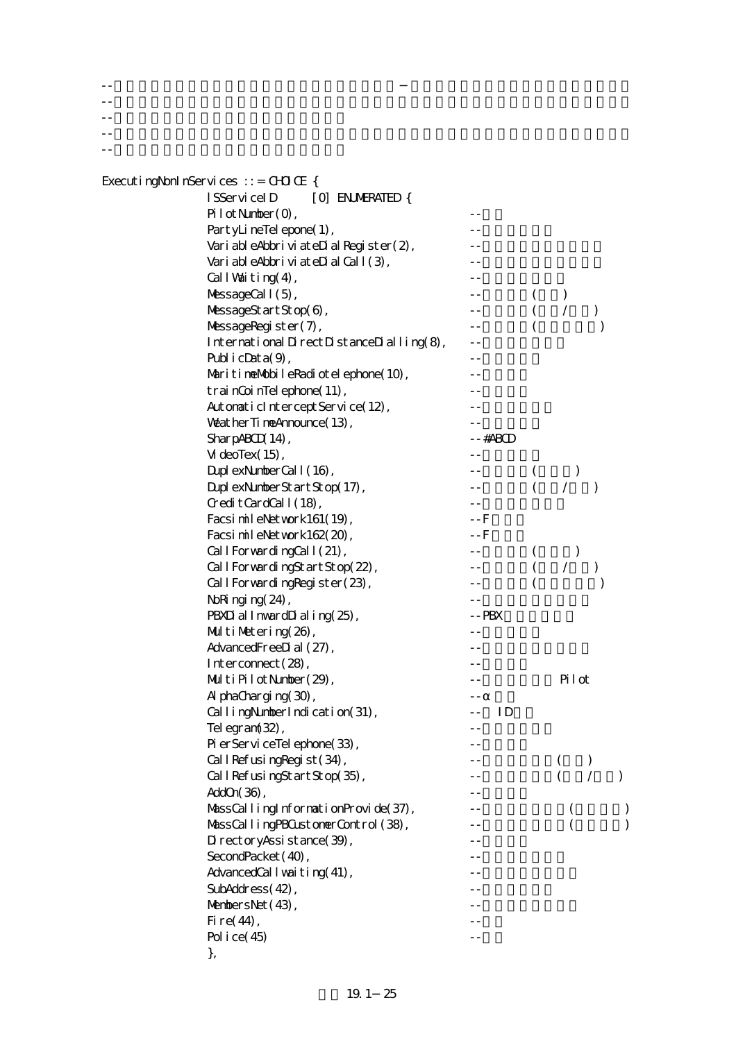$-$ --での識別のために用いられる情報であり、SSFにおいて暗黙の内に付与されたSCFからの

- --メッセージシーケンス番号が設定される。
- --本パラメータはユーザからの放棄・切断等のSCFにてその発生が予期できないSSFイベン
- --ト送信時には常に設定されねばならない。

| ExecutingNonInServices ::= CHICE { |                                                   |                |                  |  |
|------------------------------------|---------------------------------------------------|----------------|------------------|--|
|                                    | l SServi cel D<br>[O] ENLMERATED {                |                |                  |  |
|                                    | $P1$ ot Number $(0)$ ,                            |                |                  |  |
|                                    | PartyLineTelepone(1),                             |                |                  |  |
|                                    | Vari abl eAbbri vi at eD al Regi st er $(2)$ ,    |                |                  |  |
|                                    | Vari abl eAbbri vi at eDi al Cal l (3),           |                |                  |  |
|                                    | Call Waiting (4),                                 |                |                  |  |
|                                    | MessageCall(5),                                   |                |                  |  |
|                                    | $M$ essageSt art St op $(6)$ ,                    |                |                  |  |
|                                    | MessageRegister(7),                               |                |                  |  |
|                                    | International $D$ rect $D$ stance $D$ all ing(8), | - -            |                  |  |
|                                    | PublicData $(9)$ ,                                |                |                  |  |
|                                    | MaritimeMobileRadiotelephone(10),                 |                |                  |  |
|                                    | trainCoinTelephone(11),                           |                |                  |  |
|                                    | AutonaticInterceptService(12),                    |                |                  |  |
|                                    | Weat her Ti neAnnounce (13),                      |                |                  |  |
|                                    | $SharpABCD(14)$ ,                                 | --#ABCD        |                  |  |
|                                    | $\text{W}\$ deoTex $(15)$ ,                       |                |                  |  |
|                                    | DuplexNumberCall (16),                            |                |                  |  |
|                                    | $D$ uplexNumberStartStop $(17)$ ,                 |                |                  |  |
|                                    | Gredit CardCall (18),                             |                |                  |  |
|                                    | Facsi mileNet work161(19),                        | $\text{-}$ - F |                  |  |
|                                    | FacsimileNetwork162(20),                          | $-$ F          |                  |  |
|                                    | Call ForwardingCall (21),                         |                |                  |  |
|                                    | Cal I Forwarding Start Stop (22),                 |                |                  |  |
|                                    | Cal I Forwarding Register (23),                   |                |                  |  |
|                                    | NoRinging (24),                                   | $ -$           |                  |  |
|                                    | $P B X D$ al I nward $D$ al i ng $(25)$ ,         | $-$ PBX        |                  |  |
|                                    | Multi Metering (26),                              | $ -$           |                  |  |
|                                    | AdvancedFreeDi al (27),                           |                |                  |  |
|                                    | Interconnect $(28)$ ,                             |                |                  |  |
|                                    | Multi Pilot Number (29),                          |                | $P1$ ot          |  |
|                                    | Al phaCharging(30),                               |                |                  |  |
|                                    | CallingNumberIndication(31),                      | ID<br>$ -$     |                  |  |
|                                    | Tel egranı(32),                                   |                |                  |  |
|                                    | Pi er Servi ce Tel ephone (33),                   |                |                  |  |
|                                    | Cal l Ref usi ng Regi st (34),                    |                |                  |  |
|                                    | Call RefusingStartStop(35),                       |                |                  |  |
|                                    | $AddOn(36)$ ,                                     |                |                  |  |
|                                    | MassCallingInformationProvide(37),                |                |                  |  |
|                                    | MassCallingPBCustonerControl (38),                |                | $\overline{(\ }$ |  |
|                                    | $\Omega$ rectory Assistance $(39)$ ,              |                |                  |  |
|                                    | SecondPacket (40),                                |                |                  |  |
|                                    | AdvancedCallwaiting(41),                          |                |                  |  |
|                                    | SubAddress(42),                                   |                |                  |  |
|                                    | MembersNet (43),                                  |                |                  |  |
|                                    | Fire $(44)$ ,                                     |                |                  |  |
|                                    | Police $(45)$                                     |                |                  |  |
|                                    |                                                   |                |                  |  |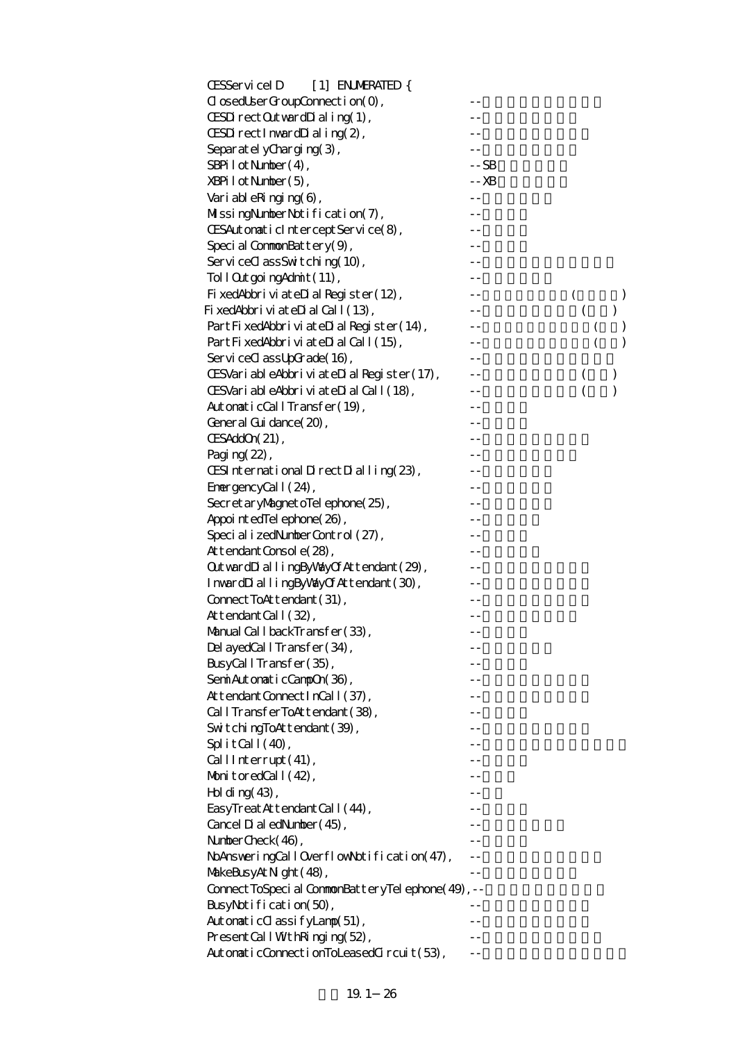| <b>CESServiceID</b><br>$[1]$ ENLMERATED $\{$                 |         |  |
|--------------------------------------------------------------|---------|--|
| $C1$ osed $C1$ ser Group Connection(0),                      |         |  |
| CESD rect Out wardD al ing( $1$ ),                           |         |  |
| CESD rect I mwardDi al ing $(2)$ ,                           |         |  |
| Separat el yCharging(3),                                     |         |  |
| $SBPi$ l ot Number $(4)$ ,                                   | $-$ -SB |  |
| $XBP1$ ot Number $(5)$ ,                                     | - - XB  |  |
| Vari abl eRinging (6),                                       | $ -$    |  |
| MissingNumberNotification(7),                                | $-$     |  |
| (ESAutonaticInterceptService(8),                             |         |  |
| Special CommonBattery $(9)$ ,                                | - -     |  |
| ServiceClassSwitching(10),                                   |         |  |
| Tol 1 Out goi ng Admit (11),                                 |         |  |
| Fi xedAbbri vi at e $\Omega$ al Regi st er (12),             |         |  |
| Fi xedAbbri vi at e $\Omega$ al Cal l (13),                  |         |  |
| Part Fi xedAbbri vi at eD al Regi ster (14),                 |         |  |
| Part Fi xedAbbri vi at eDi al Cal l (15),                    |         |  |
| ServiceClassUpGrade(16),                                     |         |  |
| ŒSVariableAbbriviateDialRegister(17),                        | - -     |  |
| CESVari able AbbriviateDial Call (18),                       | - -     |  |
| AutonaticCallTransfer(19),                                   |         |  |
| General Guidance (20),                                       |         |  |
| $CESAddOn(21)$ ,                                             |         |  |
|                                                              |         |  |
| Paging (22),<br>CESI nt ernational $D$ rect $D$ all ing(23), |         |  |
|                                                              |         |  |
| EnergencyCal $1(24)$ ,                                       |         |  |
| Secret ary Magnet o Tel ephone (25),                         |         |  |
| Appoint edTel ephone (26),                                   |         |  |
| Special i zedNumberControl (27),                             |         |  |
| Attendant Console (28),                                      |         |  |
| Out wardDi all ingByValyOf Attendant $(29)$ ,                |         |  |
| I nwardDi al l i ngByValyOf Attendant (30),                  | - -     |  |
| Connect ToAt t endant (31),                                  |         |  |
| Attendant Call (32),                                         |         |  |
| , Manual Cal I backTransfer (33)                             |         |  |
| Del ayedCal lTransfer (34),                                  |         |  |
| BusyCal lTransfer (35),                                      |         |  |
| Semi Autonati cCampOn(36),                                   |         |  |
| Attendant Connect InCall (37),                               |         |  |
| Cal I TransferToAt tendant (38),                             |         |  |
| SwitchingToAttendant (39),                                   |         |  |
| Split Call $(40)$ ,                                          |         |  |
| CallInterrupt $(41)$ ,                                       |         |  |
| MonitoredCall (42),                                          |         |  |
| Holding $(43)$ ,                                             |         |  |
| EasyTreat Attendant Call (44),                               |         |  |
| Cancel $\Omega$ al edNumber (45),                            |         |  |
| Number Check(46),                                            |         |  |
| NoAnsweringCallOverflowNotification(47),                     | - -     |  |
| $M\&BusyAt N ght (48),$                                      | $ -$    |  |
| Connect ToSpecial ConmonBatteryTelephone(49), --             |         |  |
| BusyNotification(50),                                        |         |  |
| AutonaticClassifyLamp(51),                                   | - -     |  |
| Present Cal I WthRinging (52),                               |         |  |
| AutonaticConnectionToLeasedGircuit(53),                      |         |  |

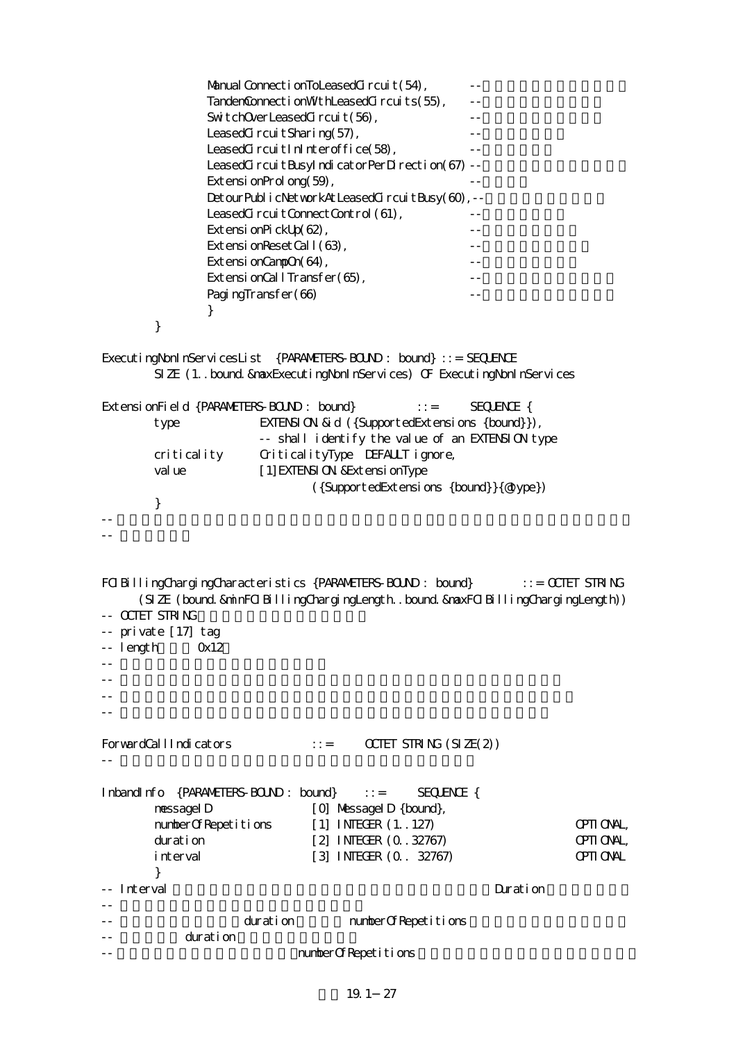```
Manual ConnectionToLeasedCircuit(54), -TandenComecti onWthLeasedCircuits(55), --
             SwitchOverLeasedGrcuit(56), --
             Leased Circuit Sharing(57), -Leased Circuit InInteroffice (58),
             LeasedCircuit BusyIndicatorPerDirection(67) --
             ExtensionProlong(59),
             Det our PublicNetworkAt LeasedCircuit Busy(60), --
             LeasedCircuit Connect Control (61),
             Extensi onPickUp(62), -Extensi on Reset Call(63), -Extensi on CampOn(64), -Extensi onCallTransfer(65), -PagingTransfer(66) --
 } 
       } 
ExecutingNonInServicesList {PARAMETERS-BOUND : bound} ::= SEQUENCE
      SIZE (1..bound.&maxExecutingNonInServices) OF ExecutingNonInServices 
Extensi on Field {PARAMETERS-BOUND : bound} ::= SEQUENCE {
      type EXTENSION & d ({SupportedExtensions {bound}}),
                     -- shall identify the value of an EXTENSION type 
       criticality CriticalityType DEFAULT ignore, 
      value [1] EXTENSION & ExtensionType
                          ({\text{SupportedExt}}\text{ensi} ons {\text{bound}}({\mathcal{C}}\text{type}) } 
-- このパラメータはアーギュメントデータ型の拡張を示す。その内容はネットワークオペレータ 
-- 特有である。 
FCIBillingChargingCharacteristics {PARAMETERS-BOUND : bound} ::= OCTET STRING 
     (SIZE (bound.&minFCIBillingChargingLength..bound.&maxFCIBillingChargingLength)) 
- OCTET STRING
-- private [17] tag 
- length 0x12-- 内容は以下3項目を順に並べたもの。 
-- 課金形態(網特有ASE仕様での課金形態パラメータの値部分、1オクテット) 
-- 課金情報(網特有ASE仕様での課金情報パラメータの値部分、16オクテット) 
-- MBI値(網特有ASE仕様でのMBIバラメータの値部分、1オクテット) 
ForwardCallIndicators ::= \text{CIET STR} \text{NG (SI ZE(2))}-- 転送呼表示を示す。符合化については、Q.763参照のこと。 
InbandInfo {PARAMETERS-BOUND : bound} ::= SEQUENCE {
      nessageID [0] MessageID {bound},
      number Of Repetitions [1] INTEGER (1..127) OPTIONAL,
      duration [2] INTEGER (0..32767) OPTIONAL,
       interval [3] INTEGER (0.. 32767) OPTIONAL 
       } 
-- Interval the second three seconds are the pure seconds and the pure seconds \Gamma-- 隔を含んだ秒で示される時間の総計である。 
-- duration mumberOfRepetitions
-- duration
-- The Properties of Repetitions \mathbf{r}
```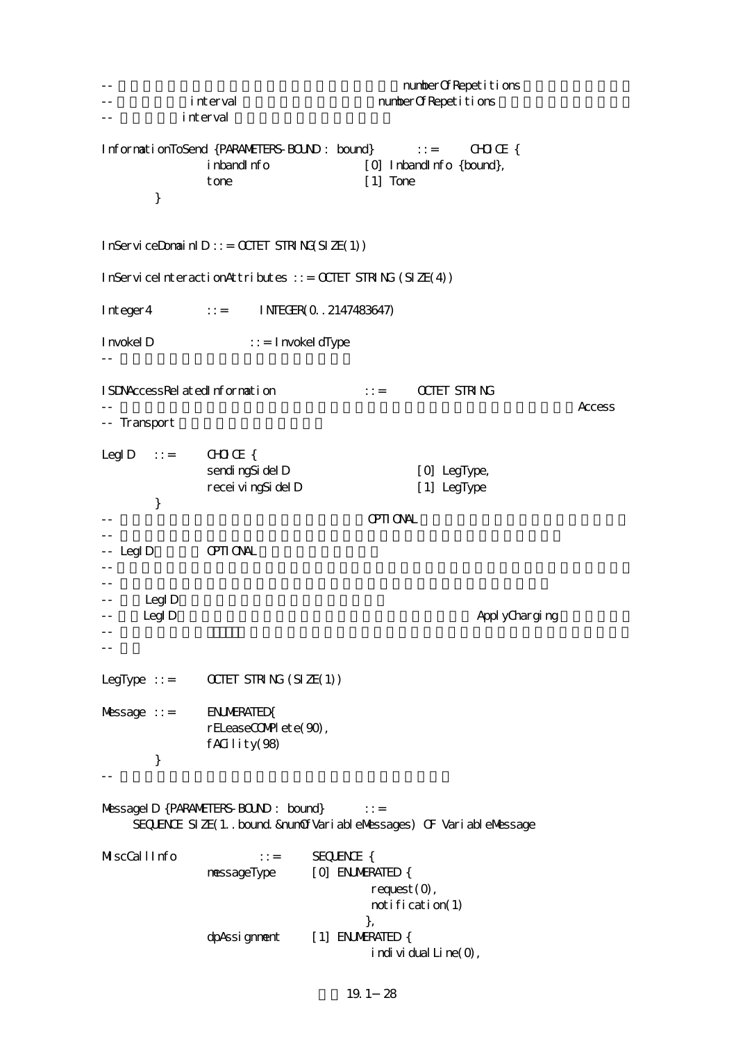-- 2008年には、このパラメータをつける場合は、このパラメータをつける場合は、このパラメータをつける場合は、このパラメータをつける場合は、このパラメータが送信される。 -- interval interval numberOfRepetitions -- interval InformationToSend {PARAMETERS-BOUND : bound} ::= CHOICE { inbandInfo [0] InbandInfo {bound}, tone [1] Tone } InServiceDomainID ::=  $\text{CIET STR} NG(SIZE(1))$ InServiceInteractionAttributes ::=  $\text{CIET STR} \text{NG } (\text{SI ZE(4)})$  $Integer 4 ::= \text{INIEQER}(0.2147483647)$ InvokeID ::= InvokeIdType -- オペレーションインボーク識別子である。 ISDNAccessRelatedInformation ::= OCTET STRING -- Access  $\overline{\phantom{a}}$ -- Transport LegID ::=  $GHGE$  { sendingSideID [0] LegType, receivingSideID [1] LegType } -- 呼の中での特定のパーティへの参照を示す。OPTIONAL は一方的なID割り当てもしくはバイ -- ラテラルなID割り当ての選択を伴うネットワークオペレータ特有利用を示す。  $-I$ egID  $QPTI QVPL$ -- 呼の中に単一のパーティしかいない時は、このパラメータは必要とされない(あいまいさがな -- いため)呼の中に複数のパーティがいる時は、以下のいずれかが適用される。  $\text{LegID}$ -- 2.LegID が存在せず、デフォールト値が仮定される(たとえば ApplyCharging オペレーショ -- ンの場合での発パーティ)これらの2つの代替の選択はネットワークオペレータオプションであ -- る。 LegType ::=  $\text{CIET STR} \text{NG (SI ZE(1))}$ Message ::= ENUMERATED{ rELeaseCOMPlete(90), fAGlity $(98)$  } -- コンポーネントを送るために用いられるメッセージを示す。 MessageID { PARAMETERS-BOUND : bound} :: = SEQUENCE SIZE(1..bound.&nunOfVariableMessages) OF VariableMessage MiscCallInfo ::= SEQUENCE { messageType [0] ENUMERATED {  $request(0)$ , notification(1)  $\}$  , dpAssignment [1] ENUMERATED { individual Line(0),

### 19.1 28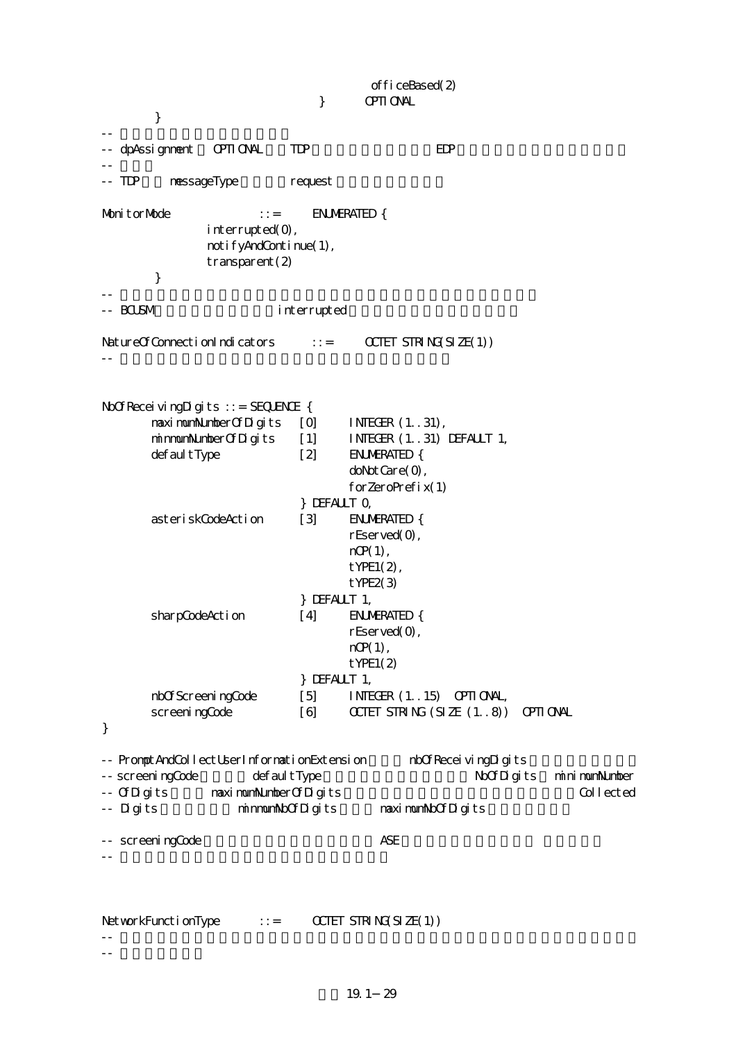officeBased(2)  $\}$  OPTIONAL } -- 検出点に関連した情報を示す。 -- dpAssignment OPTIONAL TDP **EDP**  $-$ -- TDP nessageType request MonitorMode ::= ENUMERATED { interrupted(0), notifyAndContinue(1), transparent(2) } -- イベントがSSPにより中継される、および/または処理されるかを示す。 -- BCUSM interrupted NatureOfConnectionIndicators ::=  $\text{CIET STRNG}(SI \times I))$  $-$  experiments  $\mathcal{L}_{\mathcal{A}}$  is the contract of the contract of the contract of the contract of the contract of the contract of the contract of the contract of the contract of the contract of the contract of the contrac NbOfReceivingDigits ::= SEQUENOE {  $maxi$  mumNumber  $GD$  gits  $[0]$  INTEGER  $(1.31)$ , minmumNumberOfDigits [1] INTEGER (1..31) DEFAULT 1, defaultType [2] ENWERATED {  $d$ oNotCare $(0)$ , forZeroPrefix(1) } DEFAULT 0, asteriskCodeAction [3] ENUMERATED { rEserved(0),  $n$ O $P(1)$ .  $t$  YPE1(2), tYPE2(3) } DEFAULT 1, sharpCodeAction [4] ENUMERATED { rEserved(0),  $n(P(1),$  tYPE1(2) } DEFAULT 1, nbOfScreeningCode [5] INTEGER (1..15) OPTIONAL, screeningCode [6] OCTET STRING (SIZE (1..8) OPTIONAL } -- Prompt AndCollectUserInformationExtension hbOfReceivingDigits -- screeningCode defaultType  $N\delta T$  gits minimumNumber -- OfDigits maximumNumberOfDigits (Collected -- Digits minmumNbOfDigits maximumNbOfDigits -- screeningCode ASE -- 指示コード情報」のコーディング仕様に準ずる。 NetworkFunctionType  $\therefore$  = OCTET STRING(SIZE(1)) -- 網機能種別を示す。符合化についてはQ.763を参照。ただし、ビットD以外は使用せず、 -- 0づめとする。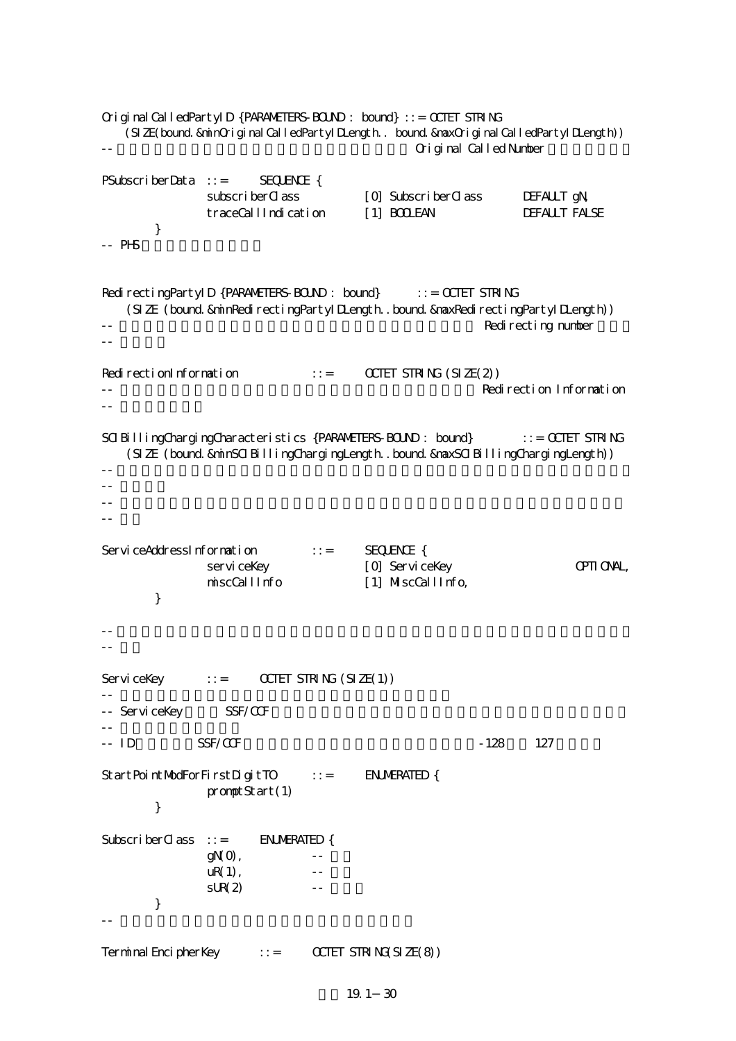```
OriginalCalledPartyID {PARAMETERS-BOUND : bound} ::= OCTET STRING
    (SIZE(bound.&minOriginalCalledPartyIDLength.. bound.&maxOriginalCalledPartyIDLength)) 
                                         Original Called Number
PSubscriberData ::= SEQUENCE {
            subscriberClass [0] SubscriberClass DEFAULT gN
             traceCallIndication [1] BOOLEAN DEFAULT FALSE
       } 
- PHS
RedirectingPartyID {PARAMETERS-BOUND : bound} ::= OCTET STRING
    (SIZE (bound.&minRedirectingPartyIDLength..bound.&maxRedirectingPartyIDLength)) 
-- Journal of the United States of the Contraction of the Redirecting number \mathbb{R}edirecting number
-- のこと。 
RedirectionInformation \therefore = OCTET STRING (SIZE(2))
-- Redirection Information
-- を参照のこと。 
SCIBillingChargingCharacteristics {PARAMETERS-BOUND : bound} ::= OCTET STRING
    (SIZE (bound.&minSCIBillingChargingLength..bound.&maxSCIBillingChargingLength)) 
-- このパラメータは料金および/または課金の特性を示す。内容はネットワークオペレータ特有 
-- である。 
-- 本パラメータの内容は、網特有ASE仕様の料金/レート情報部分(15オクテット)であ 
-- る。 
ServiceAddressInformation ::= SEQUENCE {
            serviceKey [0] ServiceKey OPTIONAL,
              miscCallInfo [1] MiscCallInfo, 
       } 
-- トリガ分析の結果を示す情報であり、SCFが適切なサービス論理を選択することを可能とす 
- -ServiceKey ::= OCTET STRING (SIZE(1))
-- SCFが適切なサービス論理を選択可能とする情報である。 
-- ServiceKey SSF/CCF
-- ビスのサービス定義域 
-- ID を示すが、SSF/CCF ではそれを意識しない。値の範囲は当面、-128 から 127 である。 
StartPointModForFirstDigitTO ::= ENUMERATED {
              promptStart(1) 
       } 
SubscriberClass ::= ENUMERATED {
             gN(0), --
             uR(1), -slR(2) --
       } 
- PHS \sim PHS \sim PHS \sim PHS \sim PHS \sim PHS \sim PHS \simTerminal Encipher Key \qquad ::= \qquad OCTET STRING(SIZE(8))
```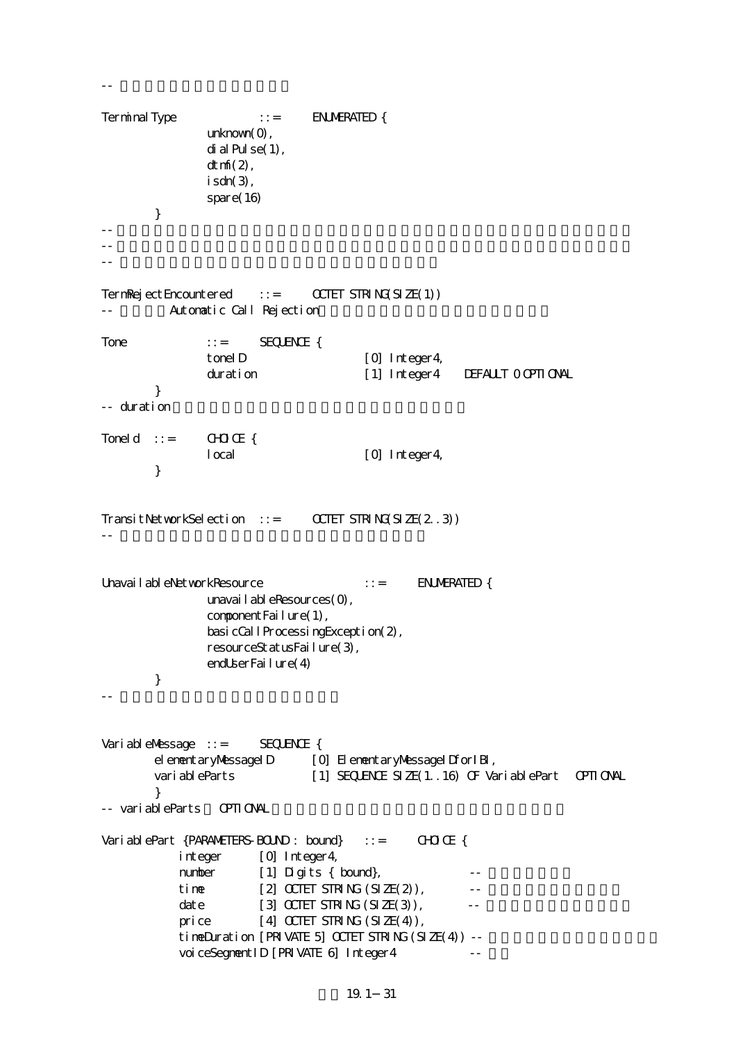Terminal Type  $\cdots$  :: = ENUMERATED { unknown(0),  $di$  al Pulse $(1)$ ,  $dtnf(2)$ ,  $i$ sdn $(3)$ , spare(16) } -- SCFがSRFに対して適切な能力の種類(音声認識、DTMF、表示能力など)が指定でき -- るように端末の種別を示す。現在の信号方式では端末の種別を伝達できないため、このパラメ -- ータは発もしくは着のローカル交換機でのみ適用される。 TermRejectEncountered  $\qquad ::= \qquad \text{CCTET STRING}(\text{SI ZE(1)})$ -- Automatic Call Rejection Tone  $\qquad ::=$  SEQUENCE { toneID [0] Integer4, duration [1] Integer4 DEFAULT 0 OPTIONAL } -- duration ToneId  $\cdots$  CHOICE { local [0] Integer4, } Transit NetworkSelection ::=  $\text{CCLET STRNG}(SIZE(2.3))$ -- 中継網選択を示す。符合化についてはQ.763参照。 UnavailableNetworkResource ::= ENUMERATED { unavailableResources(0), component Failure(1), basicCallProcessingException(2), resourceStatusFailure(3), endUserFailure(4) } -- 失敗したネットワークリソースを示す。 VariableMessage ::= SEQUENCE { elementaryMessageID [0] ElementaryMessageID  $\sigma$  [0]  $\sigma$ variableParts [1] SEQUENCE SIZE(1..16) OF VariablePart OPTIONAL }  $-$  variableParts  $QPTI QWL$ VariablePart {PARAMETERS-BOUND : bound} ::= CHOICE { integer [0] Integer4,  $number \qquad [1]$   $\Box$  gits { bound},  $\qquad \qquad -1$ time  $[2]$  OCTET STRING  $(SIZE(2))$ , -date  $[3]$  OCTET STRING  $(SIZE(3))$ , -price  $[4]$  OCTET STRING (SIZE(4)), timeDuration [PRIVATE 5] OCTET STRING  $(SIZE(4))$  -voiceSegmentID [PRIVATE 6] Integer4 --

-- PHS端末の認証キーを示す。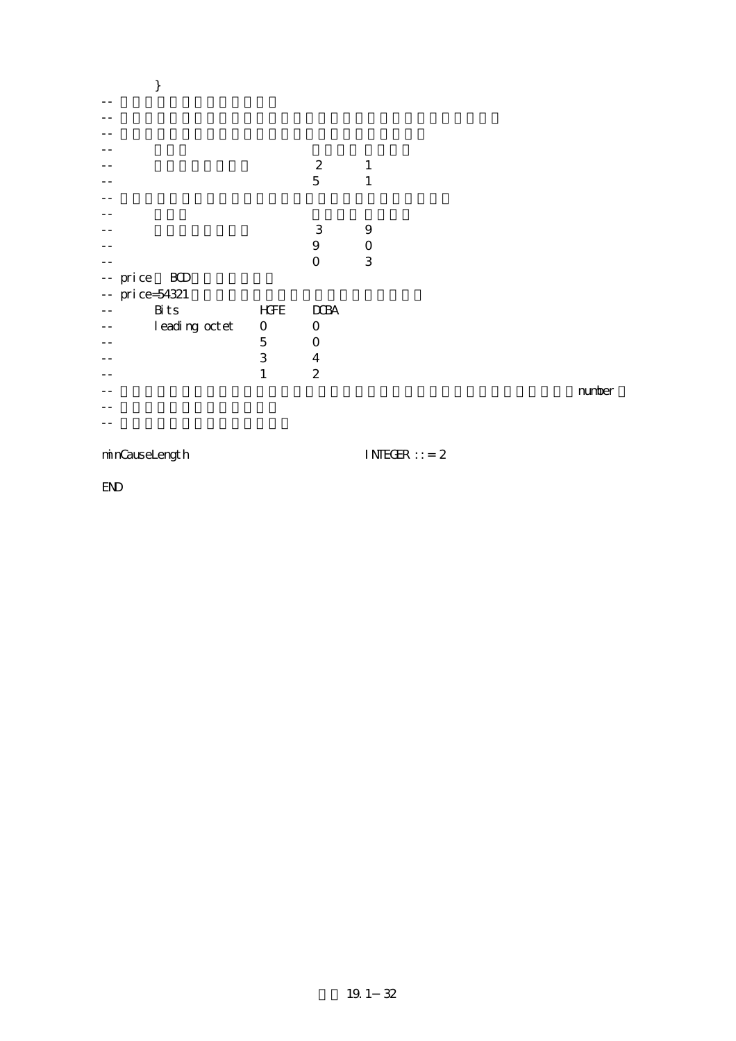|                | $\}$             |                |                  |                |        |
|----------------|------------------|----------------|------------------|----------------|--------|
|                |                  |                |                  |                |        |
|                |                  |                |                  |                |        |
|                |                  |                |                  |                |        |
|                |                  |                |                  |                |        |
|                |                  |                | $\boldsymbol{2}$ | $\mathbf{1}$   |        |
|                |                  |                | $\overline{5}$   | $\mathbf 1$    |        |
|                |                  |                |                  |                |        |
|                |                  |                |                  |                |        |
|                |                  |                | 3                | $\overline{9}$ |        |
|                |                  |                | $\boldsymbol{9}$ | $\overline{0}$ |        |
|                |                  |                | $\overline{0}$   | 3              |        |
|                | -- price BOD     |                |                  |                |        |
| -- price=54321 |                  |                |                  |                |        |
| $ -$           | $\mathbf{B}$ its | <b>H</b> FE    | $D$ CBA          |                |        |
|                | l eading oct et  | $\overline{O}$ | $\mathbf 0$      |                |        |
|                |                  | $\mathbf 5$    | $\mathbf 0$      |                |        |
| - -            |                  | 3              | $\sqrt{4}$       |                |        |
|                |                  | $\mathbf{1}$   | $\boldsymbol{2}$ |                |        |
|                |                  |                |                  |                | number |
|                |                  |                |                  |                |        |
|                |                  |                |                  |                |        |
|                |                  |                |                  |                |        |
|                | minCauseLength   |                |                  | $INTEGR ::= 2$ |        |

END

19.1 32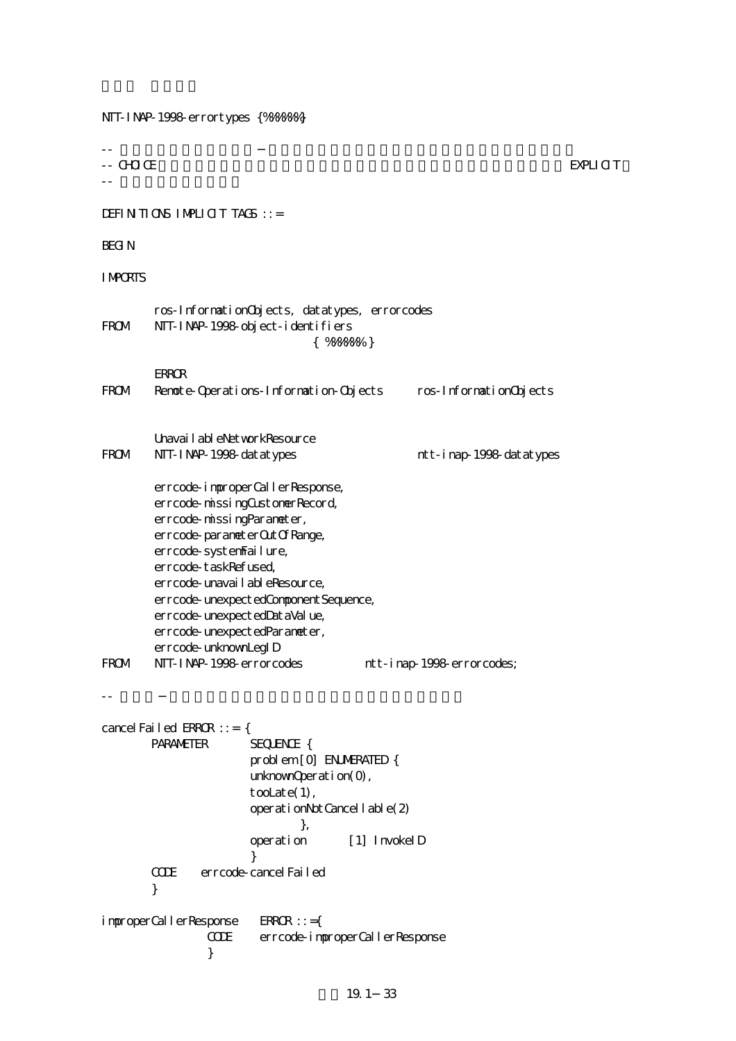NTT-INAP-1998-errortypes {%%%%%%}

-- このモジュールはNTT-INAP1998世代のエラーに対する型定義を含む。 -- CHOICE 型のパラメータは特定のタグ値がつけられ、タグは自動的に同じ値をもつ EXPLICIT タ -- グに置き換えられる。 DEFINITIONS IMPLICITIAGS ::= BEGIN IMPORTS ros-InformationObjects, datatypes, errorcodes FROM NTT-INAP-1998-object-identifiers { %%%%%% } **ERROR** FROM Remote-Operations-Information-Objects ros-InformationObjects UnavailableNetworkResource FROM NTT-INAP-1998-datatypes ntt-inap-1998-datatypes errcode-improperCallerResponse, errcode-missingCustomerRecord, errcode-missingParameter, errcode-parameterOut Of Range, errcode-systemFailure, errcode-taskRefused, errcode-unavailableResource, errcode-unexpectedComponentSequence, errcode-unexpectedDataValue, errcode-unexpectedParameter, errcode-unknownLegID FROM NTT-INAP-1998-errorcodes ntt-inap-1998-errorcodes; -- NTT-INAP1998世代のエラーに対する型定義が続く cancel Failed ERROR ::=  $\{$ PARAMETER SEQUENCE { problem [0] ENLMERATED { unknownOperation(0), tooLate(1), operationNotCancellable(2) }, operation [1] InvokeID } CODE errcode-cancelFailed } improperCallerResponse ERROR ::={ CODE errcode-improperCallerResponse }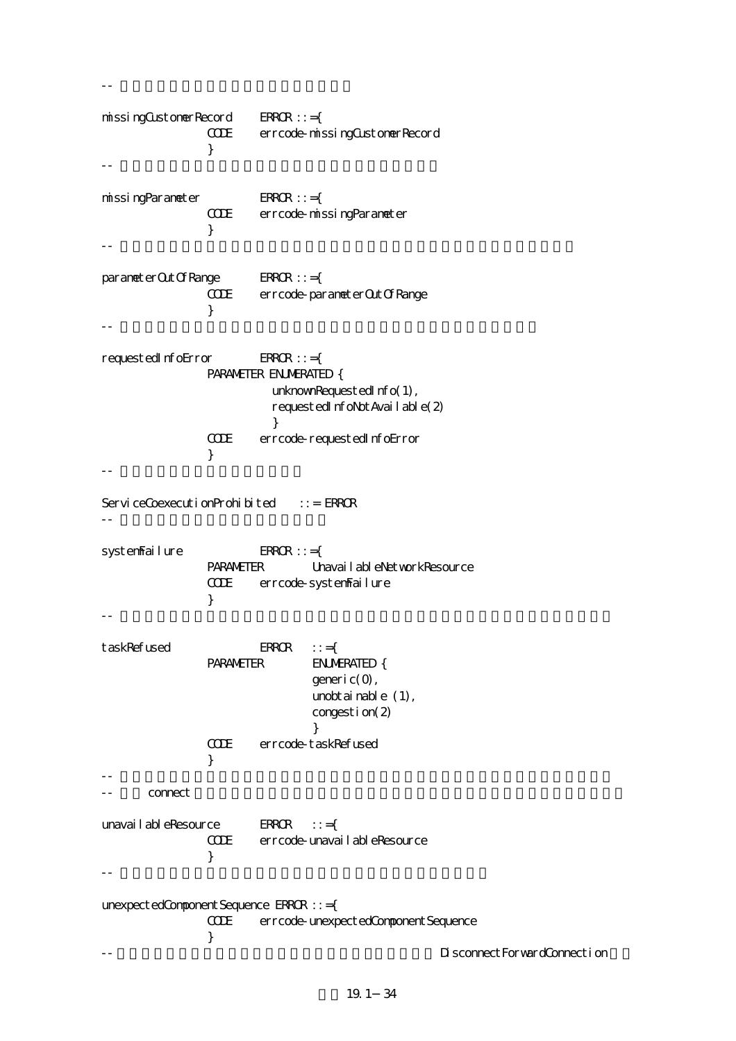missingCustomerRecord ERROR ::={ CODE errcode-missingCustomerRecord } -- サービス論理プログラムはSCF内に見つからなかった。  $missi$  ng Parameter ERROR ::={ CODE errcode-missingParameter } -- シュータ パラメータ いちがく はんしょう しゅうしゅうしゅうしゅうしゅ  $parameterOutGRange$  ERROR ::={ CODE errcode-parameterOutOfRange } -- パラメータは期待していたものではなかった(存在せず、もしくは範囲外) requestedInfoError  $\text{ERRR}$  ::={ PARAMETER ENUMERATED { unknownRequestedInfo(1), requestedInfoNotAvailable(2) } CODE errcode-requestedInfoError } -- 要求された情報はみつからない。 ServiceCoexecutionProhibited ::= ERROR -- サービスの並存が許容されなかった。 systemFailure ERROR ::={ PARAMETER UnavailableNetworkResource CODE errcode-systemFailure } -- オペレーションは処理を行う物理エンティティのシステム故障により完了できなかった。 taskRefused ERROR ::={ PARAMETER ENLMERATED { generic( $0$ , unobtainable (1), congestion(2) } CODE errcode-taskRefused } -- 通常は要求された処理を実施できるのに、今回は実施できなかった。これは、輻輳やたと -- connect  $\overline{\phantom{a}}$ unavailableResource ERROR ::={ CODE errcode-unavailableResource } -- 要求されたリソースは処理を行うエンティティで利用可能でない。 unexpectedComponent Sequence ERROR ::= { CODE errcode-unexpectedComponentSequence } -- The Scotland Connection Connection について Disconnect ForwardConnection について

-- 話者の応答は期待したものではなかった。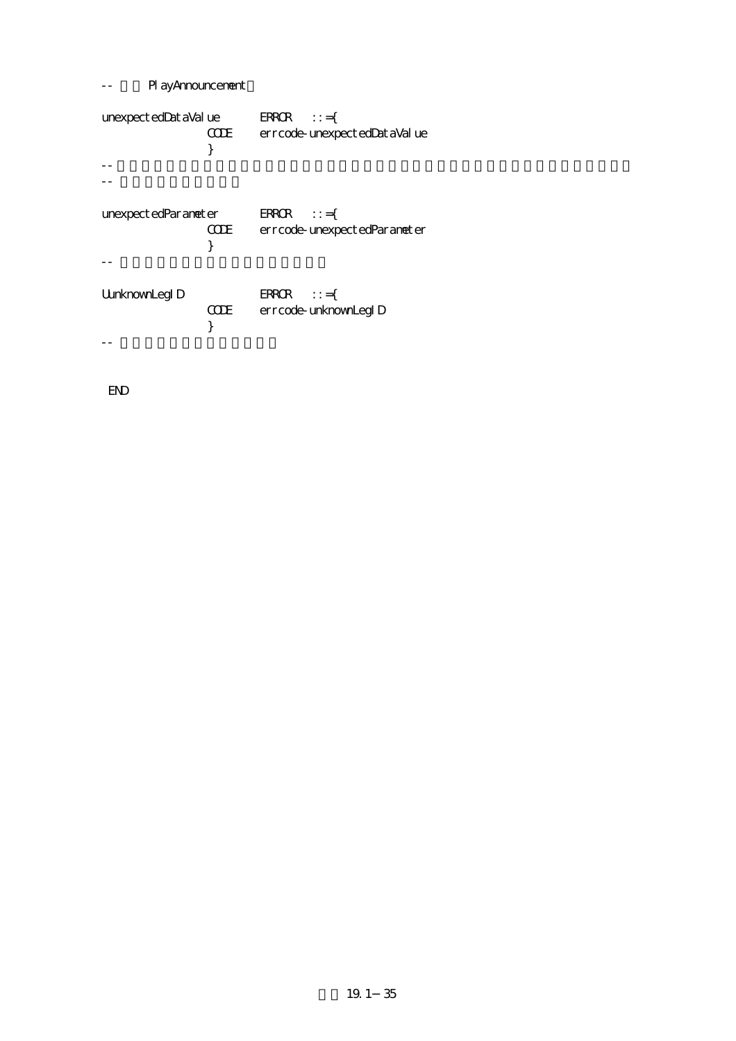## -- PlayAnnouncement

| unexpect edDat aVal ue | CCE | ERRCR $::=$ {<br>errcode-unexpect edDat aVal ue |
|------------------------|-----|-------------------------------------------------|
|                        |     |                                                 |
|                        |     |                                                 |
| unexpect edPar anet er |     | ERRCR $::=$ {                                   |
|                        | C   | err code-unexpect edParanet er                  |
|                        |     |                                                 |
|                        |     |                                                 |
| UnknownLegI D          |     | ERROR $::=$                                     |
|                        | C   | errcode-unknownLegID                            |
|                        |     |                                                 |
|                        |     |                                                 |

END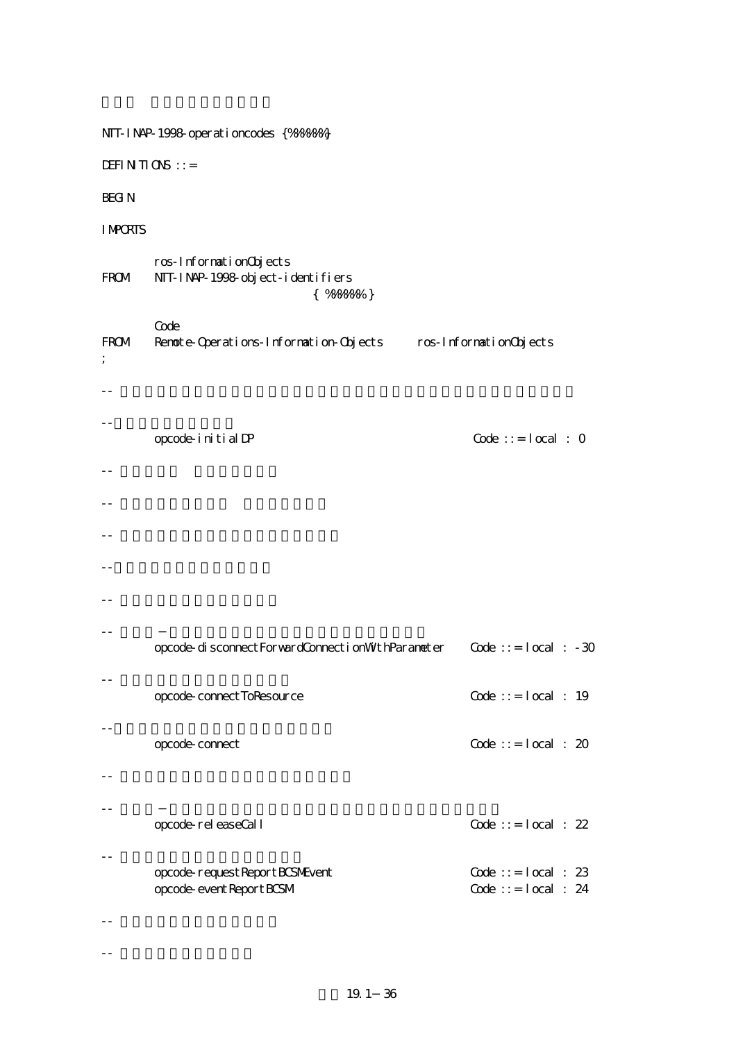NTT-INAP-1998-operationcodes {%%%%%%}

DEFINTIONS  $::=$ 

BEGIN

IMPORTS

|      | ros-InformationObjects          |
|------|---------------------------------|
| FROM | NTT-INP-1998-object-identifiers |
|      | $\{$ %%%% }                     |

-- SSF呼処理パッケージ

|             | Code                                                        |                                                  |
|-------------|-------------------------------------------------------------|--------------------------------------------------|
| <b>FROM</b> | Renote-Operations-Information-Objects                       | ros-InformationObjects                           |
|             |                                                             |                                                  |
|             | opcode-initial DP                                           | Code ::= $l \text{ ocal}$ : 0                    |
|             |                                                             |                                                  |
|             |                                                             |                                                  |
|             |                                                             |                                                  |
|             |                                                             |                                                  |
|             |                                                             |                                                  |
|             | opcode- di sconnect ForwardConnect i onWthParanet er        | Code ::= $l$ ocal : -30                          |
|             | opcode-connect ToResource                                   | Code ::= $l$ ocal : 19                           |
|             | opcode-connect                                              | Code ::= $1$ ocal : 20                           |
|             |                                                             |                                                  |
|             | opcode-rel easeCal l                                        | Code ::= $l$ ocal : 22                           |
|             | opcode-request Report BCSMEvent<br>opcode-event Report BCSM | Code ::= $l$ ocal : 23<br>Code ::= $l$ ocal : 24 |
| $ -$        |                                                             |                                                  |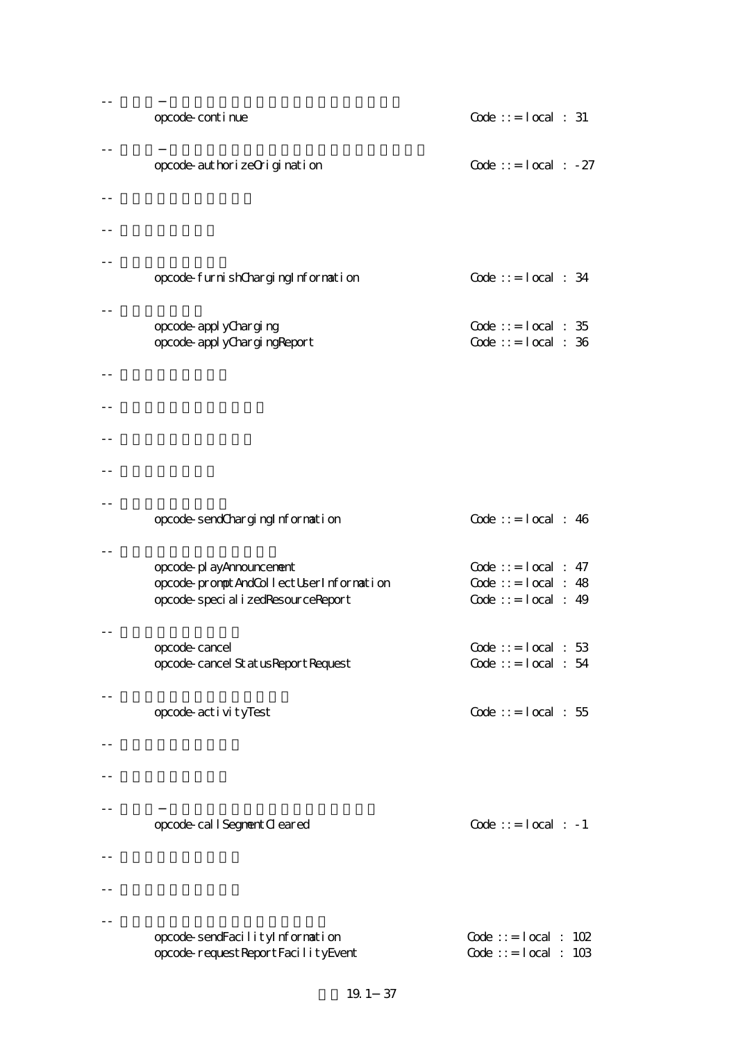|      | opcode-continue                                                                                            | Code ::= $l$ ocal : 31                                                     |  |
|------|------------------------------------------------------------------------------------------------------------|----------------------------------------------------------------------------|--|
|      | opcode-authorizeCrigination                                                                                | Code ::= $l$ ocal : -27                                                    |  |
|      |                                                                                                            |                                                                            |  |
|      |                                                                                                            |                                                                            |  |
|      |                                                                                                            |                                                                            |  |
|      | opcode-furnishChargingInformation                                                                          | Code ::= $1$ ocal : 34                                                     |  |
|      | opcode-applyCharging<br>opcode-applyChargingReport                                                         | Code ::= $l$ ocal : 35<br>Code ::= $1$ ocal : 36                           |  |
|      |                                                                                                            |                                                                            |  |
|      |                                                                                                            |                                                                            |  |
|      |                                                                                                            |                                                                            |  |
|      |                                                                                                            |                                                                            |  |
|      | opcode-sendChargingInformation                                                                             | Code ::= $1$ ocal : 46                                                     |  |
|      | opcode-pl ayAnnouncenent<br>opcode-prompt AndCollect UserInformation<br>opcode-special i zedResourceReport | Code ::= $l$ ocal : 47<br>Code ::= $1$ ocal : 48<br>Code ::= $1$ ocal : 49 |  |
|      | opcode-cancel<br>opcode-cancel St at us Report Request                                                     | $\text{Code} :: = \text{Local} :: 53$<br>Code ::= $1$ ocal : 54            |  |
|      | opcode-activityTest                                                                                        | Code ::= $l$ ocal : 55                                                     |  |
|      |                                                                                                            |                                                                            |  |
|      |                                                                                                            |                                                                            |  |
|      | opcode-cal I Segment CI eared                                                                              | Code ::= $l$ ocal : -1                                                     |  |
| $ -$ |                                                                                                            |                                                                            |  |
|      |                                                                                                            |                                                                            |  |
|      | opcode-sendFacilityInformation<br>opcode-request Report Facility Event                                     | $Code ::= local$ :<br>102<br>Code ::= $1$ ocal : $103$                     |  |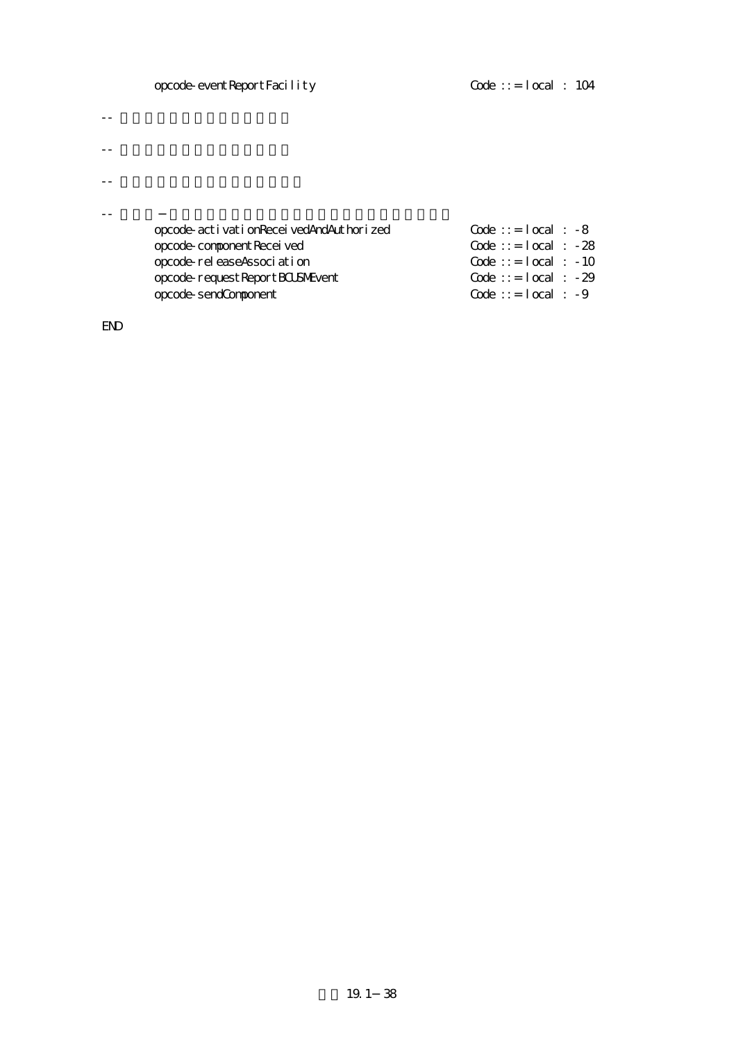-- SRF/SCFインタフェース

| opcode- act i vat i onRecei vedAndAut hor i zed<br>opcode-component Recei ved<br>opcode-rel easeAssociation<br>opcode-request Report BCUSNEvent<br>opcode-sendComponent | $\text{Code} :: = \text{local} :: -8$<br>$Crde ::=  ccal$ $  \cdot   \cdot   \cdot   \cdot  $<br>$\text{Code}$ ::= $\text{local}$ : -10<br>Code ::= $1 \text{ ocal}$ : -29<br>Code ::= $1$ ocal : -9 |  |
|-------------------------------------------------------------------------------------------------------------------------------------------------------------------------|------------------------------------------------------------------------------------------------------------------------------------------------------------------------------------------------------|--|

END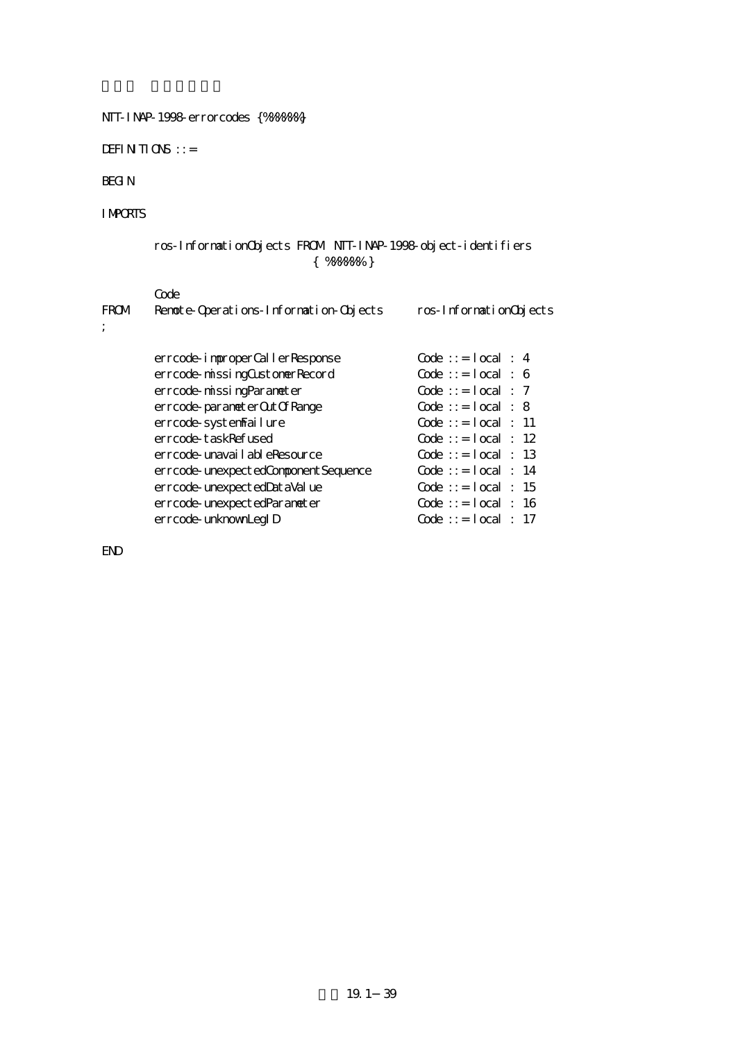NTT-INAP-1998-errorcodes {%%%%%%}

DEFINTIONS ::=

BEGIN

## IMPORTS

## ros-InformationObjects FROM NTT-INAP-1998-object-identifiers { %%%%%% }

### Code

| FROM | Renote-Operations-Information-Objects   | ros-InformationObjects         |  |
|------|-----------------------------------------|--------------------------------|--|
|      |                                         |                                |  |
|      | errcode-improperCallerResponse          | $Code ::= local : 4$           |  |
|      | errcode-missingCustomerRecord           | $Code ::= local : 6$           |  |
|      | errcode-missingParameter                | $Code ::= local : 7$           |  |
|      | $errocde$ - par anet $er$ Out Of Range  | $Code ::= local : 8$           |  |
|      | errcode-systenFrailure                  | $Code ::= local : 11$          |  |
|      | errcode-taskRefused                     | $Code ::= local : 12$          |  |
|      | errcode-unavai LableResource            | $Code ::= local : 13$          |  |
|      | er r code-unexpect edConponent Sequence | $Code ::= local : 14$          |  |
|      | errcode-unexpect edDat aVal ue          | $Code ::= local : 15$          |  |
|      | errode-unexpectedParaneter              | Code ::= $1 \text{ ocal}$ : 16 |  |
|      | errcode-unknownLegID                    | Code ::= $1 \text{ ocal}$ : 17 |  |

END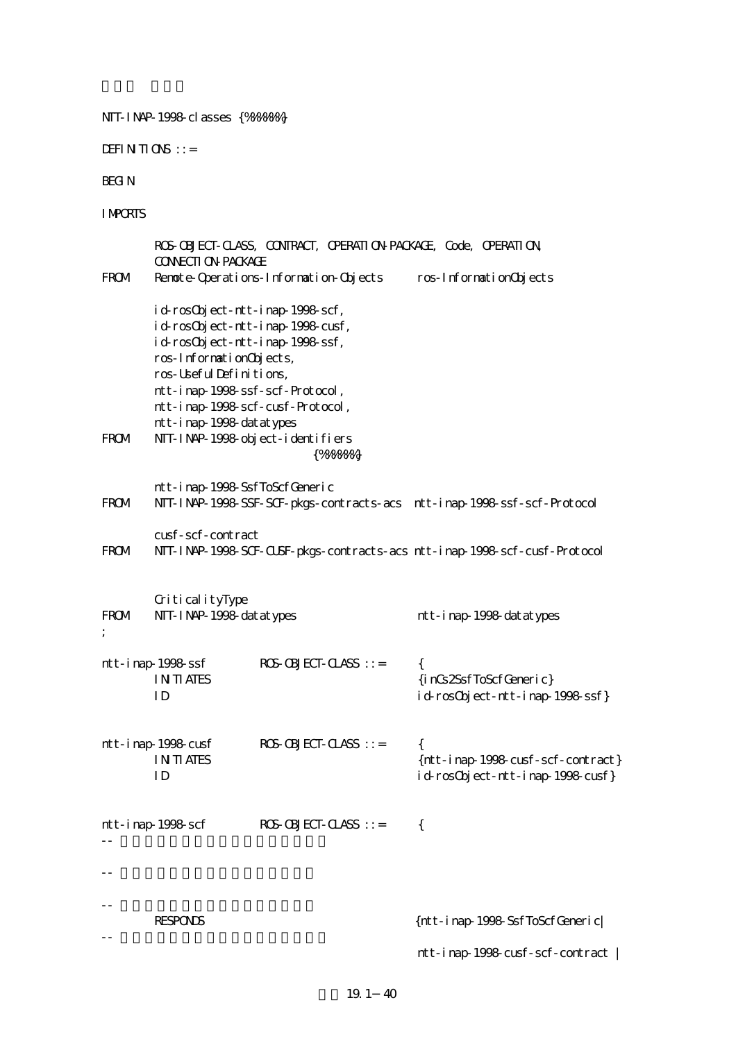NTT-INAP-1998-classes {%%%%%%}

DEFINITIONS  $\cdot$ :=

BEGIN

IMPORTS

ROS-OBJECT-CLASS, CONTRACT, OPERATION-PACKAGE, Code, OPERATION CONNECTION-PACKAGE FROM Remote-Operations-Information-Objects ros-InformationObjects id-rosObject-ntt-inap-1998-scf, id-rosObject-ntt-inap-1998-cusf, id-rosObject-ntt-inap-1998-ssf, ros-InformationObjects, ros-UsefulDefinitions, ntt-inap-1998-ssf-scf-Protocol, ntt-inap-1998-scf-cusf-Protocol, ntt-inap-1998-datatypes FROM NTT-INAP-1998-object-identifiers {%%%%%%} ntt-inap-1998-SsfToScfGeneric FROM NTT-INAP-1998-SSF-SCF-pkgs-contracts-acs ntt-inap-1998-ssf-scf-Protocol cusf-scf-contract FROM NTT-INAP-1998-SCF-CUSF-pkgs-contracts-acs ntt-inap-1998-scf-cusf-Protocol CriticalityType FROM NTT-INAP-1998-datatypes ntt-inap-1998-datatypes ; ntt-inap-1998-ssf  $ROS$ -CBJECT-CLASS ::= { INITIATES {inCs2SsfToScfGeneric} ID id-rosObject-ntt-inap-1998-ssf} ntt-inap-1998-cusf ROS-OBJECT-CLASS ::= { INITIATES {ntt-inap-1998-cusf-scf-contract} ID id-rosObject-ntt-inap-1998-cusf} ntt-inap-1998-scf  $ROS$ -CBJECT-CLASS ::= { -- SCFからCUSFへのコントラクト -- SCFからSCFへのコントラクト -- SDFからSCFへのコントラクト RESPONDS {ntt-inap-1998-SsfToScfGeneric| -- CUSFからSCFへのコントラクト ntt-inap-1998-cusf-scf-contract |

19.1 40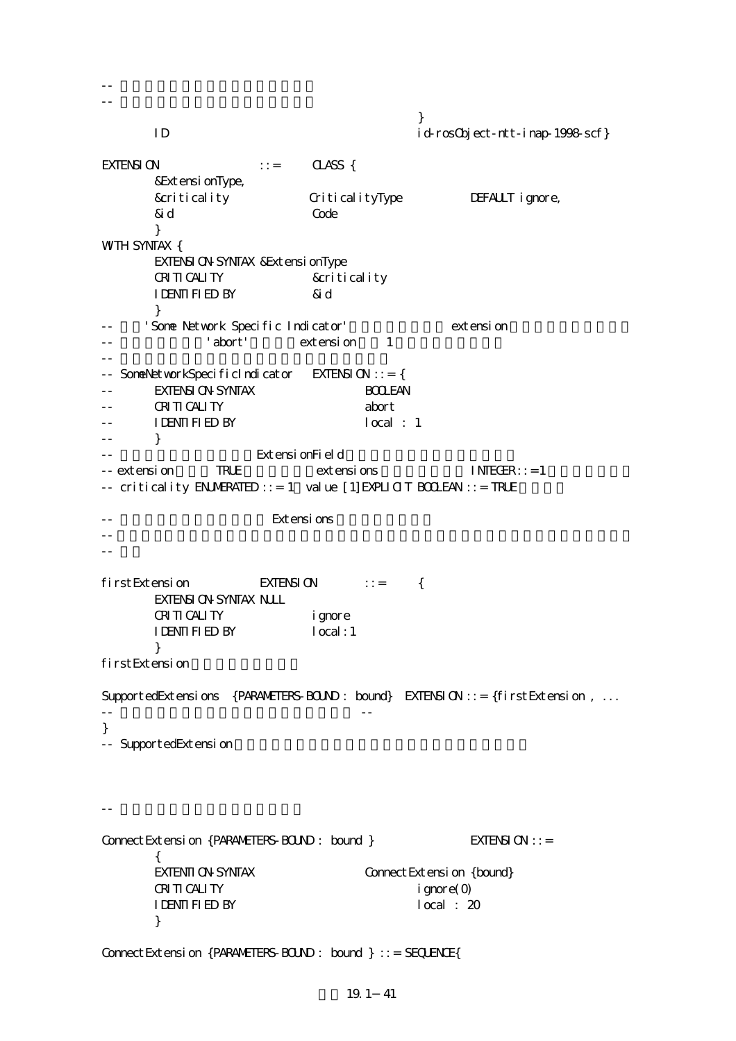} ID id-rosObject-ntt-inap-1998-scf}  $EXIENSI ON$  ::=  $CIASS$  { &ExtensionType, &criticality CriticalityType DEFAULT ignore, &id Code } WIH SYNTAX { EXTENSION-SYNTAX &ExtensionType CRITICALITY &criticality IDENTIFIED BY &id } -- 'Some Network Specific Indicator' extension -- 'abort' extension 1 -- 上記の情報オブジェクトクラスを用いた定義の例 -- SomeNetworkSpecificIndicator EXTENSION ::= { -- EXTENSION-SYNTAX BOOLEAN -- CRITICALITY abort -- IDENTIFIED BY local : 1 -- } --  $\frac{1}{\sqrt{2\pi}}$  FxtensionField  $-$  extension TRUE extensions INTEGER ::= 1  $-$  criticality ENUMERATED ::= 1 value  $[1]$  EXPLICIT BOOLEAN ::= TRUE -- Extensions -- 加えて、拡張メカニズムマーカーはINAPへの将来の軽度の追加を識別するために利用され  $\sim$   $\sim$ firstExtension EXTENSION ::= { EXTENSION-SYNTAX NULL CRITICALITY ignore IDENTIFIED BY local:1 } firstExtension SupportedExtensions {PARAMETERS-BOUND : bound} EXTENSION ::= {firstExtension, ... -- ネットワークオペレータ拡張のフルセット -- } -- SupportedExtension -- 以下はNTT固有の拡張である。 Connect Extension  ${PARA\&IEE\&B\&O}$ : bound  $}$  EXTENSION ::= { EXTENTION SYNTAX Connect Ext ensi on {bound} CRITICALITY ignore(0) IDENTIFIED BY local : 20 }  $ConnectExtensi$  on  ${PARAMEIERS-BAND : bound } :: = SEQENCE$ 

-- SRFからSCFへのコントラクト -- SCFからSCFへのコントラクト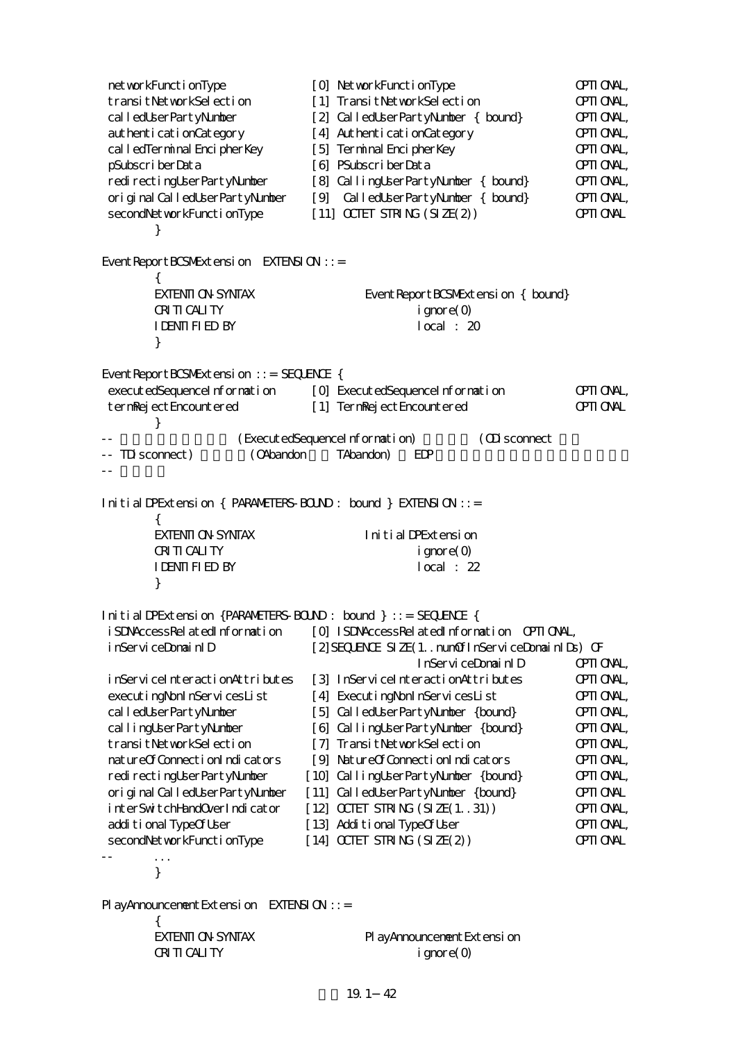```
19.1 42
 networkFunctionType [0] NetworkFunctionType OPTIONAL, 
transitNetworkSelection [1] TransitNetworkSelection OPTIONAL,
calledUserPartyNumber [2] CalledUserPartyNumber { bound} OPTIONAL
 authenticationCategory [4] AuthenticationCategory OPTIONAL, 
calledTerminalEncipherKey [5] TerminalEncipherKey OPTIONAL,
 pSubscriberData [6] PSubscriberData OPTIONAL, 
redirectingUserPartyNumber [8] CallingUserPartyNumber { bound} OPTIONAL,
original CalledUserPartyNumber [9] CalledUserPartyNumber { bound} OPTIONAL,
secondNetworkFunctionType [11] OCTET STRING (SIZE(2)) OPTIONAL
       } 
Event Report BCSMExt ension EXTENSION ::=
\{EXTENTION SYNTAX Event Report BCSMExtension { bound}
       CRITICALITY ignore(0) 
       IDENTIFIED BY local : 20 
       } 
Event Report BCSMExtension \cdots = SEQUENCE {
execut edSequenceInformation [0] Execut edSequenceInformation OPIIONAL,
termRejectEncountered [1] TermRejectEncountered OPTIONAL
       } 
                 -- 実行シーケンス情報 (ExecutedSequenceInformation) は、切断 (ODisconnect 及び 
- TD sconnect) (0) (0) TAbandon 0 EDP
-- らない。 
InitialDPExtension { PARAMETERS-BOUND : bound } EXTENSION ::=
\{EXTENTION-SYNTAX InitialDPExtension
       CRITICALITY ignore(0) 
       IDENTIFIED BY local : 22 
       } 
InitialDPExtension {PARAMETERS-BOUND : bound } ::= SEQUENCE {
 iSDNAccessRelatedInformation [0] ISDNAccessRelatedInformation OPTIONAL, 
 inServiceDomainID [2]SEQUENCE SIZE(1..numOfInServiceDomainIDs) OF 
                                        InServiceDomainID CPIIONAL
inServiceInteractionAttributes \lceil 3 \rceil InServiceInteractionAttributes \lceil OPTIONAL,
executingNonInServicesList [4] ExecutingNonInServicesList OPTIONAL,
calledUserPartyNumber [5] CalledUserPartyNumber {bound} OPTIONAL,
callingUserPartyNumber [6] CallingUserPartyNumber {bound} OPTIONAL
 transitNetworkSelection [7] TransitNetworkSelection OPTIONAL,
nature Of Connection Indicators [9] Nature Of Connection Indicators OPTIONAL,
redirectingUserPartyNumber [10] CallingUserPartyNumber {bound} OPTIONAL,
 originalCalledUserPartyNumber [11] CalledUserPartyNumber {bound} OPTIONAL 
 interSwitchHandOverIndicator [12] OCTET STRING (SIZE(1..31)) OPTIONAL, 
additionalTypeOfUser [13] AdditionalTypeOfUser OPTIONAL,
secondNetworkFunctionType [14] OCTET STRING (SIZE(2)) OPTIONAL
      -- ... 
       } 
PlayAnnouncement Extension EXTENSION ::=
\{EXTENTION-SYNTAX PlayAnnouncement Extension
       CRITICALITY ignore(0)
```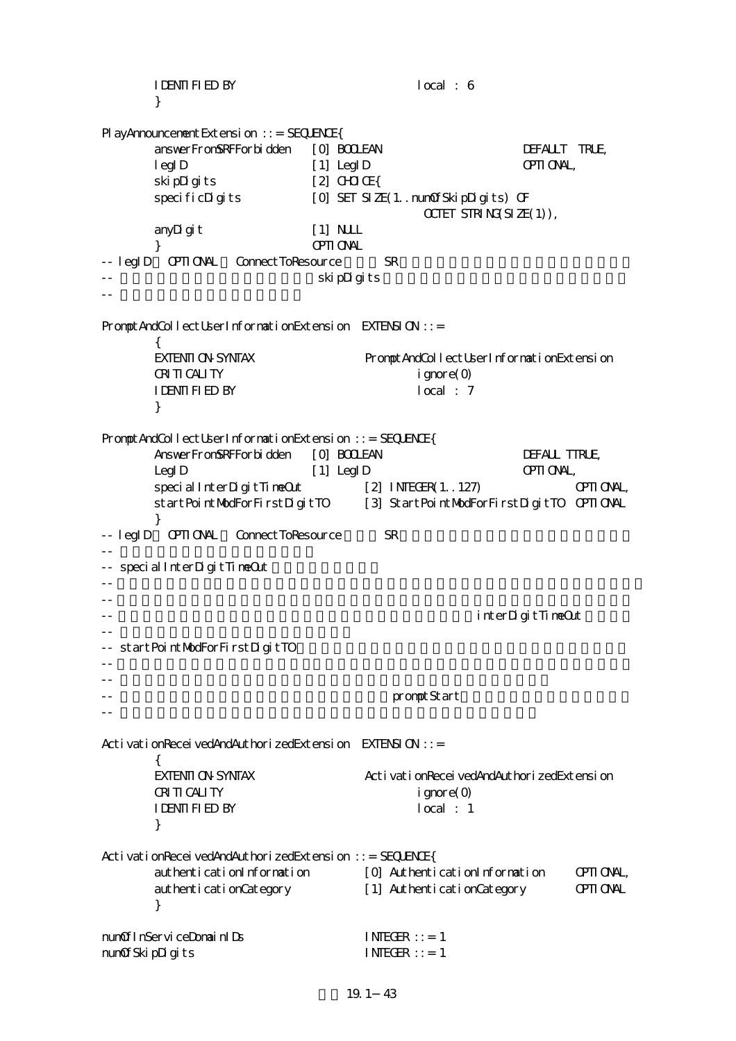IDENTIFIED BY local : 6 }  $Pl$  ay Announcement Extension :: = SEQUENCE{ answerFromSRFForbidden [0] BOOLEAN DEFAULT TRUE, legID [1] LegID OPTIONAL, skipDigits [2] CHOICE{ specificDigits [0] SET SIZE(1...munOfSkipDigits) OF OCTET STRING(SIZE(1)). anyDigit [1] NULL } OPTIONAL -- legID CPIIONAL ConnectToResource SR -- Reserve that the skip Digits skip of the skip of the skip of the skip of the skip of the skip of the skip of the skip of the skip of the skip of the skip of the skip of the skip of the skip of the skip of the skip of th -- をスキップすることはできない。 Prompt AndCollectUserInformationExtension EXTENSION ::=  $\{$  EXTENTION-SYNTAX PromptAndCollectUserInformationExtension CRITICALITY ignore(0) IDENTIFIED BY local : 7 } Prompt AndCollect UserInformationExtension ::= SEQUENCE{ AnswerFromSRFForbidden [0] BOOLEAN DEFAUL TTRUE LegID [1] LegID OPTIONAL, specialInterDigitTimeOut [2] INTEGER(1..127) OPTIONAL, startPointModForFirstDigitTO [3] StartPointModForFirstDigitTO OPTIONAL } -- legID CPIIONAL ConnectToResource SR -- 限って送られるという意味である。  $-$  special InterDigitTimeOut -- 本パラメータは、最小受信桁数受信後から最大受信桁数受信までの桁間タイミングを指定する。 -- 本パラメータが指定された場合には、最小受信桁数受信後から最大受信桁数受信までの桁間タ --  $\cdots$  interDigitTimeOut -- タによって指定された値は適用されない。 -- startPointModForFirstDigitTO -- 時点を変更する場合に送信される。本パラメータが送信されない場合はガイダンス終了後から -- 開始され、本パラメータが指定された場合は非常になっている。 -- https://www.theoret.com/distart/start/start/start/start/start/start/start/start/start/start/start/start/start/ -- ダンス開始時点に第一桁間タイムアウト検出のためのタイマが開始される。 ActivationReceivedAndAuthorizedExtension EXTENSION ::= { EXTENTION-SYNTAX ActivationReceivedAndAuthorizedExtension CRITICALITY ignore(0) IDENTIFIED BY local : 1 } ActivationReceivedAndAuthorizedExtension ::= SEQUENCE{ authenticationInformation [0] AuthenticationInformation OPTIONAL, authenticationCategory [1] AuthenticationCategory OPTIONAL } numOfInServiceDomainIDs INTEGER ::= 1 numOfSkipDigits INTEGER ::= 1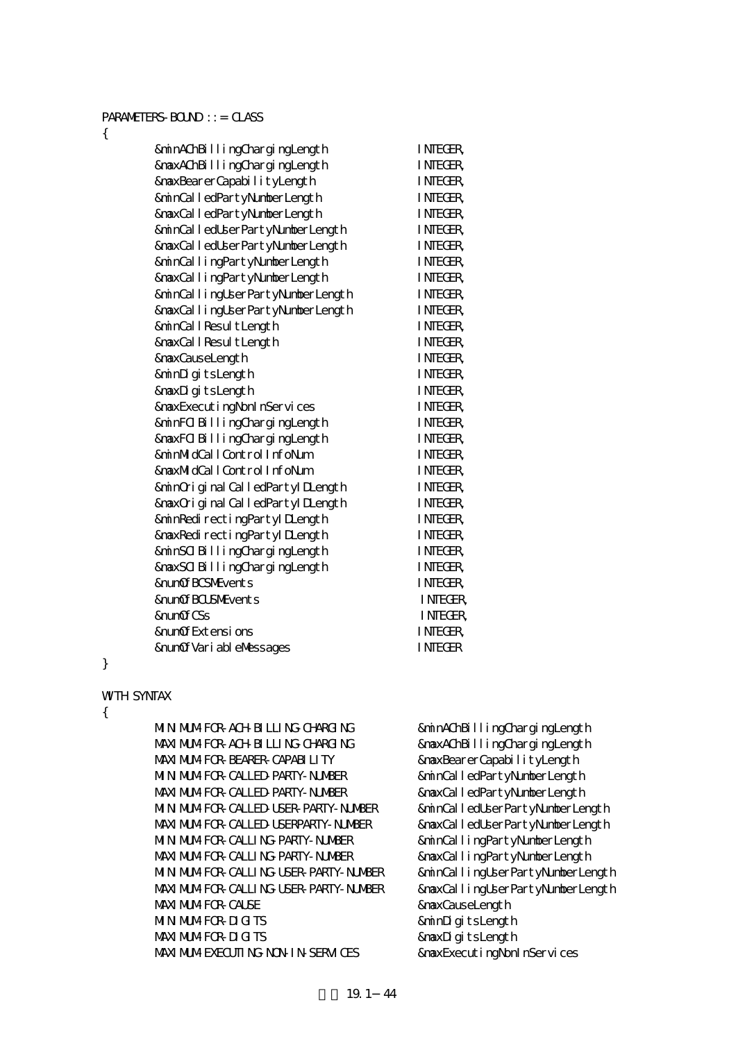#### $PARAMEIERS-BAND :: = CLASS$

{

 &minAChBillingChargingLength INTEGER, &maxAChBillingChargingLength INTEGER, &maxBearerCapabilityLength INTEGER, &minCalledPartyNumberLength INTEGER, &maxCalledPartyNumberLength INTEGER, &minCalledUserPartyNumberLength INTEGER, &maxCalledUserPartyNumberLength INTEGER, &minCallingPartyNumberLength INTEGER, &maxCallingPartyNumberLength INTEGER, &minCallingUserPartyNumberLength INTEGER, &maxCallingUserPartyNumberLength INTEGER, &minCallResultLength INTEGER, &maxCallResultLength INTEGER, &maxCauseLength INTEGER, &minDigitsLength INTEGER, &maxDigitsLength INTEGER, &maxExecutingNonInServices INTEGER, &minFCIBillingChargingLength INTEGER, &maxFCIBillingChargingLength INTEGER, &minMidCallControlInfoNum INTEGER, &maxMidCallControlInfoNum INTEGER, &minOriginalCalledPartyIDLength INTEGER, &maxOriginalCalledPartyIDLength INTEGER, &minRedirectingPartyIDLength INTEGER, &maxRedirectingPartyIDLength INTEGER, &minSCIBillingChargingLength INTEGER, &maxSCIBillingChargingLength INTEGER, &numOfBCSMEvents INTEGER, &numOfBCUSMEvents INTEGER, &numOfCSs INTEGER, &numOfExtensions INTEGER, &numOfVariableMessages INTEGER

#### }

#### WIH SYNTAX

{

 MINIMUM-FOR-ACH-BILLING-CHARGING &minAChBillingChargingLength MAXIMUM-FOR-ACH-BILLING-CHARGING &maxAChBillingChargingLength MAXIMUM-FOR-BEARER-CAPABILITY &maxBearerCapabilityLength MIN MIMFOR-CALLED-PARTY-NUMBER &minCalledPartyNumberLength MAXIMUM-FOR-CALLED-PARTY-NUMBER &maxCalledPartyNumberLength MINIMUM-FOR-CALLED-USER-PARTY-NUMBER &minCalledUserPartyNumberLength MAXIMUM-FOR-CALLED-USERPARTY-NUMBER &maxCalledUserPartyNumberLength MINIMUM-FOR-CALLING-PARTY-NUMBER &minCallingPartyNumberLength MAXIMUM-FOR-CALLING-PARTY-NUMBER &maxCallingPartyNumberLength MINIMUM-FOR-CALLING-USER-PARTY-NUMBER &minCallingUserPartyNumberLength MAXIMUM-FOR-CALLING-USER-PARTY-NUMBER &maxCallingUserPartyNumberLength MAXIMUM-FOR-CAUSE **but an** example and the standard state of the state of the state of the state of the state of the state of the state of the state of the state of the state of the state of the state of the state of the s MINIMUM-FOR-DIGITS animaligits Length MAXIMUM-FOR-DIGITS &maxDigitsLength MAXIMUM-EXECUTING-NON-IN-SERVICES & anaxExecutingNonInServices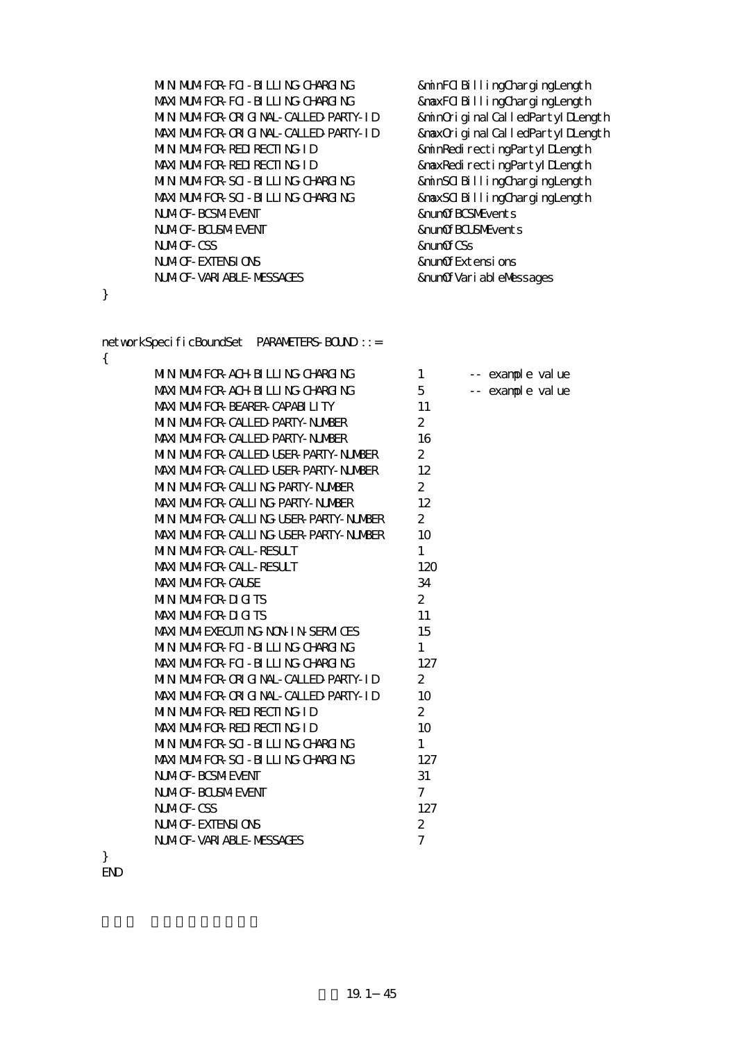MIN MIM-FOR-FOI-BILLING-CHARGING &minFCIBillingChargingLength MAXIMUM-FOR-FOI-BILLING-CHARGING &maxFOIBillingChargingLength MINIMUM-FOR-ORIGINAL-CALLED-PARTY-ID &minOriginalCalledPartyIDLength MAXIMUM-FOR-ORIGINAL-CALLED-PARTY-ID &maxOriginalCalledPartyIDLength MIN MIM-FOR-REDIRECTING-ID &minRedirectingPartyIDLength MAXIMUM-FOR-REDIRECTING-ID &maxRedirectingPartyIDLength MIN MIM-FOR-SCI-BILLING-CHARGING &minSCIBillingChargingLength MAXIMUM-FOR-SCI-BILLING-CHARGING &maxSCIBillingChargingLength NUMCF-BCSMEVENT **&numOfBCSMEvents** NUMCF-BOUSMEVENT &nunGFBOUSMEvents NUMCF-CSS &numOfCSs NUM-OF-EXTENSIONS &numOfExtensions NUM-OF-VARIABLE-MESSAGES &numOfVariableMessages

}

{

networkSpecificBoundSet PARAMETERS-BOUND ::=

| MIN MIMFOR ACH BI LLING CHARCING      | 1                         | -- example value |
|---------------------------------------|---------------------------|------------------|
| MAXI MIMFOR: ACH BI LLI NG CHARCI NG  | $5^{\circ}$               | -- example value |
| MAXIMUM FOR BEARER CAPABILITY         | 11                        |                  |
| MIN MIMFOR CALLED PARTY-NUMBER        | $\mathbf{2}$              |                  |
| MAXI MIMFOR CALLED PARTY-NUMBER       | 16                        |                  |
| MIN MIMFOR CALLED USER PARTY-NUMBER   | $\mathbf{2}$              |                  |
| MAXI MIMFOR CALLED USER PARTY-NUMBER  | 12                        |                  |
| MIN MIMFOR CALLING PARTY-NUMBER       | $\mathbf{2}^{\mathsf{I}}$ |                  |
| MAXI NIMFOR CALLING PARTY-NUMBER      | 12                        |                  |
| MIN MIMFOR CALLING USER PARTY-NUMBER  | $\mathbf{2}$              |                  |
| MAXI NIMFOR CALLING USER PARTY-NUMBER | 10                        |                  |
| <b>MIN MIMFOR CALL RESULT</b>         | $\mathbf{1}$              |                  |
| MAXI MIMFOR CALL RESULT               | 120                       |                  |
| <b>MAXI MIMFOR CALSE</b>              | 34                        |                  |
| MN MMFCR- DIGITS                      | $\mathbf{2}$              |                  |
| MAXI MIMFOR DI GITS                   | 11                        |                  |
| MAXI MIMEXECUII NG NON IN SERM CES    | 15                        |                  |
| MIN MIMFOR-FOI-BILLING CHARGING       | $\mathbf{1}$              |                  |
| MAXI MIMFOR-FOI - BI LLI NG CHARCI NG | 127                       |                  |
| MIN MIMFOR ORIGINAL-CALLED PARTY-ID   | $\mathbf{2}$              |                  |
| MAXIMINA FOR ORIGINAL-CALLED PARTY-ID | 10 <sup>2</sup>           |                  |
| MIN MIMFOR RELI RECITING ID           | $\mathbf{2}^{\mathsf{I}}$ |                  |
| MAXIM MIMFOR RELIRECTI NG ID          | 10 <sup>2</sup>           |                  |
| MIN MIMFOR SCI - BI LLING CHARCING    | $\mathbf{1}$              |                  |
| MAXI NIMFOR SCI - BI LLING CHARCING   | 127                       |                  |
| NMCF-BCSMEVENT                        | 31                        |                  |
| <b>NMCF-BOLSMEVENT</b>                | $\mathcal I$              |                  |
| NMCF-CSS                              | 127                       |                  |
| NMCF-EXTENSIONS                       | $\mathbf{2}$              |                  |
| N MCF-VARI ABI F-MESSACES             | $\tau$                    |                  |
|                                       |                           |                  |

}

END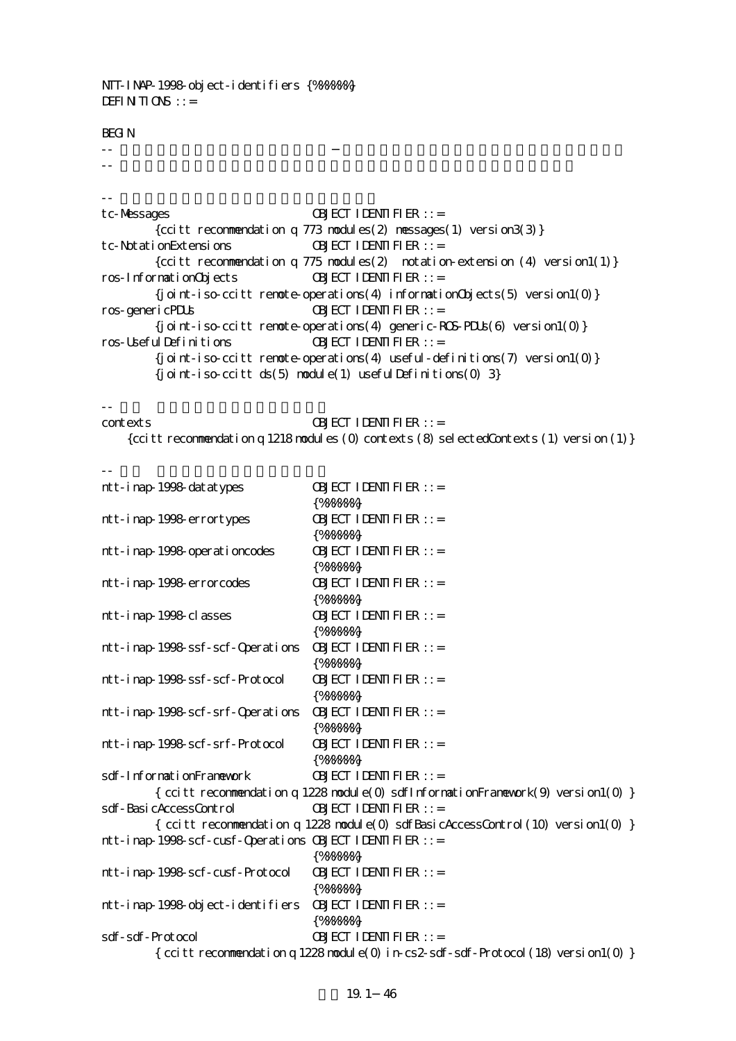NTT-INAP-1998-object-identifiers {%%%%%%} DEFINITIONS  $\cdot$ := BEGIN -- トラックス 1998年には1998年には1998年には1998年には1998年には1998年には1998年には1998年には1998年には1998年には1998年には1998年には1998年には -- ラクトおよびアプリケーションコンテキストにオブジェクト識別子を割り当てる。 -- TCAP、ROSからのモジュールに対して、 tc-Messages **OBJECT IDENTIFIER** ::= {ccitt recommendation q  $773$  modules(2) messages(1) version3(3)} tc-NotationExtensions OBJECT IDENTIFIER ::= {ccitt recommendation q 775 modules(2) notation-extension (4) version1(1)} ros-InformationObjects OBJECT IDENTIFIER ::=  $\{j \text{ oint-iso-ccitt}$  remote-operations(4) informationObjects(5) version1(0) $\}$ ros-genericPDUs OBJECT IDENTIFIER ::=  $\{j \text{ oint-iso-ccitt remote-operations}(4) \text{ generic-ROS-PLs}(6) \text{versi} \text{ on } 1(0)\}$ ros-UsefulDefinitions OBJECT IDENTIFIER ::= { $j$  oint-iso-ccitt remote-operations(4) useful-definitions(7) version1(0)}  $\{j \text{ oi} \text{ nt } - i \text{ so-ccitt } ds(5) \text{ modul } e(1) \text{ useful Defini} tions(0)$  3} -- IN CS1のモジュールに対して、 contexts **CBJECT IDENTIFIER ::=** {ccitt recommendation q 1218 modules (0) contexts  $(8)$  selectedContexts  $(1)$  version  $(1)$ } -- IN CS2のモジュールに対して、 ntt-inap-1998-datatypes OBJECT IDENTIFIER ::= {%%%%%%} ntt-inap-1998-errortypes OBJECT IDENTIFIER ::= {%%%%%%} ntt-inap-1998-operationcodes OBJECT IDENTIFIER ::= {%%%%%%} ntt-inap-1998-errorcodes OBJECT IDENTIFIER ::= {%%%%%%} ntt-inap-1998-classes OBJECT IDENTIFIER ::= {%%%%%%} ntt-inap-1998-ssf-scf-Operations OBJECT IDENTIFIER ::= {%%%%%%} ntt-inap-1998-ssf-scf-Protocol OBJECT IDENTIFIER ::= {%%%%%%} ntt-inap-1998-scf-srf-Operations OBJECT IDENTIFIER ::= {%%%%%%} ntt-inap-1998-scf-srf-Protocol OBJECT IDENTIFIER ::= {%%%%%%}  $sdf$ -InformationFramework **OBJECT IDENTIFIER** ::=  $\{ \text{ccit } t \text{ reconstructed} \text{ is an } 1228 \text{ model} \in (0) \text{ sdf} \text{ Informati on } F \text{ can work}(\text{9}) \text{ versus on } 1(0) \}$ sdf - BasicAccessControl **OBJECT IDENTIFIER** ::= { ccitt recommendation q 1228 module(0) sdfBasicAccessControl(10) version1(0) } ntt-inap-1998-scf-cusf-Operations OBJECT IDENTIFIER ::= {%%%%%%} ntt-inap-1998-scf-cusf-Protocol OBJECT IDENTIFIER ::= {%%%%%%} ntt-inap-1998-object-identifiers OBJECT IDENTIFIER ::= {%%%%%%} sdf-sdf-Protocol **OBJECT IDENTIFIER ::=** { ccitt recommendation q 1228 module(0) in-cs2-sdf-sdf-Protocol(18) version1(0) }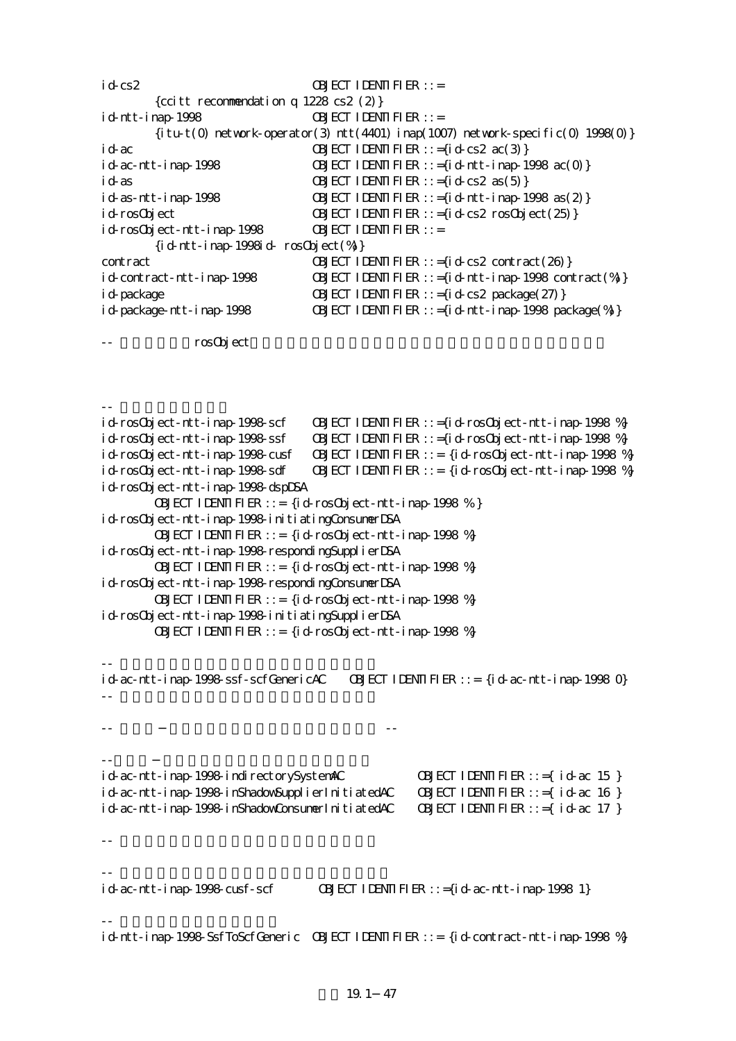$i \, \text{d} \, \text{cs2}$  OBJECT IDENTIFIER ::= {ccitt recommendation q  $1228 \text{ cs}2 (2)$ }  $id$ -ntt-inap-1998 **OBJECT IDENTIFIER** ::=  $\{i \text{ t} \cup \text{ t}(0) \text{ net work-operat}$  or (3)  $\text{ nt}(4401)$  inap(1007) network-specific(0) 1998(0)} id-ac OBJECT IDENTIFIER ::={id-cs2 ac(3)} id-ac-ntt-inap-1998  $\qquad \qquad \qquad \text{BECT I EENT F IER}::=\{id\text{ntt-imp-1998 ac(0)}\}$  $i \, d$ -as  $C$ BJECT IDENTIFIER ::={ $i \, d \, \text{cs2}$  as(5)} id-as-ntt-inap-1998  $\qquad \qquad \text{(BIECT IDEMI} \text{ FIER} :: = \text{if } d \text{ nt} - \text{inap-1998 as}(2) \}$  $i\text{d}$ -rosObject **OBJECT IDENTIFIER** :: $=i\text{d}$ -cs2 rosObject(25)}  $id\ r \infty$ Object-ntt-inap-1998 OBJECT IDENTIFIER ::=  $\{i \, d \text{-} n \, t \cdot i \, \text{map } 1998i \, d \cdot \text{cos}(b) \}$ ect $(\%)$ contract **OBJECT IDENTIFIER** :: ={id-cs2 contract(26)} id-contract-ntt-inap-1998  $\qquad \qquad \text{BECT I EENT F IER}$ :: $=$ {id-ntt-inap-1998 contract(%)} id-package OBJECT IDENTIFIER ::={id-cs2 package(27)} id-package-ntt-inap-1998 OBJECT IDENTIFIER ::={id-ntt-inap-1998 package(%)} --  $\cdot$  rosObject -- ROSオブジェクト id-rosObject-ntt-inap-1998-scf OBJECT IDENTIFIER ::= $\{i\}$ d-rosObject-ntt-inap-1998  $\%$ id-rosObject-ntt-inap-1998-ssf  $\qquad$  OBJECT IDENTIFIER :: $=$ {id-rosObject-ntt-inap-1998  $\%$ id-rosObject-ntt-inap-1998-cusf OBJECT IDENTIFIER ::= {id-rosObject-ntt-inap-1998 %} id-rosObject-ntt-inap-1998-sdf OBJECT IDENTIFIER ::= {id-rosObject-ntt-inap-1998 %} id-rosObject-ntt-inap-1998-dspDSA OBJECT IDENTIFIER ::=  $\{i \, d \cdot r \, \text{cos}(b) \, \text{etc.} \}$ id-rosObject-ntt-inap-1998-initiatingConsumerDSA OBJECT IDENTIFIER ::=  $\{i \, d \cdot r \, \text{cos} \, Q \}$  ect-ntt-inap-1998  $\%$ id-rosObject-ntt-inap-1998-respondingSupplierDSA OBJECT IDENTIFIER ::=  $\{i \, \text{d} \cdot \text{rosO} \}$  ect-ntt-inap-1998  $\%$ id-rosObject-ntt-inap-1998-respondingConsumerDSA OBJECT IDENTIFIER ::=  $\{i \, d \cdot \text{cos}(b) \, \text{etc.} \}$  inap-1998  $\%$ id-rosObject-ntt-inap-1998-initiatingSupplierDSA OBJECT IDENTIFIER ::=  $\{i \, \text{d} \cdot \text{r} \cos \text{d} \}$ ect-ntt-inap-1998  $\%$ -- SSF/SCFアプリケーションコンテキスト id-ac-ntt-inap-1998-ssf-scfGenericAC OBJECT IDENTIFIER ::= {id-ac-ntt-inap-1998 0} -- SRF/SCFアプリケーションコンテキスト -- SCF-SDFアプリケーションコンテキスト -- --SDF-SDFアプリケーションコンテキスト id-ac-ntt-inap-1998-indirectorySystemAC OBJECT IDENTIFIER ::={ id-ac 15 } id-ac-ntt-inap-1998-inShadowSupplierInitiatedAC  $\qquad$  OBJECT IDENTIFIER ::={ id-ac 16 } id-ac-ntt-inap-1998-inShadowConsumerInitiatedAC OBJECT IDENTIFIER :: $=$ { id-ac 17 } -- SCF/SCFアプリケーションコンテキスト

id-ac-ntt-inap-1998-cusf-scf OBJECT IDENTIFIER ::={id-ac-ntt-inap-1998 1}

-- CUSF/SCFアプリケーションコンテキスト

-- SSF/SCFコントラクト

id-ntt-inap-1998-SsfToScfGeneric OBJECT IDENTIFIER ::= {id-contract-ntt-inap-1998 %}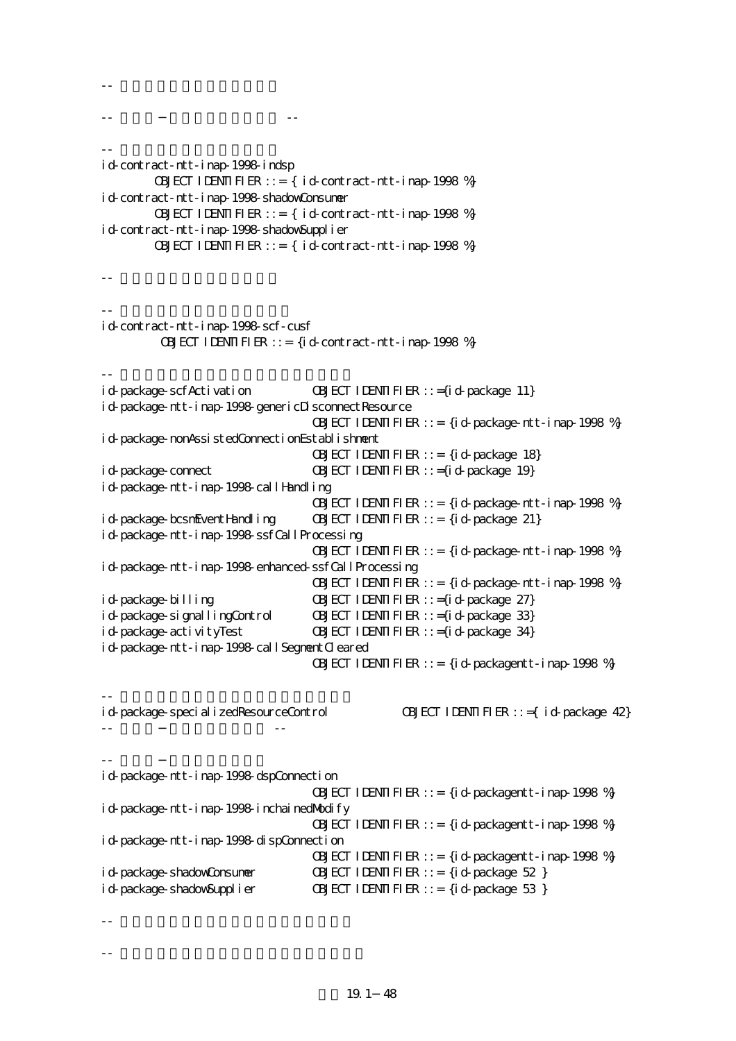-- SCF-SDFコントラクト -- -- SDF/SDFコントラクト id-contract-ntt-inap-1998-indsp OBJECT IDENTIFIER ::=  $\{$  id-contract-ntt-inap-1998  $\%$ id-contract-ntt-inap-1998-shadowConsumer OBJECT IDENTIFIER ::=  $\{$  id-contract-ntt-inap-1998  $\%$ id-contract-ntt-inap-1998-shadowSupplier OBJECT I DENTIFIER ::=  $\{$  i d-contract-ntt-inap-1998  $\%$ -- SCF/SCFコントラクト -- CUSF/SCFコントラクト id-contract-ntt-inap-1998-scf-cusf OBJECT IDENTIFIER ::=  $\{i \, \text{d} \cdot \text{cont} \cdot \text{ract} \cdot \text{d} \cdot \text{tr} \cdot 1998\% \}$ -- SSF/SCFオペレーションパッケージ id-package-scfActivation OBJECT IDENTIFIER ::={id-package 11} id-package-ntt-inap-1998-genericDisconnectResource OBJECT IDENTIFIER ::= {id-package-ntt-inap-1998 %} id-package-nonAssistedConnectionEstablishment OBJECT I DENTIFIER  $:$ : = {i d-package 18} id-package-connect **OBJECT IDENTIFIER** :: = {id-package 19} id-package-ntt-inap-1998-callHandling OBJECT IDENTIFIER ::=  $\{id\}$  package-ntt-inap-1998  $\%$ id-package-bcsmEventHandling OBJECT IDENTIFIER ::=  $\{id\}$  package 21} id-package-ntt-inap-1998-ssfCallProcessing OBJECT I DENII FIER :: =  $\{i \, d\}$  package-nt t - i nap-1998  $\%$ id-package-ntt-inap-1998-enhanced-ssfCallProcessing OBJECT IDENTIFIER ::= {id-package-ntt-inap-1998 %} id-package-billing OBJECT IDENTIFIER :: = {id-package 27} id-package-signallingControl OBJECT IDENTIFIER ::={id-package 33} id-package-activityTest OBJECT IDENTIFIER ::={id-package 34} id-package-ntt-inap-1998-callSegmentCleared OBJECT I DENII FIER ::=  $\{i \, d \cdot \text{packet} \cdot i \, \text{map} \, 1998 \, \%$ -- SRF/SCFオペレーションパッケージ id-package-specializedResourceControl OBJECT IDENTIFIER ::={ id-package 42} -- SCF-SDFパッケージ -- -- SDF-SDFパッケージ id-package-ntt-inap-1998-dspConnection OBJECT IDENTIFIER ::=  $\{i \, d \cdot \text{packagent} \cdot i \, \text{map} \, 1998 \, \%$ id-package-ntt-inap-1998-inchainedModify OBJECT I DENII FIER ::=  $\{i \, d \cdot \text{packet} \cdot i \, \text{map} \, 1998 \, \%$ id-package-ntt-inap-1998-dispConnection OBJECT I DENII FIER ::=  $\{i \, d \cdot \text{packet} \cdot i \, \text{map} \, 1998 \, \%$ id-package-shadowConsumer OBJECT IDENTIFIER ::= {id-package 52 } id-package-shadowSupplier OBJECT IDENTIFIER ::= {id-package 53 }

-- SRF/SCFコントラクト

-- SCF/SCFオペレーションパッケージ

19.1 48

-- CUSF/SCFオペレーションパッケージ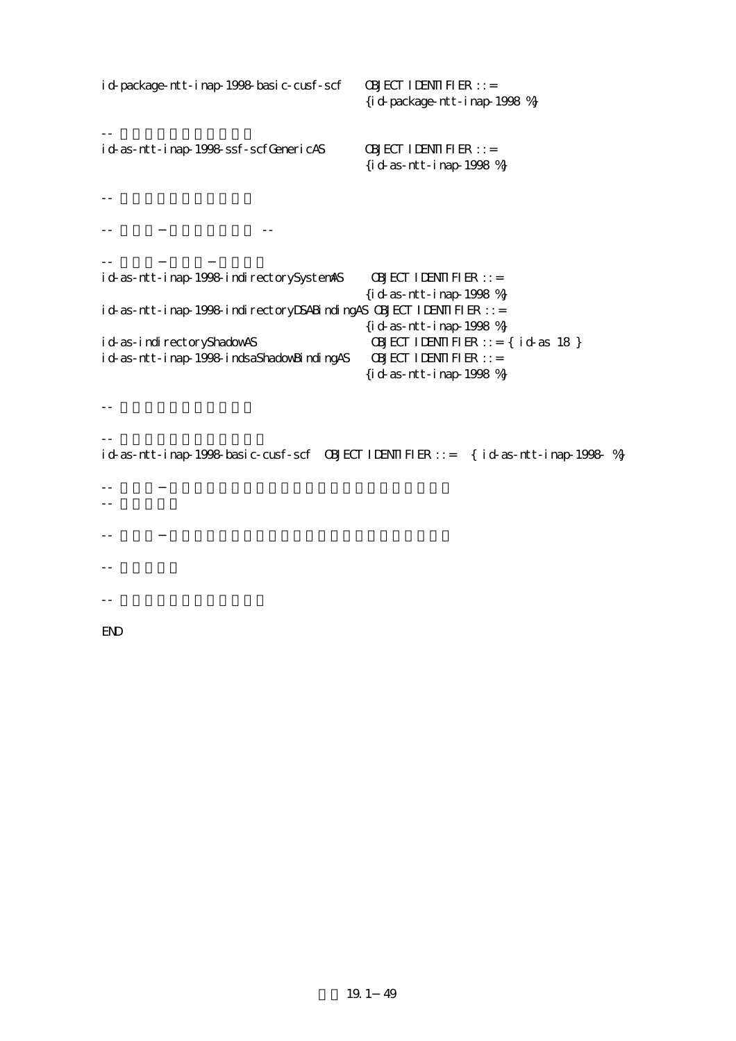id-package-ntt-inap-1998-basic-cusf-scf OBJECT IDENTIFIER ::= {id-package-ntt-inap-1998 %} -- SSF/SCF抽象構文 id-as-ntt-inap-1998-ssf-scfGenericAS OBJECT IDENTIFIER ::=  $\{i\,d\text{-}as\text{-}nt\text{-}i\text{-}map\text{-}1998\%$ -- SRF/SCF抽象構文 -- SCF-SDF抽象構文 -- -- SDF-SDF-抽象構文 id-as-ntt-inap-1998-indirectorySystemAS OBJECT IDENTIFIER ::=  $\{i\,d\,as\,nt\cdot i\,map\,1998\,\%$ id-as-ntt-inap-1998-indirectoryDSABindingAS OBJECT IDENTIFIER ::=  $\{i\,d\text{ as-ntt-}\}$  and  $\frac{1998}{9}$ id-as-indirectoryShadowAS OBJECT IDENTIFIER ::= { id-as 18 } id-as-ntt-inap-1998-indsaShadowBindingAS OBJECT IDENTIFIER ::= {id-as-ntt-inap-1998 %} -- SCF/SCF抽象構文 -- CUSF/SCF抽象構文 id-as-ntt-inap-1998-basic-cusf-scf OBJECT IDENTIFIER ::= { id-as-ntt-inap-1998- %} -- SDF-SDFインタフェースに対するオブジェクト識別子 -- 有用な定義 -- SDF-SDFインタフェースに対するオブジェクト識別子 -- SDF属性 -- SDF属性値コンテキスト END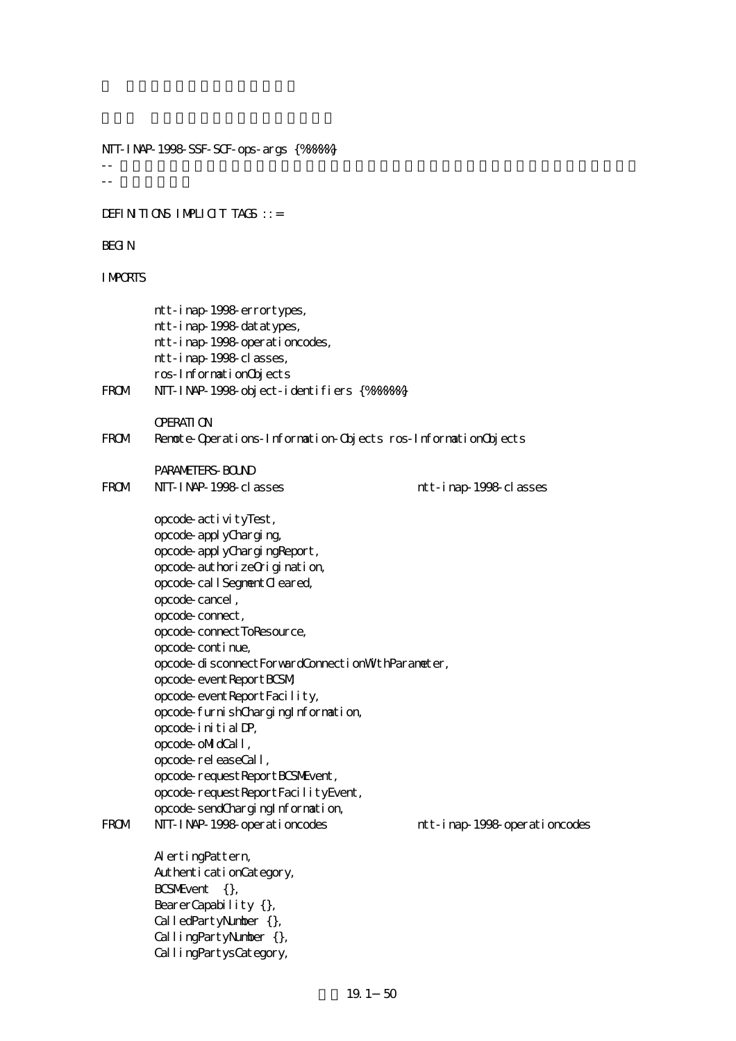ntt-inap-1998-errortypes, ntt-inap-1998-datatypes, ntt-inap-1998-operationcodes, ntt-inap-1998-classes, ros-InformationObjects FROM NTT-INAP-1998-object-identifiers {%%%%%} OPERATION FROM Remote-Operations-Information-Objects ros-InformationObjects PARAMETERS-BOUND FROM NTT-INAP-1998-classes ntt-inap-1998-classes opcode-activityTest, opcode-applyCharging, opcode-applyChargingReport, opcode-authorizeOrigination, opcode-call Segment Cleared, opcode-cancel, opcode-connect, opcode-connectToResource, opcode-continue, opcode-disconnectForwardConnectionWithParameter, opcode-event Report BCSM opcode-eventReportFacility, opcode-furnishChargingInformation, opcode-initialDP, opcode-oMidCall, opcode-releaseCall, opcode-request Report BCSMEvent, opcode-requestReportFacilityEvent, opcode-sendChargingInformation, FROM NTT-INAP-1998-operationcodes ntt-inap-1998-operationcodes AlertingPattern, Authent i cat i onCat egory, BCSMEvent {}, BearerCapability {}, CalledPartyNumber {}, CallingPartyNumber {},

-- 本定義に対するオブジェクト識別子は、物理エンティティ間で交換されるものではないため、

## IMPORTS

-- 付与しない。

NTT-INAP-1998-SSF-SCF-ops-args {%%%%%}

DEFINITIONS IMPLICITIONS  $\cdot$ :=

BEGIN

19.1 50

CallingPartysCategory,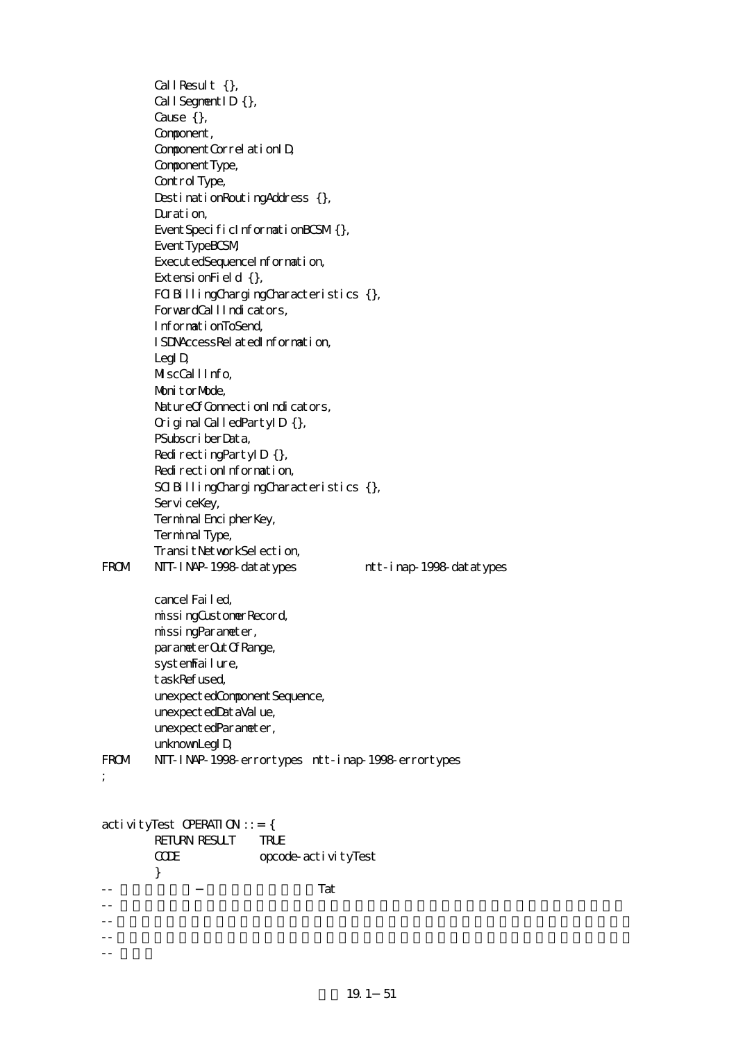Call Result  $\{\}$ , Call Segment ID { }, Cause {}, Component, Component Correl at i on ID, Component Type, Control Type, DestinationRoutingAddress {}, Duration, Event SpecificInformationBCSM{}, EventTypeBCSM, Execut edSequenceInformation, ExtensionField  $\{\}$ , FCIBillingChargingCharacteristics {}, ForwardCallIndicators. InformationToSend, ISDNAccessRelatedInformation, LegID, MiscCallInfo, MonitorMode. Nature Of Connection Indicators, OriginalCalledPartyID {}, PSubscriberData, RedirectingPartyID { }. RedirectionInformation, SCIBillingChargingCharacteristics {}, ServiceKey, Terminal EncipherKey, TerminalType, TransitNetworkSelection, FROM NTT-INAP-1998-datatypes ntt-inap-1998-datatypes cancel Failed,

 missingCustomerRecord, missingParameter, parameterOut Of Range, systemFailure, taskRefused, unexpectedComponentSequence, unexpectedDataValue, unexpect edParameter, unknownLegID, FROM NTT-INAP-1998-errortypes ntt-inap-1998-errortypes

;

activityTest OPERATION ::= { RETURN RESULT TRUE CODE opcode-activityTest } -- Tat -- このオペレーションはSCFとSSF間の関係が継続して存在していることをチェックする -- トラック・スターのように、タイプのデザインのようになる。もし、関係が受けて行く方法が受けて行く方法が受けて行く方法が受けています。 -- 信されなければ、SCFはSSFがなんらかの形で故障したと想定し、適切な動作をとるであ  $-$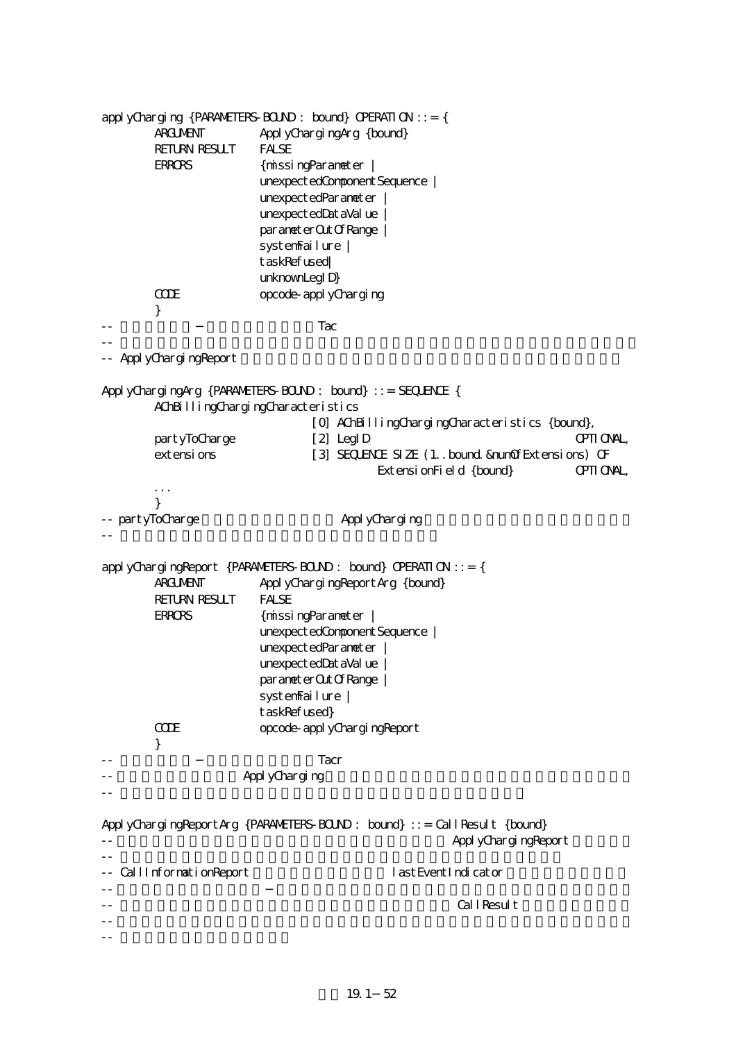```
applyCharging {PARA\setminus EIERS-B\cup D}: bound} OPERATION ::= {
       ARGUMENT ApplyChargingArg {bound} 
      RETURN RESULT FALSE
       ERRORS {missingParameter | 
                    unexpect edComponent Sequence |
                    unexpectedParameter |
                     unexpectedDataValue | 
                    paraneterOutGFRange systemFailure | 
                     taskRefused| 
                     unknownLegID} 
       CODE opcode-applyCharging 
       } 
-- 方向:SCF->SSF、タイマ:Tac 
-- このオペレーションはSCFからSSFの課金メカニズムと相互動作するために用いられる。
-- ApplyChargingReport
ApplyChargingArg {PARAMETERS-BOUND : bound} ::= SEQUENCE {
       AChBillingChargingCharacteristics 
                            [0] AChBillingChargingCharacteristics {bound}, 
      partyToCharge [2] LegID OPTIONAL,
       extensions [3] SEQUENCE SIZE (1..bound.&numOfExtensions) OF 
                                   ExtensionField {bound} OPTIONAL,
 ... 
       } 
-- partyToCharge ApplyCharging
-- を示す。もし存在しなければ、Aパーティに適用される。 
applyChargingReport {PARAMETERS-BOUND : bound} OPERATION ::= { 
       ARGUMENT ApplyChargingReportArg {bound} 
      RETURN RESULT FALSE
       ERRORS {missingParameter | 
                    unexpect edComponent Sequence |
                     unexpectedParameter | 
                     unexpectedDataValue | 
                    paraneterOut C Range \mid systemFailure | 
                     taskRefused} 
       CODE opcode-applyChargingReport 
       } 
-- Tacr Tacr
-- ApplyCharging
-- 金イベントの発生をSCFに報告するためにSSFによって用いられる。 
ApplyChargingReportArg {PARAMETERS-BOUND : bound} ::= CallResult {bound}
-- <sup>2</sup> ApplyChargingReport 2014
-- ョンを送信する時、そのイベントがSCFへの最後のものかどうかを示すために 
-- CallInformationReport lastEventIndicator
-- れる。しかしながら、CS-1でのパラメータ拡張に対する考慮がないため、このパラメータ 
-- the theory and the three terms are the terms of the terms of the call Result \sim-- れることである。そして他の2つはこのパラメータをもつ新たなオペレーションを規定するこ 
-- とである。後者は課題である。
```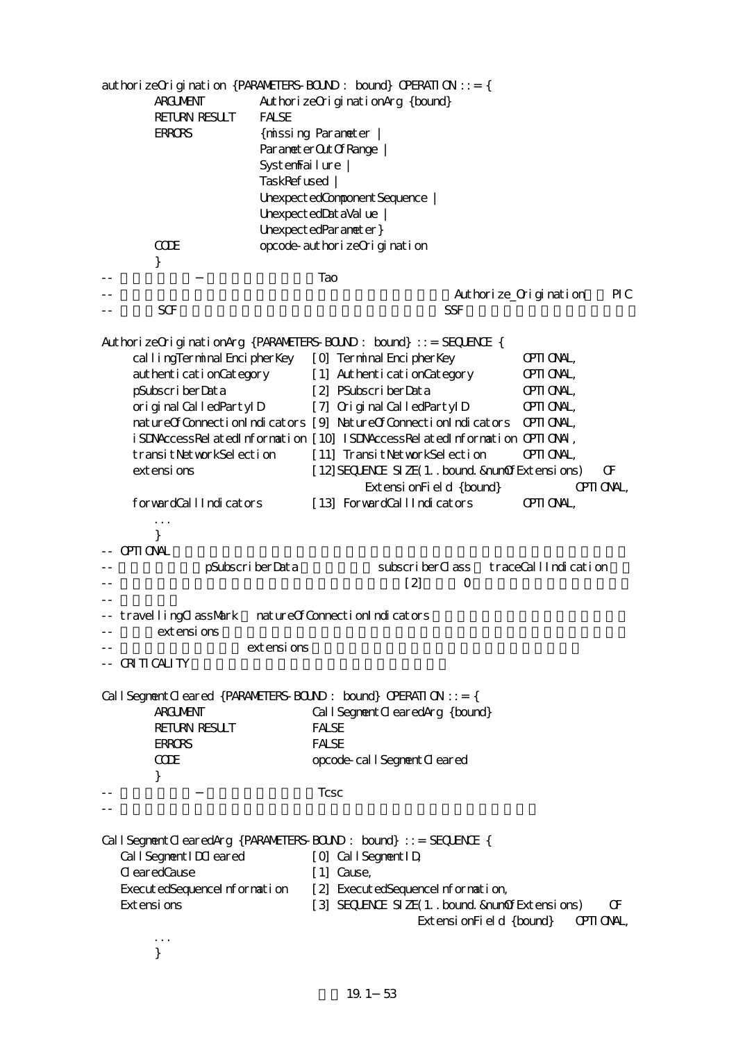```
authorizeOrigination {PARAMETERS-BOUND : bound} OPERATION ::= {
        ARGUMENT AuthorizeOriginationArg {bound} 
       RETURN RESULT FALSE
        ERRORS {missing Parameter | 
                       ParameterOut Of Range |
                        SystemFailure | 
                        TaskRefused | 
                       Unexpect edComponent Sequence |
                       Unexpect edDat aValue |
                       Unexpect edParameter}
        CODE opcode-authorizeOrigination 
        } 
-- Tao
-- Authorize_Origination PIC
-- から、SCF より受信される情報に基づいて継続することを SSF に要求するために用いられる。
AuthorizeOriginationArg {PARAMETERS-BOUND : bound} ::= SEQUENCE {
    callingTerminalEncipherKey [0] TerminalEncipherKey OPTIONAL,
     authenticationCategory [1] AuthenticationCategory OPTIONAL,
     pSubscriberData [2] PSubscriberData OPTIONAL, 
     originalCalledPartyID [7] OriginalCalledPartyID OPTIONAL, 
     natureOfConnectionIndicators [9] NatureOfConnectionIndicators OPTIONAL, 
    iSDNAccessRelatedInformation [10] ISDNAccessRelatedInformation OPIIONA,
    transitNetworkSelection [11] TransitNetworkSelection OPTIONAL
    extensions [12] SEQUENCE SIZE(1..bound.&numOfExtensions) OF
                                       ExtensionField {bound} OPTIONAL,
     forwardCallIndicators [13] ForwardCallIndicators OPTIONAL, 
        ... 
        } 
-- CPTIONAL
-- pSubscriberData subscriberClass traceCallIndication
-- \vert 2 \vert = 0 \vert 3 \vert = 0 \vert 4 \vert = 0 \vert 5 \vert = 0 \vert 6 \vert = 0 \vert 7 \vert = 0 \vert 8 \vert = 0 \vert 6 \vert = 0 \vert 7 \vert = 0 \vert 8 \vert = 0 \vert 1 \vert = 0 \vert 1 \vert = 1 \vert 1 \vert = 1 \vert 1 \vert = 1 \vert 1 \vert = 1 \vert 1 \vert = 1 \vert 1 \vert = 1 \vert 1 \vert = 1 \-- とに注意。 
-- travellingClassMark natureOfConnectionIndicators
        extensions
                     extensions
-- CRITICALITY
Call Segment Cleared {PARAMETERS-BOUND : bound} OPERATION ::= {
       ARGUMENT Call Segment ClearedArg {bound}
       RETURN RESULT FALSE
        ERRORS FALSE 
       CODE opcode-call Segment Cleared
        } 
-- Tcsc
-- 本オペレーションはコールセグメントの解放を通知するために利用される。 
Call Segment ClearedArg {PARAMETERS-BOUND : bound} ::= SEQUENCE {
  Call Segment IDCleared [0] Call Segment ID
   ClearedCause [1] Cause, 
  ExecutedSequenceInformation [2] ExecutedSequenceInformation,
   Extensions [3] SEQUENCE SIZE(1..bound.&numOfExtensions) OF 
                                              ExtensionField {bound} OPTIONAL,
 ... 
        }
```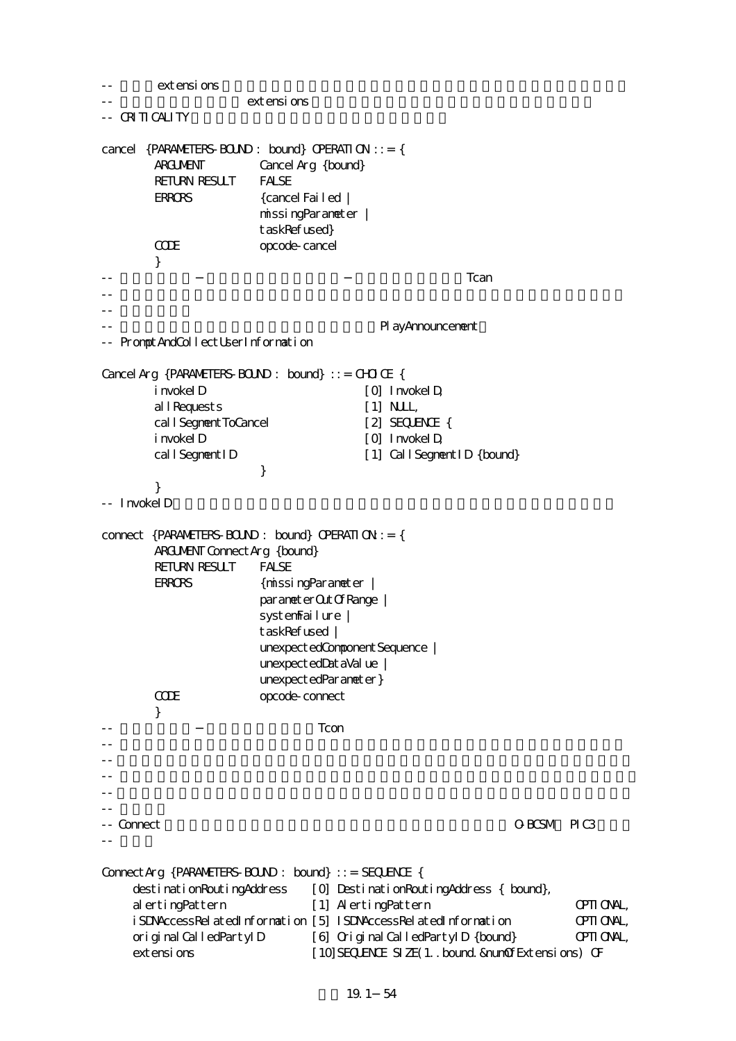```
-- extensions
                 extensions
-- CRITICALITY
cancel {PARAMETERS-BOUND : bound} OPERATION ::= {
       ARGUMENT CancelArg {bound} 
      RETURN RESULT FALSE
       ERRORS {cancelFailed | 
                   missingParameter | 
                   taskRefused} 
       CODE opcode-cancel 
       } 
-- Tcan
-- このオペレーションは相関のある以前のオペレーションもしくは以前のすべての要求をキャ 
-- ンセルする。 
                                 Pl ayAnnouncement
-- Prompt AndCollectUserInformation
Cancel Arg {PARAMETERS-BOUND : bound} ::= CHOICE {
      invokeID [0] InvokeID
       allRequests [1] NULL, 
      cal I Segment ToCancel [2] SEQUENCE {
      invokeID [0] InvokeID
      call Segment ID [1] Call Segment ID {bound}
 } 
       } 
-- InvokeID
connect {PARAMENTERS-BCND : bound} OPERATION: = {
       ARGUMENT ConnectArg {bound} 
      RETURN RESULT FALSE
       ERRORS {missingParameter | 
                   paraneterOut GrRange \mid systemFailure | 
                    taskRefused | 
                   unexpect edComponent Sequence |
                    unexpectedDataValue | 
                   unexpect edParameter}
       CODE opcode-connect 
       } 
                         Tcon
-- 本オペレーションは呼を特定の宛先に接続もしくは転送する呼処理動作の実行をSSFに要 
-- 求するのに用いられる。そのために、SSFは、SCFから提供された情報に依存して、発加 
-- 入者がらの際に、スキャングの原発を行っている。
-- トランク群のリストに対するルートインデックス)を用いるかも知れないし、用いないかも知 
-- れない。 
-- Connect Connect Connect CO-BCSM O-BCSM PIC3
-- する。 
Connect Arg {PARAMETERS-BOUND : bound} ::= SEQUENCE {
   destinationRoutingAddress [0] DestinationRoutingAddress { bound},
    alertingPattern [1] AlertingPattern OPTIONAL, 
    iSDNAccessRelatedInformation [5] ISDNAccessRelatedInformation OPTIONAL, 
    originalCalledPartyID [6] OriginalCalledPartyID {bound} OPTIONAL, 
   extensions [10] SEQUENCE SIZE(1..bound.&numOfExtensions) OF
```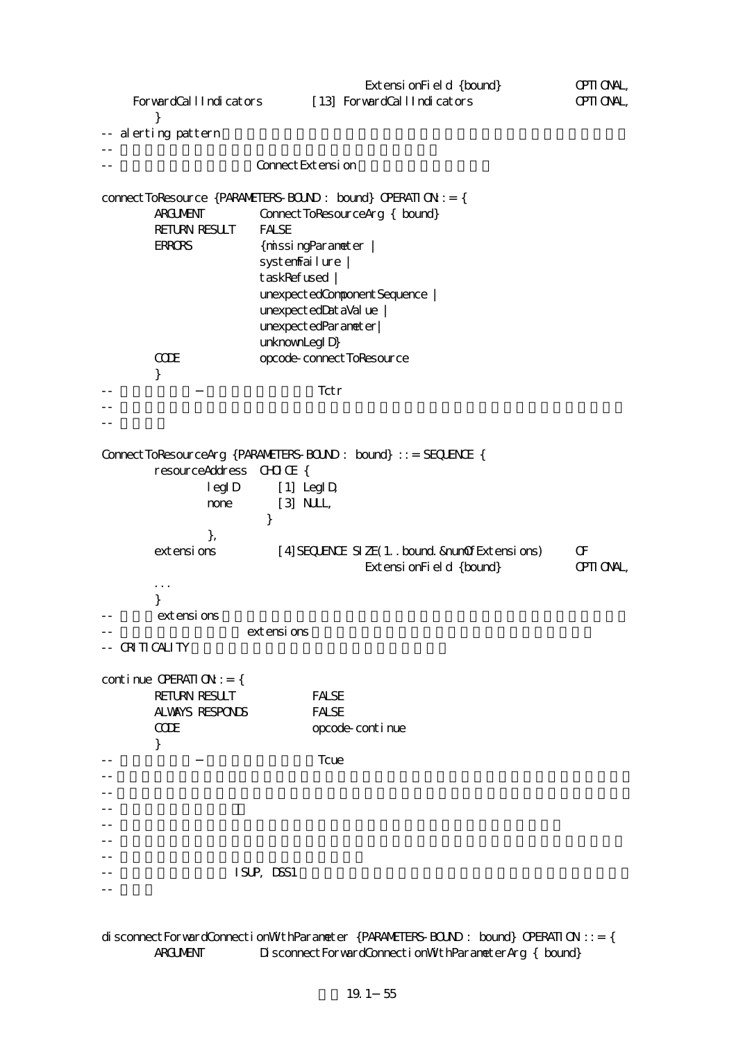ExtensionField {bound} OPTIONAL, ForwardCallIndicators [13] ForwardCallIndicators OPTIONAL, } -- alerting pattern -- ある場合にのみこのパラメータが適用されることを示す。 -- Connect Extension connectToResource {PARAMETERS-BOUND : bound} OPERATION::= { ARGUMENT ConnectToResourceArg { bound} RETURN RESULT FALSE ERRORS {missingParameter | systemFailure | taskRefused | unexpect edComponent Sequence | unexpectedDataValue | unexpectedParameter| unknownLegID} CODE opcode-connectToResource } -- Tetr -- このオペレーションは呼をSSPからSRFをもつ物理エンティティへ接続するために用い -- られる。 Connect ToResourceArg {PARAMETERS-BOUND : bound} ::= SEQUENCE { resourceAddress CHICE { legID [1] LegID, none [3] NULL, } }, extensions [4] SEQUENCE SIZE(1..bound.&numOfExtensions) OF ExtensionField {bound} OPTIONAL, ... } -- extensions extensions -- CRITICALITY continue OPERATION: =  $\{$ RETURN RESULT FALSE ALWAYS RESPONDS FALSE CODE opcode-continue } -- Tcue -- 本オペレーションは、SCFからの命令を待つために以前に中断している呼処理点であるDP -- から呼処理を継続することをSSFに要求するのに用いられる(即ち、BCSMの次のポイン -- トインコールに進む)。 -- SSFは、SCFからの新しいデータで置き変えること無く呼処理を継続する。 -- このオペレーションは2つ以上のレグをもつ単一コールセグメントCSAまたは複数のコー -- ルセグメントCSAに対しては妥当でない。 -- ISUP, DSS1  $-$ 

disconnect ForwardConnectionWthParameter  ${PARAWEIEKS-BUND: bound}$  OPERATION ::=  ${$ ARGUMENT Disconnect ForwardConnectionWithParameterArg { bound}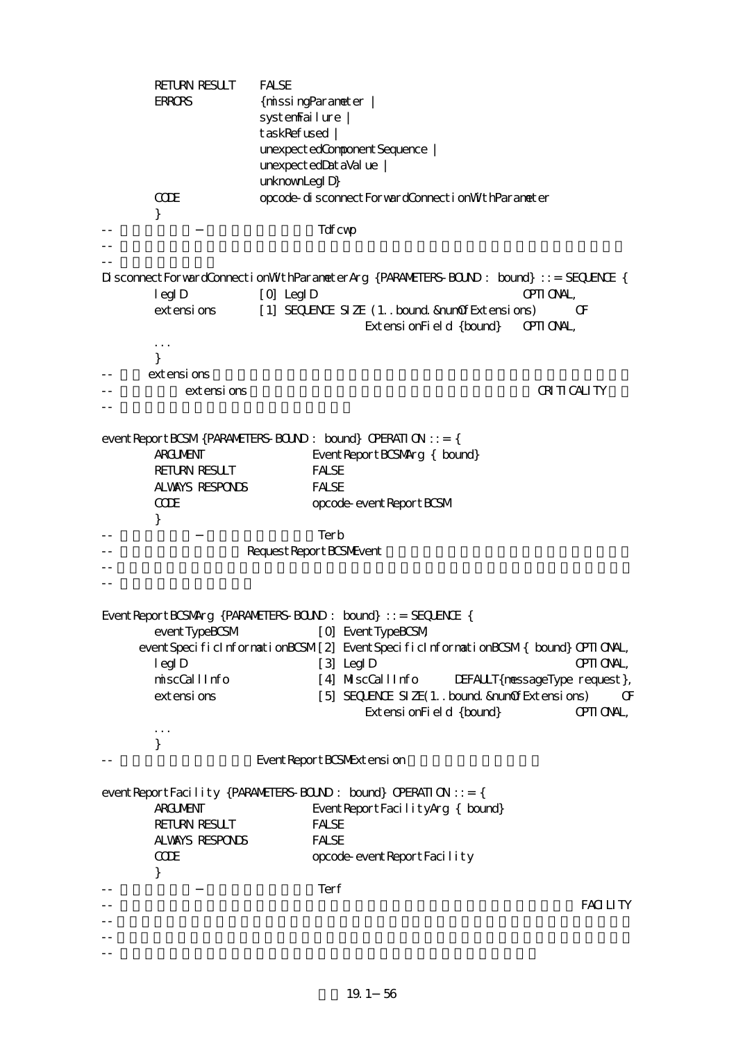```
RETURN RESULT FALSE
       ERRORS {missingParameter | 
                   systemFailure | 
                    taskRefused | 
                   unexpect edComponent Sequence |
                    unexpectedDataValue | 
                    unknownLegID} 
       CODE opcode-disconnectForwardConnectionWithParameter 
       } 
-- Tdf cvp
-- このオペレーションは指定されたコールセグメントのリソースへのコネクションを切断する 
- - -Disconnect ForwardConnectionWthParameterArg {PARAMETERS-BOUND : bound} ::= SEQUENCE {
      \text{legID} [0] \text{LegID} OPTIONAL,
      extensions [1] SEQUENCE SIZE (1..bound.&numOfExtensions) OF
                               ExtensionField {bound} OPTIONAL,
       ... 
       } 
-- extensions
-- extensions \alpha-- 応した処理がサポートされる必要がある。 
event Report BCSM { PARAMETERS-BOUND : bound} OPERATION ::= {
      ARGUMENT Event Report BCSMArg { bound}
      RETURN RESULT FALSE
       ALWAYS RESPONDS FALSE 
       CODE opcode-eventReportBCSM 
       } 
                         Terb
-- Request Report BCSMEvent
-- た呼関連イベント(たとえば話中もしくは無応答といったBCSMイベント)をSCFに通知 
-- するために用いられる。 
Event Report BCSMArg { PARAMETERS-BOUND : bound} ::= SEQUENCE {
       eventTypeBCSM [0] EventTypeBCSM, 
    event SpecificInformationBCSM [2] Event SpecificInformationBCSM { bound} OPIIONAL,
      legID (3) LegID OPTIONAL,
       miscCallInfo [4] MiscCallInfo DEFAULT{messageType request}, 
      extensions [5] SEQUENCE SIZE(1..bound.&nunOfExtensions) OF
                               ExtensionField {bound} OPTIONAL
       ... 
       } 
                  Event Report BCSMExt ension
event Report Facility {PARAMETERS-BOUND : bound} OPERATION ::= {
      ARGUMENT Event Report FacilityArg { bound}
      RETURN RESULT FALSE
       ALWAYS RESPONDS FALSE 
       CODE opcode-eventReportFacility 
       } 
-- Terf
-- このオペレーションは以前にSCFにより要素されたイベント、SCFにより要素されたイベント、SCFにより要素されたイベント、CCFのオペレーションは以前により要素されたイベント、CCFのオペント、CCFのオペント、CCF
-- 情報要素を含むDSS1メッセージを受信したこと、を報告するためにSSFにより発行され 
-- る。このオペレーションを発行する前に、コンポーネントタイプで指定される結果応答の受信 
-- のように、報告に対するクライテリアがオプションとしてチェックされる。
```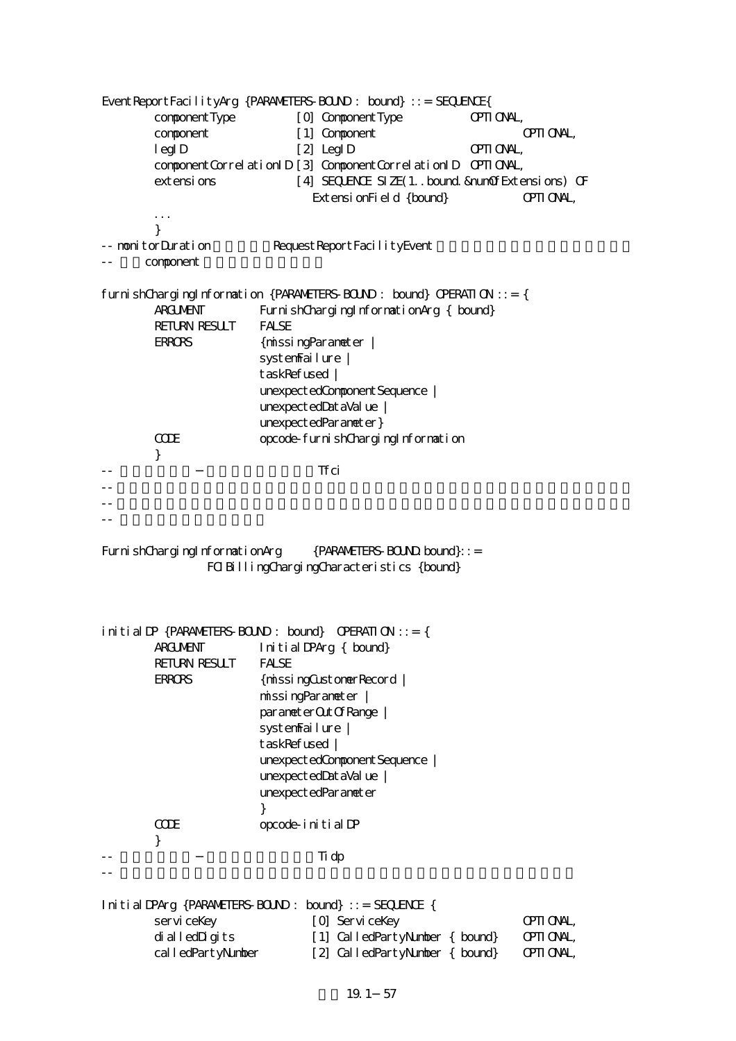Event Report FacilityArg {PARAMETERS-BOUND : bound}  $\therefore$  = SEQUENCE{ component Type [0] Component Type OPTIONAL, component [1] Component [1] Component OPTIONAL, legID [2] LegID OPTIONAL, component Correl at i on ID [3] Component Correl at i on ID OPTIONAL, extensions [4] SEQUENCE SIZE(1..bound.&numOfExtensions) OF ExtensionField {bound} OPTIONAL, ... } -- nonitorDuration RequestReportFacilityEvent -- component furnishChargingInformation {PARAMETERS-BOUND : bound} OPERATION ::= { ARGUMENT FurnishChargingInformationArg { bound} RETURN RESULT FALSE ERRORS {missingParameter | systemFailure | taskRefused | unexpect edComponent Sequence | unexpectedDataValue | unexpect edParameter} CODE opcode-furnishChargingInformation } -- Tfci -- このオペレーションは呼の記録を生成、登録するかあるいは何かの情報をデフォールトの呼記 -- 録に含めることをSSFに要求するために用いられる。登録された呼記録は呼のオフライン課 -- 金を意図するものである。 FurnishChargingInformationArg {PARAMETERS-BOUND bound}::= FCIBillingChargingCharacteristics {bound} initialDP {PARAMETERS-BOUND : bound} OPERATION ::= { ARGUMENT InitialDPArg { bound} RETURN RESULT FALSE ERRORS {missingCustomerRecord | missingParameter | parameterOutOfRange | systemFailure | taskRefused | unexpect edComponent Sequence | unexpectedDataValue | unexpect edParamet er } CODE opcode-initialDP } -- Tidp -- このオペレーションはサービスに対する要求を示すため、TDPの後で使われる。  $Init$ ialDPArg {PARAMETERS-BOUND : bound} ::= SEQUENCE { serviceKey [0] ServiceKey OPTIONAL, dialledDigits [1] CalledPartyNumber { bound} OPTIONAL, calledPartyNumber [2] CalledPartyNumber { bound} OPTIONAL,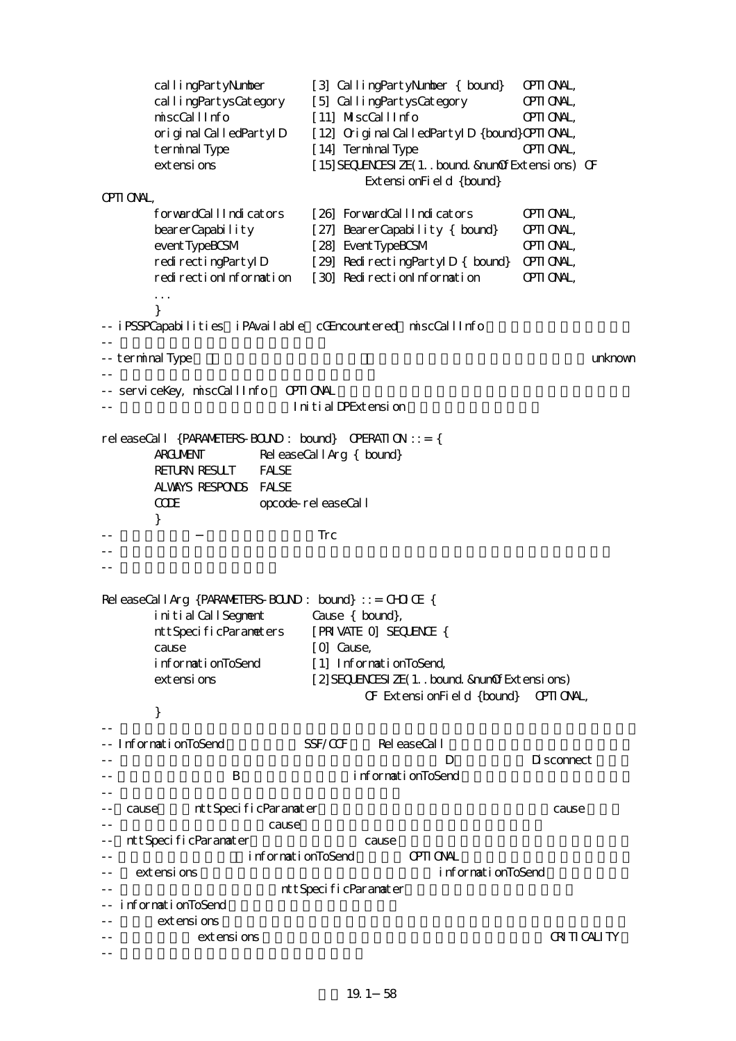```
 callingPartyNumber [3] CallingPartyNumber { bound} OPTIONAL, 
      callingPartysCategory [5] CallingPartysCategory OPTIONAL,
      miscCallInfo [11] MiscCallInfo OPTIONAL
       originalCalledPartyID [12] OriginalCalledPartyID {bound} OPTIONAL, 
      terminalType [14] TerminalType OPTIONAL,
      extensions [15]SEQUENCESIZE(1..bound.&numOfExtensions) OF
                             ExtensionField {bound}
OPTIONAL, 
       forwardCallIndicators [26] ForwardCallIndicators OPTIONAL, 
      bearerCapability [27] BearerCapability { bound} OPTIONAL,
      event TypeBCSM [28] Event TypeBCSM OPTIONAL
      redirectingPartyID [29] RedirectingPartyID { bound} OPTIONAL, 
     redirectionInformation [30] RedirectionInformation OPIIONAL,
 ... 
      } 
-- iPSSPCapabilities iPAvailable cGEncountered miscCallInfo
-- トワークオペレータ特有利用を示す。 
--terminalType that the state that the state \alpha-- として)常に送信される(必須)扱いとする。 
-- serviceKey, miscCallInfo CPIIONAL
-- Thitial DPExtension
releaseCall {PARAMETERS-BOUND : bound} OPERATION ::= { 
       ARGUMENT ReleaseCallArg { bound} 
      RETURN RESULT FALSE
     ALWAYS RESPONDS FALSE
      CODE opcode-releaseCall 
      } 
- \frac{1}{\sqrt{2}}-- このオペレーションは呼に関連するすべてのパーティに対して呼をどんなフェーズであれ 
-- 切断するために用いられる。 
ReleaseCallArg {PARAMETERS-BOUND : bound} ::= CHOICE {
      initialCallSegment Cause { bound}, 
      ntt SpecificParameters [PRIVATE 0] SEQUENCE {
     cause [0] Cause,
     informationToSend [1] InformationToSend,
      extensions [2] SEQUENCESIZE(1..bound.&numOfExtensions)
                              OF ExtensionField {bound} OPTIONAL, 
      } 
-- デフォールト値であるデジタル31(正常な)は適切にコード化されるデジタル31(正常なし)は適切にコード化される。
-- InformationToSend SSF/CCF ReleaseCall
-- センセント D D Sconnect メッセージ
-- B B informationToSend
-- ダンスを送信するケースにおいてのみ使用される。 
  cause that SpecificParamater cause cause
-- Cause \alpha-- nttSpecificParamater cause
-- informationToSend CPTIONAL
-- extensions \cdots extensions
-- htt SpecificParamater
-- informationToSend
-- extensions and the state \frac{1}{\sqrt{2\pi}}-- extensions \alpha-- 対応した処理がサポートされる必要がある。
```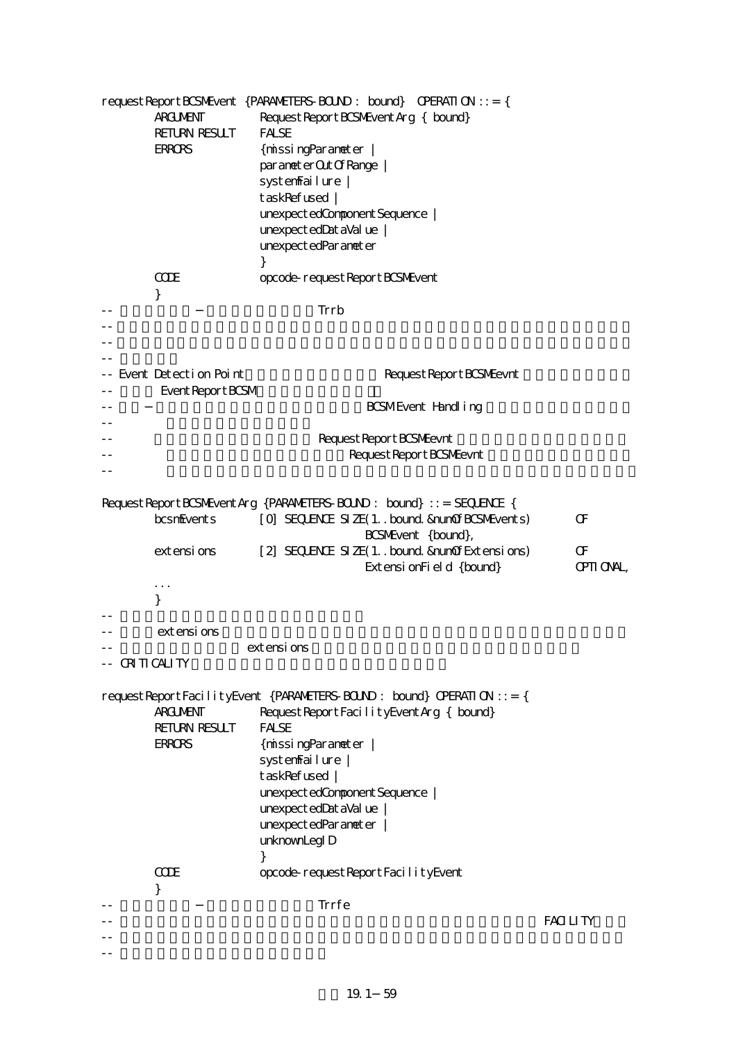|                |                                                          | request Report BCSMEvent {PARAMETERS-BOLND : bound} OPERATION : := {       |                 |  |
|----------------|----------------------------------------------------------|----------------------------------------------------------------------------|-----------------|--|
|                | <b>ARGUMENT</b><br>Request Report BCSMEvent Arg { bound} |                                                                            |                 |  |
|                | <b>RETURN RESULT</b>                                     | <b>FALSE</b>                                                               |                 |  |
|                | <b>ERRORS</b><br>$\{missi$ ng Parameter                  |                                                                            |                 |  |
|                | $paran$ er Out Of Range                                  |                                                                            |                 |  |
|                |                                                          | systemFailure                                                              |                 |  |
|                |                                                          | taskRefused                                                                |                 |  |
|                |                                                          | unexpect edConponent Sequence                                              |                 |  |
|                |                                                          | unexpect edDat aVal ue                                                     |                 |  |
|                |                                                          | unexpect edParanet er                                                      |                 |  |
|                |                                                          | }                                                                          |                 |  |
|                | <b>CCDE</b>                                              | opcode-request Report BCSMEvent                                            |                 |  |
|                | }                                                        |                                                                            |                 |  |
|                |                                                          | Trrb                                                                       |                 |  |
|                |                                                          |                                                                            |                 |  |
|                |                                                          |                                                                            |                 |  |
|                |                                                          |                                                                            |                 |  |
|                | Event Detection Point                                    | Request Report BCSMEevnt                                                   |                 |  |
|                | Event Report BCSM                                        |                                                                            |                 |  |
|                |                                                          |                                                                            |                 |  |
|                |                                                          | <b>BCSMEvent</b> Handl ing                                                 |                 |  |
|                |                                                          |                                                                            |                 |  |
|                |                                                          | Request Report BCSMEevnt                                                   |                 |  |
|                |                                                          | Request Report BCSMEevnt                                                   |                 |  |
|                |                                                          |                                                                            |                 |  |
|                |                                                          |                                                                            |                 |  |
|                |                                                          | Request Report BCSMEvent Arg {PARAMETERS-BOLND : bound} ::= SEQUENCE {     |                 |  |
|                | bcsnEvents                                               | [O] SEQUENCE SIZE(1. bound & nunof BCSMEvents)                             | Œ               |  |
|                |                                                          | BCSMEvent {bound},                                                         |                 |  |
|                | ext ensi ons                                             | [2] SEQUENCE SIZE(1. bound & nunOf Extensions)                             | Œ               |  |
|                |                                                          | ExtensionField {bound}                                                     | CPTI CNAL,      |  |
|                |                                                          |                                                                            |                 |  |
|                | }                                                        |                                                                            |                 |  |
|                |                                                          |                                                                            |                 |  |
|                | ext ensi ons                                             |                                                                            |                 |  |
| - -            |                                                          | extensions                                                                 |                 |  |
| -- CRITICALITY |                                                          |                                                                            |                 |  |
|                |                                                          |                                                                            |                 |  |
|                |                                                          | request Report Facility Event { PARAMETERS-BOLND : bound} OPERAII ON ::= { |                 |  |
|                | <b>ARGUMENT</b>                                          | Request Report Facility Event Arg { bound}                                 |                 |  |
|                | <b>RETURN RESULT</b>                                     | <b>FALSE</b>                                                               |                 |  |
|                | <b>ERRORS</b>                                            | $\{ \text{missi ngParameter} \}$                                           |                 |  |
|                |                                                          | systemFailure                                                              |                 |  |
|                |                                                          | taskRefused                                                                |                 |  |
|                |                                                          | unexpect edConponent Sequence                                              |                 |  |
|                |                                                          | unexpect edDat aVal ue                                                     |                 |  |
|                |                                                          | unexpect edParanet er                                                      |                 |  |
|                |                                                          | unknownLegID                                                               |                 |  |
|                |                                                          |                                                                            |                 |  |
|                | <b>CODE</b>                                              | opcode-request Report Facility Event                                       |                 |  |
|                | }                                                        |                                                                            |                 |  |
|                |                                                          | Trrfe                                                                      |                 |  |
|                |                                                          |                                                                            | <b>FACILITY</b> |  |
|                |                                                          |                                                                            |                 |  |
|                |                                                          |                                                                            |                 |  |
|                |                                                          |                                                                            |                 |  |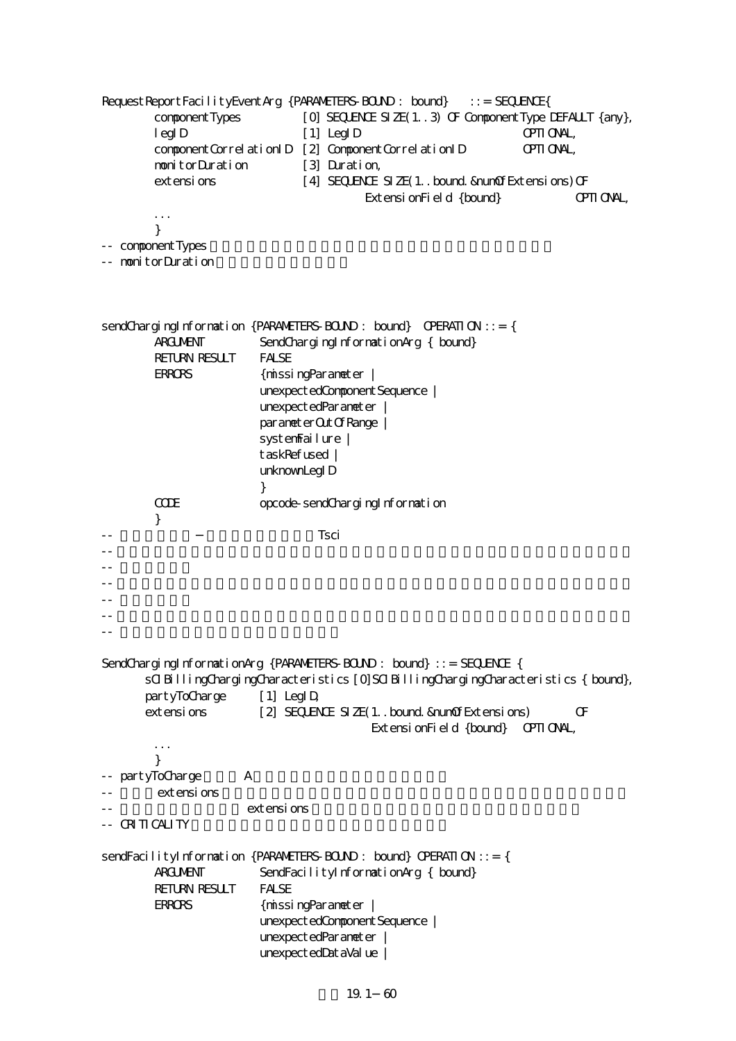```
Request Report Facil it yEvent Arg {PARAMETERS-BOUND : bound} ::= SEQUENCE{
       component Types [0] SEQUENCE SIZE(1..3) OF Component Type DEFAULT {any},
       \text{legI D} [1] \text{LegI D} OPTIONAL,
       component CorrelationID [2] Component CorrelationID OPTIONAL,
        monitorDuration [3] Duration, 
       extensions [4] SEQUENCE SIZE(1..bound.&numOfExtensions) OF
                                   ExtensionField {bound} OPTIONAL,
        ... 
        } 
-- component Types
-- nomitorDuration
sendChargingInformation {PARAMETERS-BOUND : bound} OPERATION ::= {
        ARGUMENT SendChargingInformationArg { bound} 
       RETURN RESULT FALSE
        ERRORS {missingParameter | 
                     unexpect edComponent Sequence |
                      unexpectedParameter | 
                     parameterOutOfRange |
                      systemFailure | 
                     taskRefused |
                      unknownLegID 
 } 
        CODE opcode-sendChargingInformation 
        } 
-- Tsci
-- このオペレーションはSSFによって送信される課金情報について、SSFに指示するために 
-- 用いられる。 
-- 課金情報は信号によって送り戻されるか、またはSSFがローカル交換機に位置するならば内 
-- 部的である。 
-- ローカル交換機内では、この情報は課金メータを更新するため、あるいは標準的な呼記録を生 
-- 成するために利用されるかもしれない。 
SendChargingInformationArg {PARAMETERS-BOUND : bound} ::= SEQUENCE {
       sCIBillingChargingCharacteristics [0]SCIBillingChargingCharacteristics { bound}, 
       partyToCharge [1] LegID, 
     extensions [2] SEQUENCE SIZE(1..bound.&nunofExtensions) OF
                                    ExtensionField {bound} OPTIONAL,
        ... 
        } 
-- partyToCharge A
-- extensions
                   extensions
-- CRITICALITY
sendFacilityInformation {PARAMETERS-BOUND : bound} OPERATION ::= {
        ARGUMENT SendFacilityInformationArg { bound} 
       RETURN RESULT FALSE
        ERRORS {missingParameter | 
                     unexpect edComponent Sequence |
                      unexpectedParameter | 
                      unexpectedDataValue |
```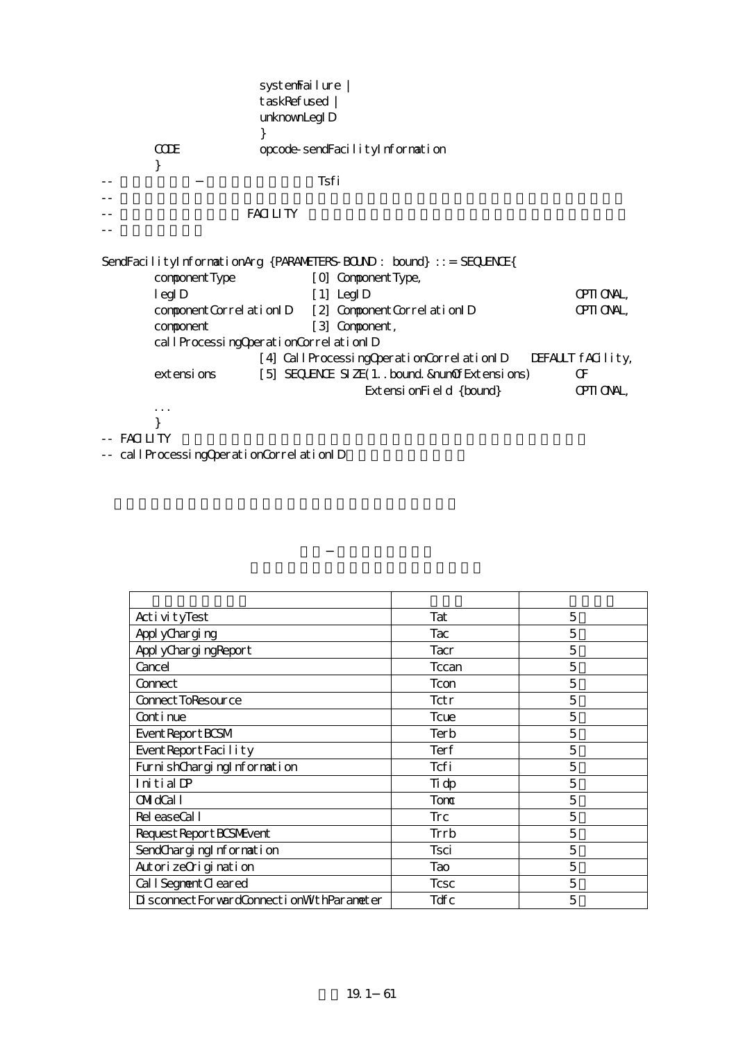|             |                                            | systemFailure   |                |                                                                     |                  |
|-------------|--------------------------------------------|-----------------|----------------|---------------------------------------------------------------------|------------------|
|             | taskRefused                                |                 |                |                                                                     |                  |
|             |                                            | unknownLegID    |                |                                                                     |                  |
|             |                                            |                 |                |                                                                     |                  |
|             | <b>CCDE</b>                                |                 |                | opcode-sendFacilityInformation                                      |                  |
|             | ł                                          |                 |                |                                                                     |                  |
|             |                                            |                 | Tsfi           |                                                                     |                  |
| $ -$        |                                            |                 |                |                                                                     |                  |
| $- -$       |                                            | <b>FACLLITY</b> |                |                                                                     |                  |
| $ -$        |                                            |                 |                |                                                                     |                  |
|             |                                            |                 |                |                                                                     |                  |
|             |                                            |                 |                | SendFacilityInformationArg {PARAMETERS-BOUND : bound} ::= SEQUENCE{ |                  |
|             | component Type                             |                 |                | [O] Component Type,                                                 |                  |
|             | legID                                      |                 | $[1]$ LegID    |                                                                     | CPTI CNAL,       |
|             |                                            |                 |                | component Correl at i on ID [2] Component Correl at i on ID         | <b>CPTI CNAL</b> |
|             | component                                  |                 | [3] Component, |                                                                     |                  |
|             | cal l Processi ngOperati onCorrel ati onID |                 |                |                                                                     |                  |
|             |                                            |                 |                | [4] Call Processing Operation Correl at ion ID DEFALLT fAG lity,    |                  |
|             | extensions                                 |                 |                | [5] SEQUENCE SIZE(1. bound. $\&$ nun $\&$ Extensions)               | Œ                |
|             |                                            |                 |                | ExtensionField {bound}                                              | <b>CPTI CNAL</b> |
|             | .                                          |                 |                |                                                                     |                  |
|             |                                            |                 |                |                                                                     |                  |
| -- FACLLITY |                                            |                 |                |                                                                     |                  |

-- call ProcessingOperationCorrelationID

| ActivityTest                                | Tat          | 5              |
|---------------------------------------------|--------------|----------------|
| Appl yCharging                              | Tac          | $\overline{5}$ |
| Appl yChargi ngReport                       | <b>Tacr</b>  | 5              |
| Cancel                                      | Tccan        | 5              |
| Connect                                     | Tcon         | 5              |
| Connect ToResource                          | <b>Tctr</b>  | 5              |
| Continue                                    | Tcue         | 5              |
| Event Report BCSM                           | Terb         | 5              |
| Event Report Facility                       | Terf         | 5              |
| Furni shChargi ngI nformation               | Tcfi         | $\overline{5}$ |
| InitialDP                                   | Ti dp        | 5              |
| <b>OM</b> IdCall                            | Tona         | 5              |
| Rel easeCal l                               | Trc          | 5              |
| Request Report BCSMEvent                    | Trrb         | 5              |
| SendChargingInformation                     | <b>Tsci</b>  | 5              |
| AutorizeOrigination                         | Tao          | 5              |
| Cal 1 Segment Cleared                       | <b>Tcsc</b>  | 5              |
| Disconnect ForwardConnect i onWthParanet er | <b>Tdf</b> c | 5              |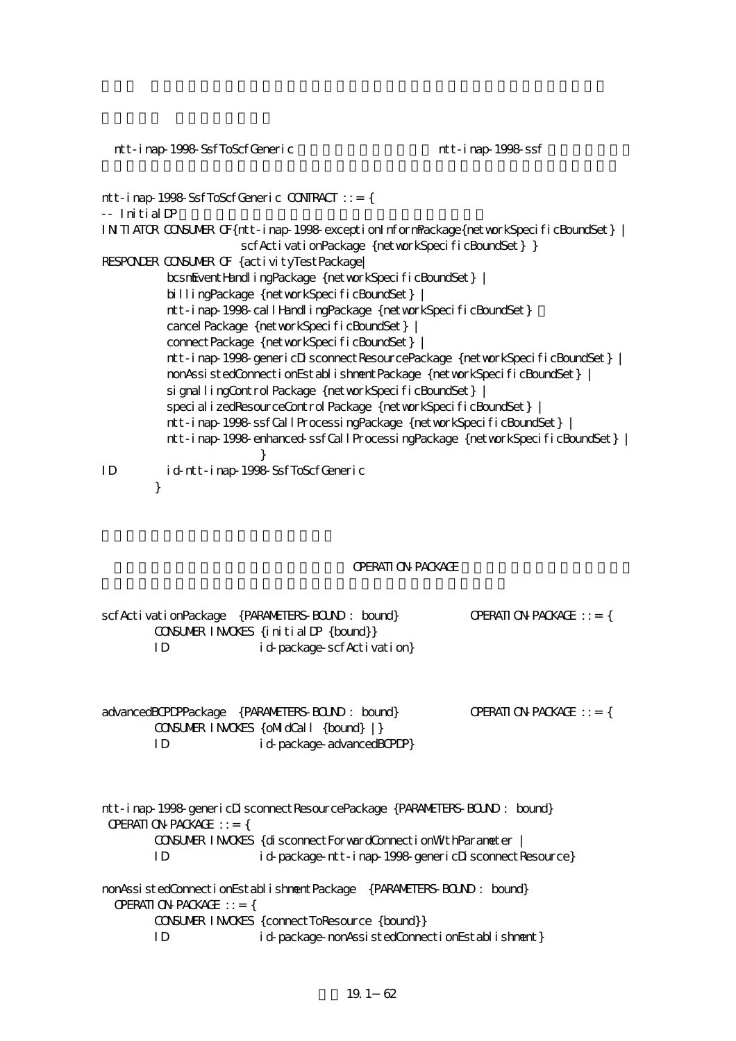ntt-inap-1998-SsfToScfGeneric ntt-inap-1998-ssf

ntt-inap-1998-SsfToScfGeneric CONTRACT ::= {  $-$  Initial DP INITIATOR CONSUMER OF{ntt-inap-1998-exceptionInformPackage{networkSpecificBoundSet} | scf ActivationPackage {networkSpecificBoundSet} } RESPONDER CONSUMER OF {activityTestPackage} bcsnEventHandlingPackage {networkSpecificBoundSet} | billingPackage {networkSpecificBoundSet} | ntt-inap-1998-callHandlingPackage {networkSpecificBoundSet} | cancel Package {networkSpecificBoundSet} | connect Package { net workSpecificBoundSet } | ntt-inap-1998-genericDisconnectResourcePackage {networkSpecificBoundSet} | nonAssistedConnectionEstablishmentPackage {networkSpecificBoundSet} | signallingControlPackage {networkSpecificBoundSet} | special i zedResourceControl Package {networkSpecificBoundSet} | ntt-inap-1998-ssfCallProcessingPackage {networkSpecificBoundSet} | ntt-inap-1998-enhanced-ssfCallProcessingPackage {networkSpecificBoundSet} | } ID id-ntt-inap-1998-SsfToScfGeneric }

OPERATION-PACKAGE

 $\text{sef}$  ActivationPackage {PARAMETERS-BOUND : bound} OPERATION-PACKAGE ::= { CONSUMER INVOKES {initialDP {bound}} ID id-package-scfActivation}

 $\alpha$ dvancedBCPDPPackage {PARAMETERS-BOUND : bound} OPERATION-PACKAGE ::= { CONSUMER INVOKES {oMidCall {bound} |} ID id-package-advancedBCPDP}

ntt-inap-1998-genericDisconnectResourcePackage {PARAMETERS-BOUND : bound} OPERATION-PACKAGE  $: := \{$ CONSUMER INVOKES { disconnect ForwardConnect i onWthParameter | ID id-package-ntt-inap-1998-genericDisconnectResource} nonAssistedConnectionEstablishmentPackage {PARAMETERS-BOUND : bound} OPERATION-PACKAGE  $: := \{$ CONSUMER INVOKES { connect ToResource { bound}}

ID id-package-nonAssistedConnectionEstablishment}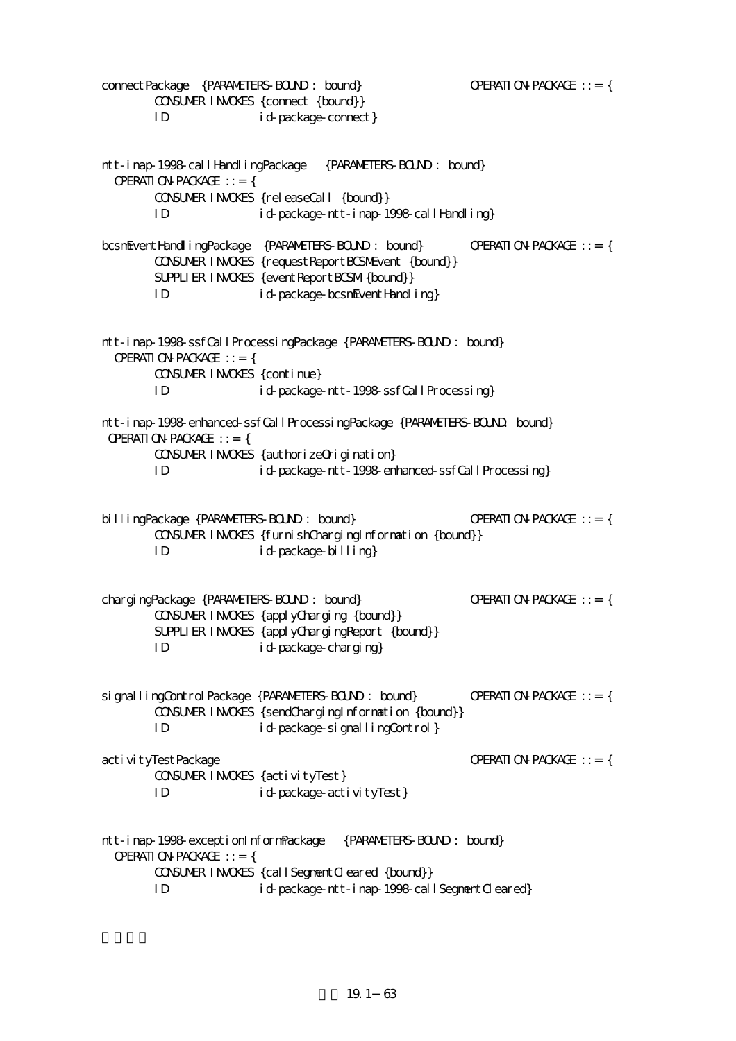connect Package {PARAMETERS-BOUND : bound} OPERATION-PACKAGE ::= { CONSUMER INVOKES {connect {bound}} ID id-package-connect} ntt-inap-1998-callHandlingPackage {PARAMETERS-BOUND : bound} OPERATION-PACKAGE ::=  $\{$ CONSUMER INVOKES {releaseCall {bound}} ID id-package-ntt-inap-1998-callHandling}  $bcsn$ Event HandlingPackage {PARAMETERS-BOUND :  $bound$ } OPERATION-PACKAGE ::= { CONSUMER INVOKES {request Report BCSMEvent {bound}} SUPPLIER INVOKES {event Report BCSM { bound}} ID id-package-bcsmEventHandling} ntt-inap-1998-ssfCallProcessingPackage {PARAMETERS-BOUND : bound} **OPERATION-PACKAGE ::= {** CONSUMER INVOKES { continue} ID id-package-ntt-1998-ssfCallProcessing} ntt-inap-1998-enhanced-ssfCallProcessingPackage {PARAMETERS-BOUND: bound} OPERATION-PACKAGE  $: := \{$  CONSUMER INVOKES {authorizeOrigination} ID id-package-ntt-1998-enhanced-ssfCallProcessing} billingPackage {PARAMETERS-BOUND : bound} OPERATION-PACKAGE ::= { CONSUMER INVOKES {furnishChargingInformation {bound}} ID id-package-billing} chargingPackage {PARAMETERS-BOUND : bound}  $QPERATJQN$ -PACKAGE ::= { CONSUMER INVOKES {applyCharging {bound}} SUPPLIER INVOKES {applyChargingReport {bound}} ID id-package-charging} signallingControlPackage {PARAMETERS-BOUND : bound} OPERATION-PACKAGE ::= { CONSUMER INVOKES {sendChargingInformation {bound}} ID id-package-signallingControl} activityTestPackage OPERATION-PACKAGE ::= { CONSUMER INVOKES { activityTest } ID id-package-activityTest} ntt-inap-1998-exceptionInformPackage {PARAMETERS-BOUND : bound} OPERATION-PACKAGE ::=  $\{$ CONSUMER INVOKES {call Segment Cleared {bound}} ID id-package-ntt-inap-1998-callSegmentCleared}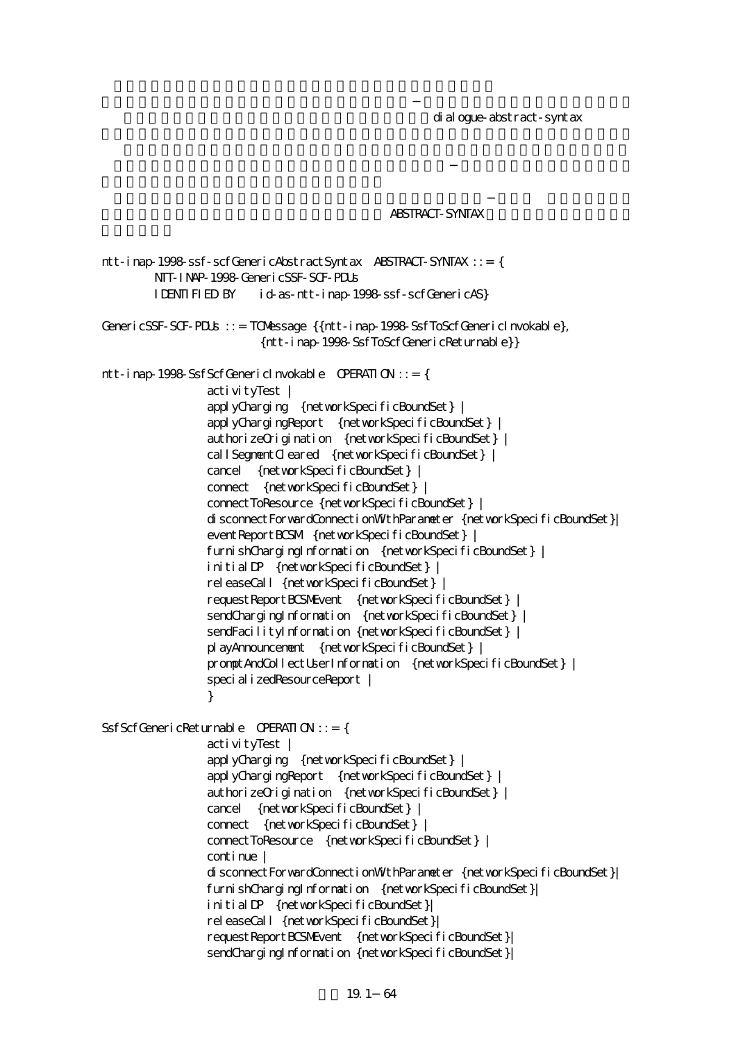### **ABSTRACT-SYNTAX**

ntt-inap-1998-ssf-scfGenericAbstractSyntax ABSTRACT-SYNTAX ::= { NTT-INAP-1998-GenericSSF-SCF-PDUs IDENTIFIED BY id-as-ntt-inap-1998-ssf-scfGenericAS} GenericSSF-SCF-PDUs ::= TCM4ssage {{ntt-inap-1998-SsfToScfGenericInvokable}, {ntt-inap-1998-SsfToScfGenericReturnable}} ntt-inap-1998-SsfScfGenericInvokable OPERATION ::= { activityTest | applyCharging {networkSpecificBoundSet} | applyChargingReport {networkSpecificBoundSet} | authorizeOrigination {networkSpecificBoundSet} | callSegmentCleared {networkSpecificBoundSet} | cancel {networkSpecificBoundSet} | connect {networkSpecificBoundSet} | connectToResource {networkSpecificBoundSet} | disconnect ForwardConnectionWthParameter {networkSpecificBoundSet}| event Report BCSM { net workSpecificBoundSet } | furnishChargingInformation {networkSpecificBoundSet} | initialDP {networkSpecificBoundSet} | releaseCall {networkSpecificBoundSet} | requestReportBCSMEvent {networkSpecificBoundSet} | sendChargingInformation {networkSpecificBoundSet} | sendFacilityInformation {networkSpecificBoundSet} | playAnnouncement {networkSpecificBoundSet} | promptAndCollectUserInformation {networkSpecificBoundSet} | specializedResourceReport | } SsfScfGenericReturnable OPERATION ::= { activityTest | applyCharging {networkSpecificBoundSet} | applyChargingReport {networkSpecificBoundSet} | authorizeOrigination {networkSpecificBoundSet} | cancel {networkSpecificBoundSet} | connect {networkSpecificBoundSet} | connectToResource {networkSpecificBoundSet} | continue | disconnect ForwardConnectionWthParameter {networkSpecificBoundSet}| furnishChargingInformation {networkSpecificBoundSet}| initialDP {networkSpecificBoundSet}| releaseCall {networkSpecificBoundSet}| requestReportBCSMEvent {networkSpecificBoundSet}| sendChargingInformation {networkSpecificBoundSet}|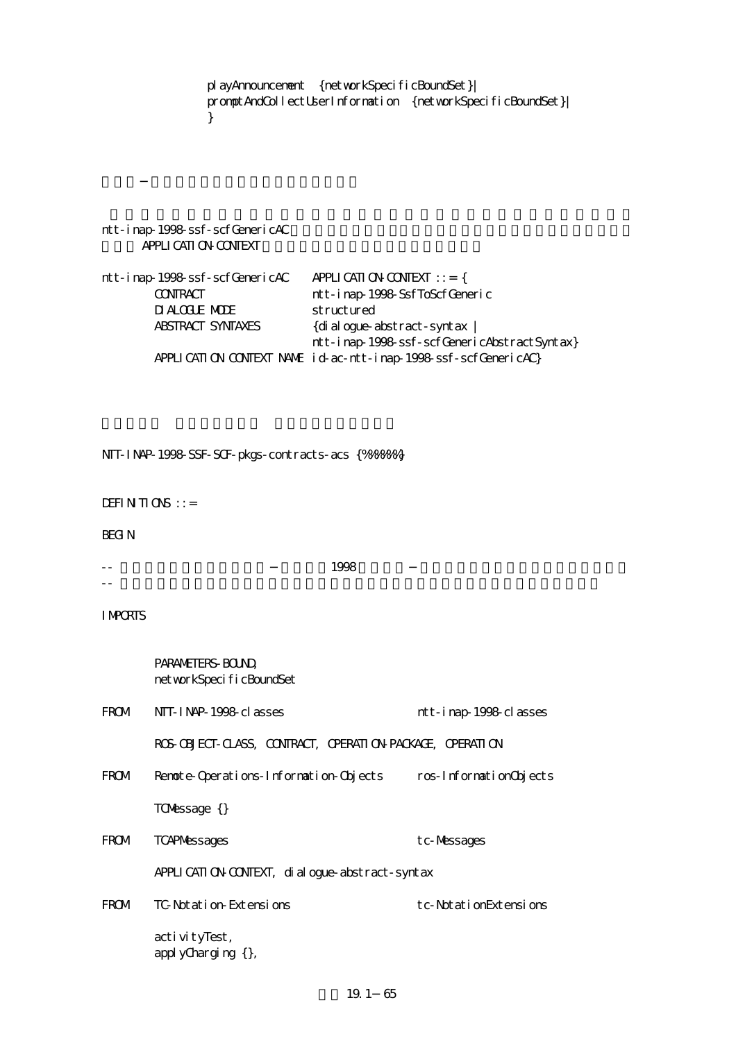playAnnouncement {networkSpecificBoundSet}| promptAndCollectUserInformation {networkSpecificBoundSet}| }

ntt-inap-1998-ssf-scfGenericAC **APPLICATION-CONTEXT** 

| ntt-inap-1998-ssf-scfGenericAC | APPLICATION CONTEXT ::= {                                      |
|--------------------------------|----------------------------------------------------------------|
| <b>CONTRACT</b>                | ntt-inap-1998-SsfToScfGeneric                                  |
| DI ALCORE NODE                 | structured                                                     |
| <b>ABSTRACT SYNTAXES</b>       | { di al ogue-abstract-syntax                                   |
|                                | ntt-inap-1998-ssf-scfGenericAbstractSyntax}                    |
|                                | APPLICATION CONTEXT NAME id-ac-ntt-inap-1998-ssf-scfCenericAC} |

-- ペレーションパッケージ、コントラクト、アプリケーションコンテキストを記述する。

NTT-INAP-1998-SSF-SCF-pkgs-contracts-acs {%%%%%%}

DEFINTIONS ::=

BEGIN

-- このモジュールは、NTT-INAP1998 のSSF-SCFインタフェース上で使われるオ

IMPORTS

PARAMETERS-BOUND, networkSpecificBoundSet

| FROM | NIT-I NAP-1998 classes                                   | ntt-inap-1998 classes  |
|------|----------------------------------------------------------|------------------------|
|      | ROS-OBJECT-CLASS, CONTRACT, OPERATION PACKAGE, OPERATION |                        |
| FROM | Renote-Operations-Information-Objects                    | ros-InformationObjects |
|      | TCMessage {}                                             |                        |
| FROM | <b>TCAPMessages</b>                                      | t c- Messages          |
|      | APPLICATION CONTEXT, di al ogue-abstract-syntax          |                        |
| FROM | TC-Notation-Extensions                                   | t.c-NotationExtensions |
|      | activityTest,<br>applyCharging $\{\}$ ,                  |                        |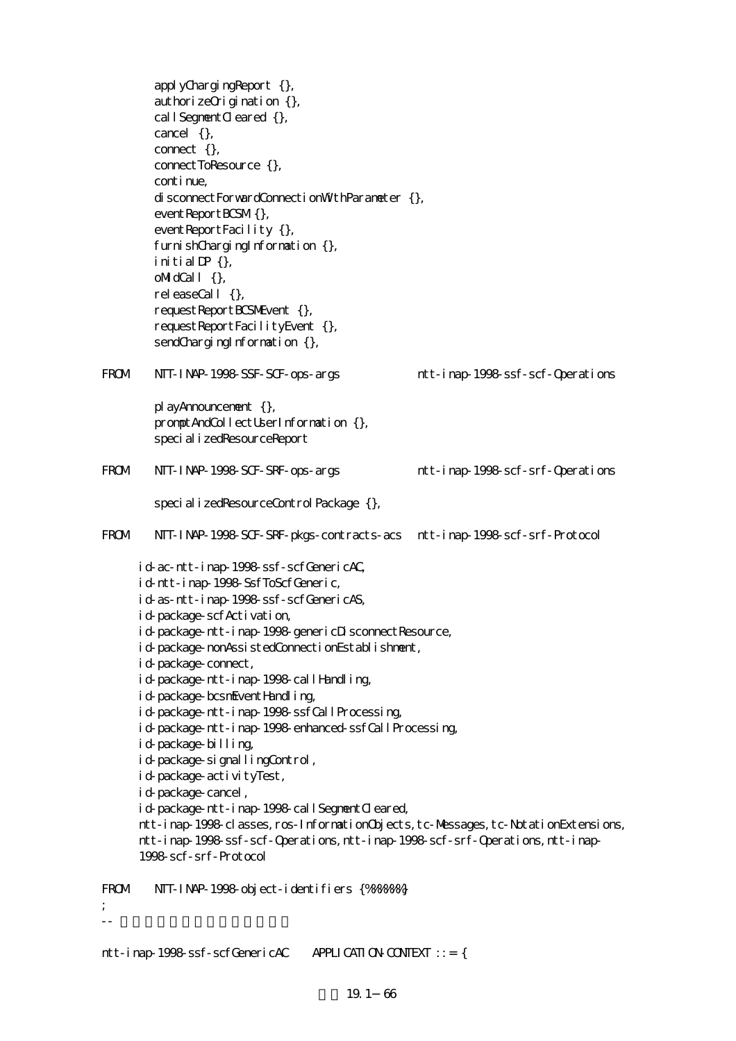applyChargingReport {}, authorizeOrigination  $\{\}$ , call Segment  $C$  eared  $\{\}$ , cancel {}, connect {}, connectToResource {}, continue, disconnect ForwardConnectionWthParameter {}, event Report BCSM{}, event Report Facility  $\{\}$ , furnishChargingInformation {}, initial  $DP$  { }, oMidCall {}, releaseCall {}, request Report BCSMEvent {}, request Report Facility Event {}, sendChargingInformation {}, FROM NTT-INAP-1998-SSF-SCF-ops-args ntt-inap-1998-ssf-scf-Operations playAnnouncement {}, prompt AndCollectUserInformation {}, specializedResourceReport FROM NTT-INAP-1998-SOF-SRF-ops-args ntt-inap-1998-scf-srf-Operations special i zedResourceControl Package {}, FROM NTT-INAP-1998-SCF-SRF-pkgs-contracts-acs ntt-inap-1998-scf-srf-Protocol id-ac-ntt-inap-1998-ssf-scfGenericAC, id-ntt-inap-1998-SsfToScfGeneric, id-as-ntt-inap-1998-ssf-scfGenericAS, id-package-scfActivation, id-package-ntt-inap-1998-genericDisconnectResource, id-package-nonAssistedConnectionEstablishment, id-package-connect, id-package-ntt-inap-1998-callHandling, id-package-bcsmEventHandling, id-package-ntt-inap-1998-ssfCallProcessing, id-package-ntt-inap-1998-enhanced-ssfCallProcessing, id-package-billing, id-package-signallingControl, id-package-activityTest, id-package-cancel, id-package-ntt-inap-1998-callSegmentCleared, ntt-inap-1998-classes,ros-InformationObjects,tc-Messages,tc-NotationExtensions, ntt-inap-1998-ssf-scf-Operations,ntt-inap-1998-scf-srf-Operations,ntt-inap- 1998-scf-srf-Protocol FROM NTT-INAP-1998-object-identifiers {%%%%%} ; -- アプリケーションコンテキスト

ntt-inap-1998-ssf-scfGenericAC APPLICATION-CONTEXT ::= {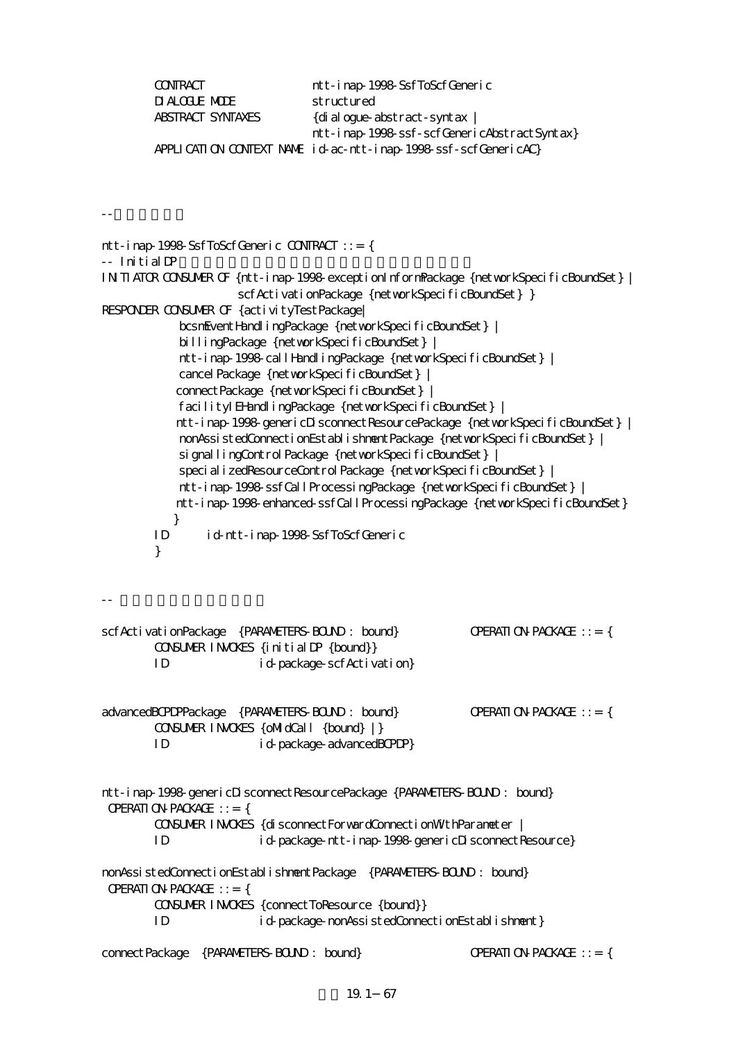```
 CONTRACT ntt-inap-1998-SsfToScfGeneric 
         DIALOGUE MODE structured 
        ABSTRACT SYNTAXES {dialogue-abstract-syntax |
                                  ntt-inap-1998-ssf-scfGenericAbstractSyntax} 
        APPLICATION CONTEXT NAME id-ac-ntt-inap-1998-ssf-scfGenericAC}
--コントラクト 
ntt-inap-1998-SsfToScfGeneric CONTRACT ::= { 
-- InitialDP
IN TI ATOR CONSUMER OF {ntt-inap-1998-exceptionInformPackage {networkSpecificBoundSet} |
                     scf Act i vat i onPackage { net workSpecificBoundSet } }
RESPONDER CONSUMER OF { activityTest Package |
             bcsmEventHandlingPackage {networkSpecificBoundSet} | 
             billingPackage {networkSpecificBoundSet} | 
             ntt-inap-1998-callHandlingPackage {networkSpecificBoundSet} | 
             cancelPackage {networkSpecificBoundSet} | 
           connect Package { net workSpecificBoundSet} |
             facilityIEHandlingPackage {networkSpecificBoundSet} | 
            ntt-inap-1998-genericDisconnectResourcePackage {networkSpecificBoundSet} | 
             nonAssistedConnectionEstablishmentPackage {networkSpecificBoundSet} | 
            signallingControlPackage {networkSpecificBoundSet} |
            special i zedResourceControl Package {networkSpecificBoundSet} |
             ntt-inap-1998-ssfCallProcessingPackage {networkSpecificBoundSet} | 
            ntt-inap-1998-enhanced-ssfCallProcessingPackage {networkSpecificBoundSet} 
 } 
         ID id-ntt-inap-1998-SsfToScfGeneric 
         } 
-- オペレーションパッケージ 
\text{softmax} is onPackage {PARAMETERS-BOUND : bound} OPERATION-PACKAGE ::= {
         CONSUMER INVOKES {initialDP {bound}} 
         ID id-package-scfActivation} 
\alphadvancedBCPDPPackage {PARAMETERS-BOUND : bound} OPERATION-PACKAGE ::= {
         CONSUMER INVOKES {oMidCall {bound} |} 
         ID id-package-advancedBCPDP} 
ntt-inap-1998-genericDisconnectResourcePackage {PARAMETERS-BOUND : bound} 
 OPERATION-PACKAGE ::= \{CONSUMER INVOKES { disconnect ForwardConnectionWthParameter |
         ID id-package-ntt-inap-1998-genericDisconnectResource} 
nonAssistedConnectionEstablishmentPackage {PARAMETERS-BOUND : bound} 
 OPERATION-PACKAGE ::= {
         CONSUMER INVOKES {connectToResource {bound}} 
         ID id-package-nonAssistedConnectionEstablishment} 
connect Package {PARAMETERS-BOUND : bound} OPERATION-PACKAGE ::= {
```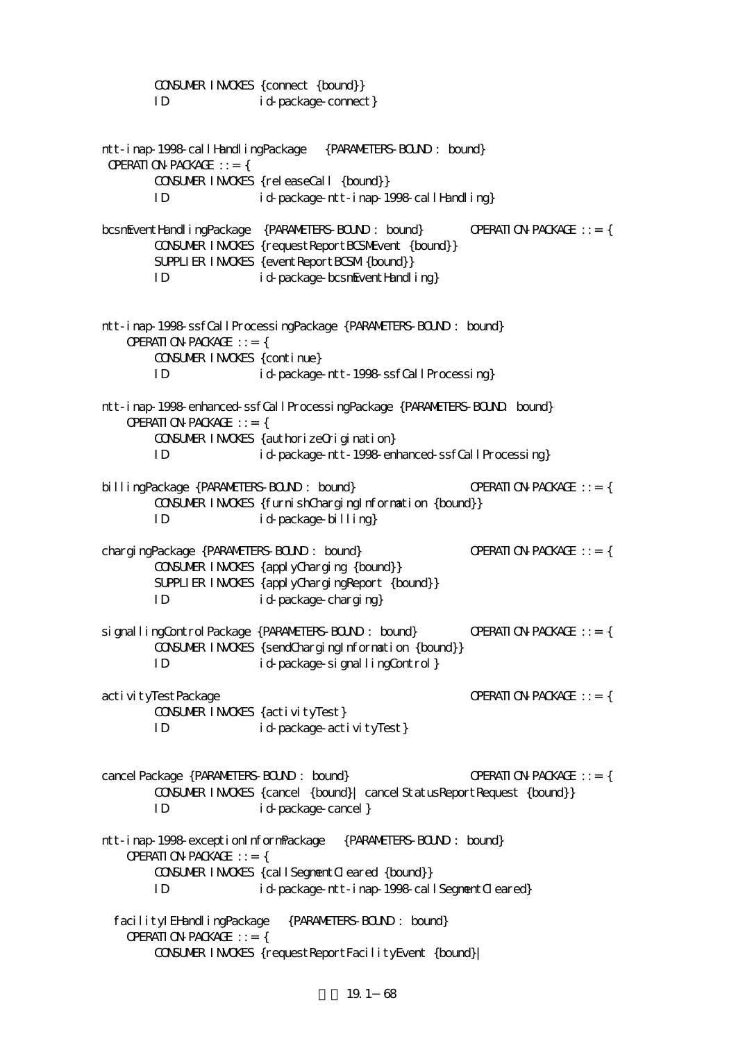CONSUMER INVOKES {connect {bound}} ID id-package-connect} ntt-inap-1998-callHandlingPackage {PARAMETERS-BOUND : bound} OPERATION-PACKAGE  $: := \{$  CONSUMER INVOKES {releaseCall {bound}} ID id-package-ntt-inap-1998-callHandling} bcsnEvent Handl ingPackage {PARAMETERS-BOUND : bound} OPERATION-PACKAGE ::= { CONSUMER INVOKES {request Report BCSMEvent {bound}} SUPPLIER INVOKES {event Report BCSM { bound}} ID id-package-bcsmEventHandling} ntt-inap-1998-ssfCallProcessingPackage {PARAMETERS-BOUND : bound} OPERATION-PACKAGE ::=  $\{$ CONSUMER INVOKES { continue} ID id-package-ntt-1998-ssfCallProcessing} ntt-inap-1998-enhanced-ssfCallProcessingPackage {PARAMETERS-BOUND: bound} OPERATION-PACKAGE ::=  $\{$  CONSUMER INVOKES {authorizeOrigination} ID id-package-ntt-1998-enhanced-ssfCallProcessing} billingPackage {PARAMETERS-BOUND : bound} OPERATION-PACKAGE ::= { CONSUMER INVOKES { furnishChargingInformation { bound}} ID id-package-billing} chargingPackage {PARAMETERS-BOUND : bound}  $QPERATJQN$ -PACKAGE ::= { CONSUMER INVOKES {applyCharging {bound}} SUPPLIER INVOKES {applyChargingReport {bound}} ID id-package-charging} signal lingControl Package { PARAMETERS-BOUND : bound} OPERATION-PACKAGE ::= { CONSUMER INVOKES {sendChargingInformation {bound}} ID id-package-signallingControl} activityTestPackage OPERATION-PACKAGE ::= { CONSUMER INVOKES { activityTest } ID id-package-activityTest}  $c$ ancel Package  $\{PARA\setminus E$ FERS-BOUND : bound}  $Q$ FERATION-PACKAGE ::=  $\{$  CONSUMER INVOKES {cancel {bound}| cancelStatusReportRequest {bound}} ID id-package-cancel} ntt-inap-1998-exceptionInformPackage {PARAMETERS-BOUND : bound} OPERATION-PACKAGE ::=  $\{$ CONSUMER INVOKES {call Segment Cleared {bound}} ID id-package-ntt-inap-1998-callSegmentCleared} facilityIEHandlingPackage {PARAMETERS-BOUND : bound} OPERATION-PACKAGE ::= { CONSUMER INVOKES {request Report Facility Event {bound}|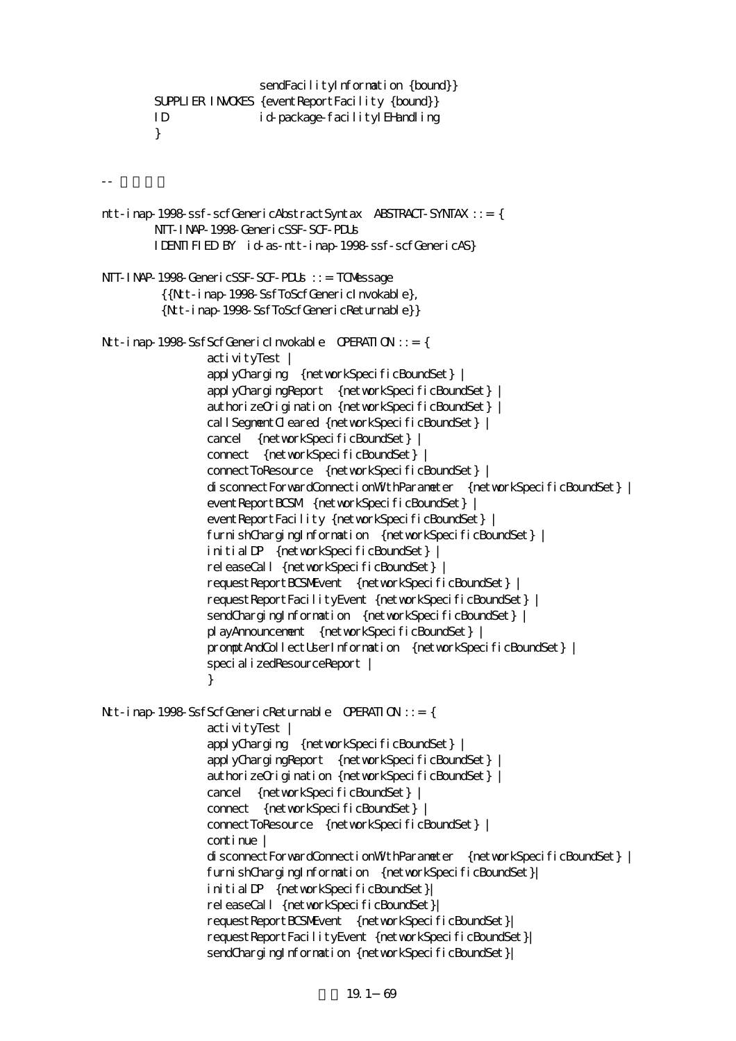sendFacilityInformation {bound}} SUPPLIER INVOKES {event Report Facility {bound}} ID id-package-facilityIEHandling } -- 抽象構文 ntt-inap-1998-ssf-scfGenericAbstractSyntax ABSTRACT-SYNTAX ::= { NTT-INAP-1998-GenericSSF-SCF-PDUs IDENTIFIED BY id-as-ntt-inap-1998-ssf-scfGenericAS} NTT-INAP-1998-GenericSSF-SCF-PDUs ::= TCMessage {{Ntt-inap-1998-SsfToScfGenericInvokable}, {Ntt-inap-1998-SsfToScfGenericReturnable}} Ntt-inap-1998-SsfScfGenericInvokable OPERATION ::= { activityTest | applyCharging {networkSpecificBoundSet} | applyChargingReport {networkSpecificBoundSet} | authorizeOrigination {networkSpecificBoundSet} | call Segment Cleared {networkSpecificBoundSet} | cancel {networkSpecificBoundSet} | connect {networkSpecificBoundSet} | connectToResource {networkSpecificBoundSet} | disconnect ForwardConnectionWthParameter {networkSpecificBoundSet} | event Report BCSM { net workSpecificBoundSet } | event Report Facility {networkSpecificBoundSet} | furnishChargingInformation {networkSpecificBoundSet} | initialDP {networkSpecificBoundSet} | releaseCall {networkSpecificBoundSet} | requestReportBCSMEvent {networkSpecificBoundSet} | requestReportFacilityEvent {networkSpecificBoundSet} | sendChargingInformation {networkSpecificBoundSet} | playAnnouncement {networkSpecificBoundSet} | promptAndCollectUserInformation {networkSpecificBoundSet} | specializedResourceReport | } Ntt-inap-1998-SsfScfGenericReturnable OPERATION ::= { activityTest | applyCharging {networkSpecificBoundSet} | applyChargingReport {networkSpecificBoundSet} | authorizeOrigination {networkSpecificBoundSet} | cancel {networkSpecificBoundSet} | connect {networkSpecificBoundSet} | connectToResource {networkSpecificBoundSet} | continue | disconnect ForwardConnectionWthParameter {networkSpecificBoundSet} | furnishChargingInformation {networkSpecificBoundSet}| initialDP {networkSpecificBoundSet}| releaseCall {networkSpecificBoundSet}| request Report BCSMEvent { net workSpecificBoundSet } | requestReportFacilityEvent {networkSpecificBoundSet}| sendChargingInformation {networkSpecificBoundSet}|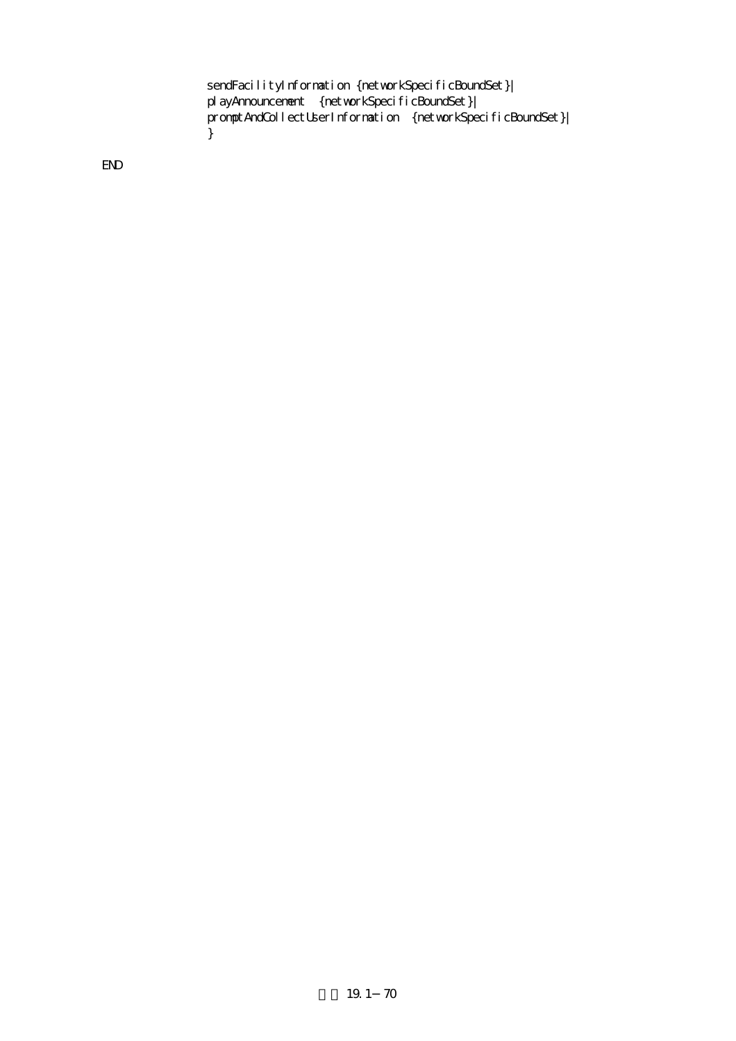sendFacilityInformation {networkSpecificBoundSet}| playAnnouncement {networkSpecificBoundSet}| promptAndCollectUserInformation {networkSpecificBoundSet}| }

END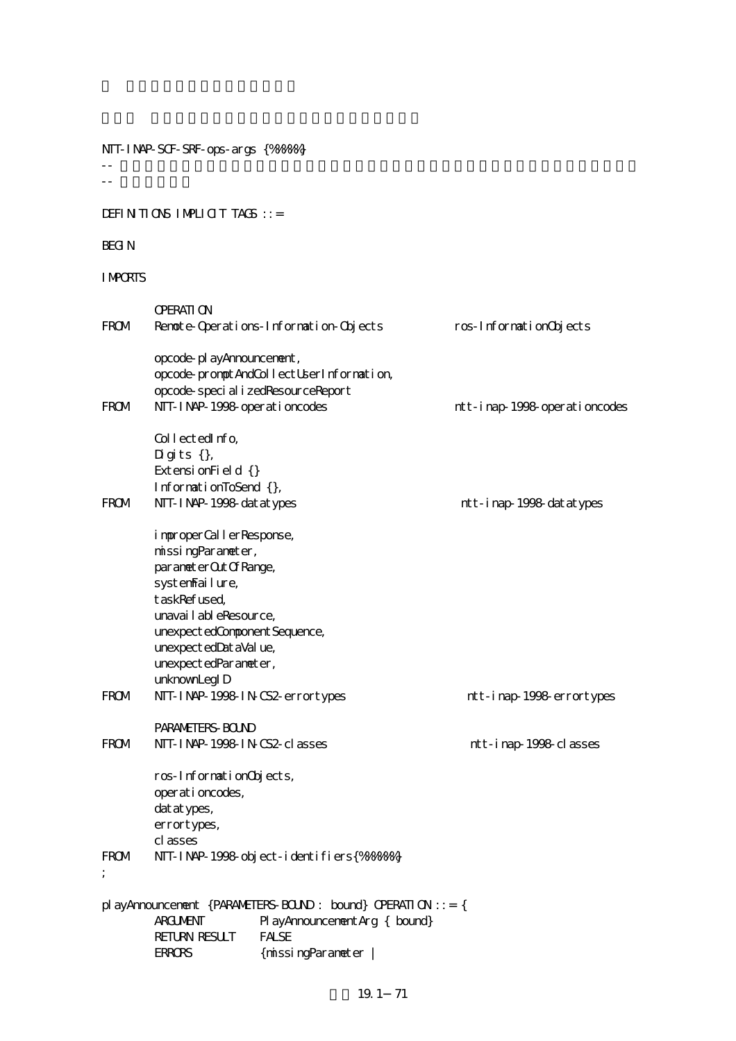| <b>I MPORTS</b>  |                                                                                                                                                                                                                                                                                   |                                                                                                                                       |                                   |
|------------------|-----------------------------------------------------------------------------------------------------------------------------------------------------------------------------------------------------------------------------------------------------------------------------------|---------------------------------------------------------------------------------------------------------------------------------------|-----------------------------------|
| <b>FROM</b>      | <b>OPERATION</b>                                                                                                                                                                                                                                                                  | Renote-Operations-Information-Objects                                                                                                 | ros-InformationObjects            |
| <b>FROM</b>      | opcode-pl ayAnnouncement,<br>opcode-special i zedResourceReport<br>NIT-INP-1998 operationcodes                                                                                                                                                                                    | opcode-prompt AndCollect UserInformation,                                                                                             | nt t - i nap-1998 operati oncodes |
|                  |                                                                                                                                                                                                                                                                                   |                                                                                                                                       |                                   |
|                  | Collected Info,<br>$\overline{\mathbf{n}}$ gits $\{\}$ ,<br>ExtensionField $\{\}$<br>InformationToSend {},                                                                                                                                                                        |                                                                                                                                       |                                   |
| <b>FROM</b>      | NIT-INP-1998-dat at ypes                                                                                                                                                                                                                                                          |                                                                                                                                       | nt t - i nap-1998 dat at ypes     |
| <b>FROM</b>      | i nproperCallerResponse,<br>missingParameter,<br>paranet er Out Of Range,<br>systenFailure,<br>t askRef used,<br>unavai l abl eResource,<br>unexpect edConponent Sequence,<br>unexpect edDat aVal ue,<br>unexpect edParanet er,<br>unknownLegID<br>NIT-INP-1998-IN CS2-errortypes |                                                                                                                                       | ntt-inap-1998-errortypes          |
|                  |                                                                                                                                                                                                                                                                                   |                                                                                                                                       |                                   |
| <b>FROM</b>      | PARAMETERS-BOLND<br>NIT-INP-1998 IN CS2-classes                                                                                                                                                                                                                                   |                                                                                                                                       | ntt-inap-1998-classes             |
|                  | ros-InformationObjects,<br>operationcodes,<br>dat at ypes,<br>errortypes,<br>cl asses                                                                                                                                                                                             |                                                                                                                                       |                                   |
| <b>FROM</b><br>, |                                                                                                                                                                                                                                                                                   | NTT-INP-1998-object-identifiers{%%%%}                                                                                                 |                                   |
|                  | ARGUMENT<br><b>RETURN RESULT</b><br><b>ERRORS</b>                                                                                                                                                                                                                                 | pl ayAnnouncement {PARAMETERS-BOLND : bound} OPERATION : := {<br>Pl ay Announcement Arg { bound}<br><b>FALSE</b><br>{missingParameter |                                   |

-- 本定義に対するオブジェクト識別子は、物理エンティティ間で交換されるものではないため、

NTT-INAP-SCF-SRF-ops-args {%%%%%}

DEFINITIONS IMPLICITIAGS ::=

 $\sim$   $\sim$ 

BEGIN

# 技別 19.1-71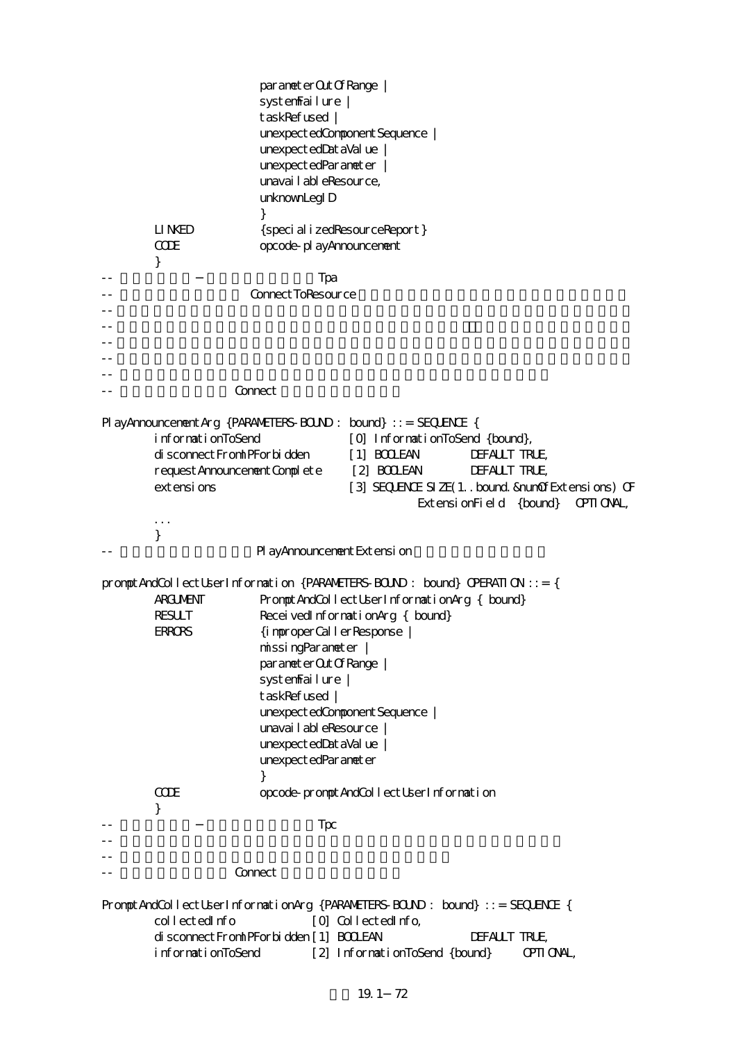|                                        |                               | $\text{parameter} \Omega t \text{ of Range}$                                    |  |  |
|----------------------------------------|-------------------------------|---------------------------------------------------------------------------------|--|--|
|                                        |                               | systemFailure                                                                   |  |  |
|                                        |                               | taskRefused                                                                     |  |  |
|                                        | unexpect edConponent Sequence |                                                                                 |  |  |
|                                        | unexpect edDat aVal ue        |                                                                                 |  |  |
|                                        |                               | unexpect edParanet er                                                           |  |  |
|                                        |                               | unavai l abl eResource,                                                         |  |  |
|                                        |                               | unknownLegID                                                                    |  |  |
|                                        |                               | }                                                                               |  |  |
|                                        | <b>LINED</b>                  | {special i zedResourceReport}                                                   |  |  |
|                                        | <b>CCDE</b>                   | opcode-pl ayAnnouncenent                                                        |  |  |
|                                        | ł                             |                                                                                 |  |  |
|                                        |                               | Tpa                                                                             |  |  |
|                                        |                               | Connect ToResource                                                              |  |  |
|                                        |                               |                                                                                 |  |  |
|                                        |                               |                                                                                 |  |  |
|                                        |                               |                                                                                 |  |  |
|                                        |                               |                                                                                 |  |  |
|                                        |                               | Connect                                                                         |  |  |
|                                        |                               |                                                                                 |  |  |
|                                        |                               | Pl ayAnnouncement Arg {PARAMETERS-BOLND : bound} ::= SEQUENCE {                 |  |  |
|                                        | i nf or nat i onToSend        | [0] InformationToSend {bound},                                                  |  |  |
|                                        | di sconnect Front PForbi dden | $\begin{bmatrix} 1 \end{bmatrix}$ BOCLEAN<br>DEFALLT TRUE,                      |  |  |
|                                        | request Announcement Complete | DEFALLT TRUE,<br>$[2]$ BOOLEAN                                                  |  |  |
|                                        | ext ensi ons                  | $[3]$ SEQUENCE SIZE(1. bound & nunOf Extensions) OF                             |  |  |
|                                        |                               | ExtensionField {bound}<br><b>CPTI CNAL</b>                                      |  |  |
|                                        |                               |                                                                                 |  |  |
|                                        | }                             |                                                                                 |  |  |
|                                        |                               | Pl ay Announcement Extension                                                    |  |  |
|                                        |                               |                                                                                 |  |  |
|                                        |                               | prompt AndCollect UserInformation {PARAMETERS-BOLND : bound} OPERAIION : := {   |  |  |
|                                        | ARGUMENT                      | Prompt AndCollect UserInformationArg { bound}                                   |  |  |
|                                        | RESULT                        | ReceivedInformationArg { bound}                                                 |  |  |
|                                        | <b>ERRORS</b>                 | {improperCallerResponse                                                         |  |  |
|                                        |                               | missingParameter                                                                |  |  |
|                                        |                               | $\text{parameter} \Omega x \text{ if } \text{Range}$                            |  |  |
|                                        |                               | systenFrailure                                                                  |  |  |
|                                        |                               | taskRefused                                                                     |  |  |
|                                        |                               | unexpect edConponent Sequence                                                   |  |  |
|                                        |                               | unavai l abl eResource                                                          |  |  |
|                                        |                               | unexpect edDat aVal ue                                                          |  |  |
|                                        |                               | unexpect edParanet er                                                           |  |  |
|                                        |                               |                                                                                 |  |  |
|                                        | <b>CCDE</b>                   | opcode-prompt AndCollect UserInformation                                        |  |  |
|                                        | ł                             |                                                                                 |  |  |
|                                        |                               | Tpc                                                                             |  |  |
|                                        |                               |                                                                                 |  |  |
|                                        |                               | Connect                                                                         |  |  |
|                                        |                               |                                                                                 |  |  |
|                                        |                               | Prompt AndCollect UserInformationArg {PARAMETERS-BOUND : bound} :: = SEQUENCE { |  |  |
| collected nfo<br>$[0]$ Collected Info, |                               |                                                                                 |  |  |
|                                        |                               | di sconnect Fronti PForbi dden [1] BOLEAN<br>DEFALLT TRUE                       |  |  |
|                                        | i nformati onToSend           | [2] InformationToSend {bound}<br>CPII CNAL,                                     |  |  |
|                                        |                               |                                                                                 |  |  |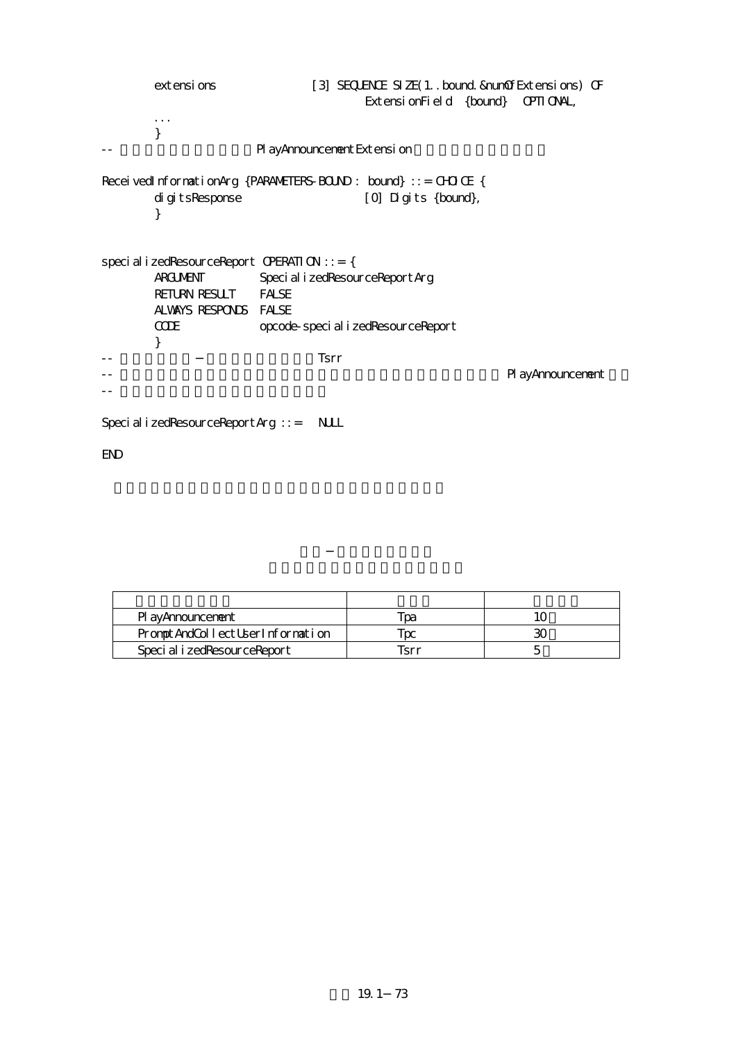extensions [3] SEQUENCE SIZE(1..bound.&nunOfExtensions) OF ExtensionField {bound} OPTIONAL, ... } Pl ayAnnouncement Extension ReceivedInformationArg {PARAMETERS-BOUND : bound} ::= CHOICE { digitsResponse [0] Digits {bound}, } specializedResourceReport OPERATION ::= { ARGUMENT SpecializedResourceReportArg RETURN RESULT FALSE ALWAYS RESPONDS FALSE CODE opcode-specializedResourceReport } -- Tsrr -- アナウンス発行のサンプを取締されている時に PlayAnnouncement -- レーションの応答として用いられる。 Special izedResourceReportArg ::= NUL

END

| Pl ayAnnouncen <del>e</del> nt    |      |  |
|-----------------------------------|------|--|
| Prompt AndCollect UserInformation |      |  |
| Special i zedResourceReport       | 7crr |  |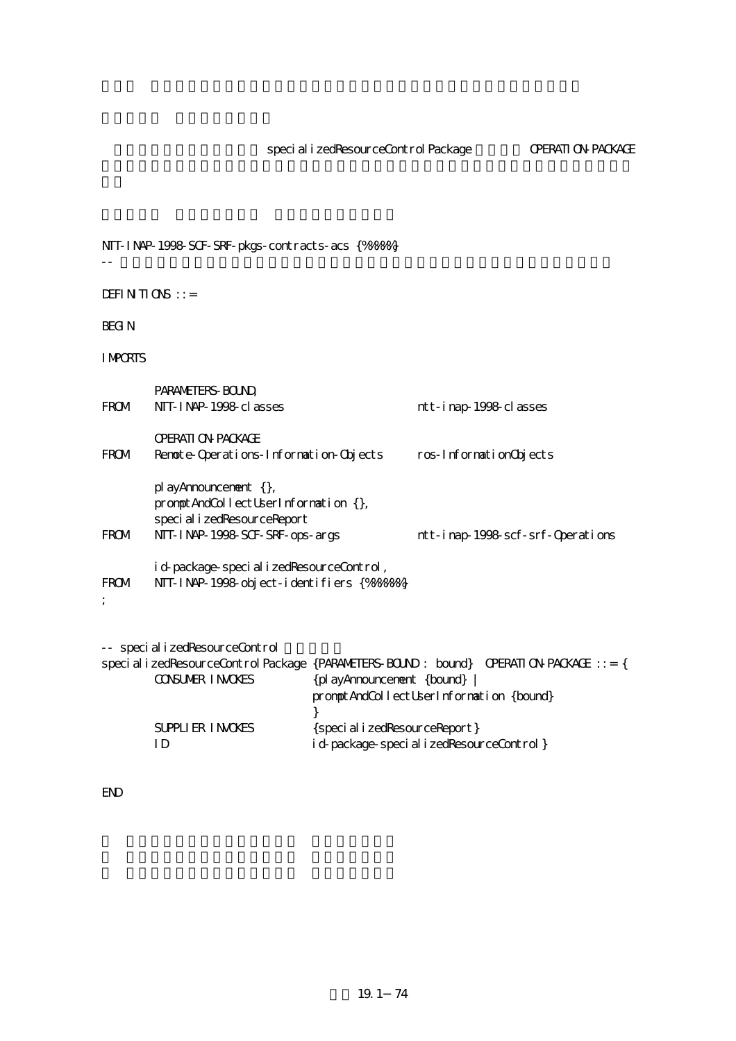special i zedResourceControl Package OPERATION-PACKAGE

NTT-INAP-1998-SCF-SRF-pkgs-contracts-acs {%%%%%} -- 本定義に対するオブジェクトは、作品は、作品には、作品には、信号転送上に用いているオブジェクト DEFINTIONS ::= BEGIN IMPORTS PARAMETERS-BOUND, FROM NTT-INAP-1998-classes ntt-inap-1998-classes OPERATION-PACKAGE FROM Remote-Operations-Information-Objects ros-InformationObjects playAnnouncement {}, prompt AndCollectUserInformation {}, specializedResourceReport FROM NTT-INAP-1998-SCF-SRF-ops-args ntt-inap-1998-scf-srf-Operations id-package-specializedResourceControl, FROM NTT-INAP-1998-object-identifiers {%%%%} ; -- specialized Resource Control

| -- specializedresourcevontrol |                                                                                        |
|-------------------------------|----------------------------------------------------------------------------------------|
|                               | special izedResourceControl Package {PARAMETERS-BOUND : bound} OPERATION PACKAGE ::= { |
| <b>CONSUMER INVOKES</b>       | {pl ay Announcement {bound}                                                            |
|                               | prompt AndCollect UserInformation {bound}                                              |
|                               |                                                                                        |
| SUPPLIER INVOKES              | {special i zedResourceReport}                                                          |
| l D                           | i d-package-speci al i zedResourceControl }                                            |
|                               |                                                                                        |

END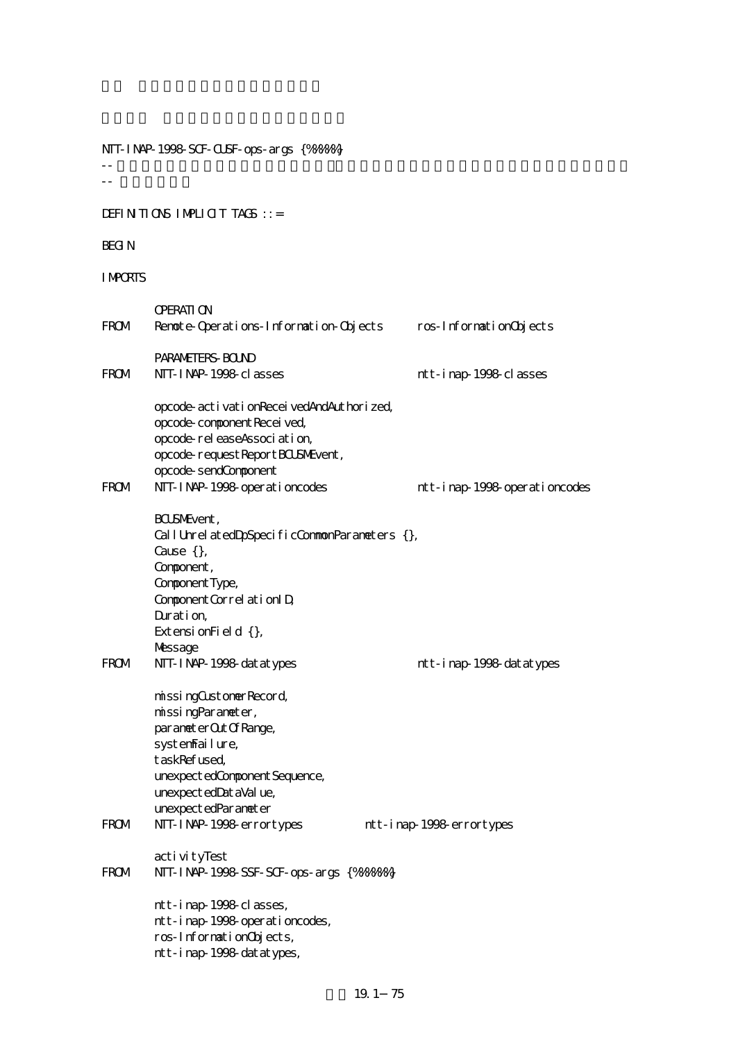NTT-INAP-1998-SCF-CUSF-ops-args {%%%%%}

DEFINITIONS IMPLICITIAGS ::=

 $\mathbb{Z}_p$ 

BEGIN

| <b>I MPORTS</b> |                                                                                                                                                                                                                                |                                    |
|-----------------|--------------------------------------------------------------------------------------------------------------------------------------------------------------------------------------------------------------------------------|------------------------------------|
| <b>FROM</b>     | <b>OPERATION</b><br>Renote-Operations-Information-Objects                                                                                                                                                                      | ros-InformationObjects             |
| <b>FROM</b>     | PARAMETERS-BOLND<br>NIT-INP-1998 classes                                                                                                                                                                                       | ntt-inap-1998-classes              |
| <b>FROM</b>     | opcode- act i vat i onRecei vedAndAut hor i zed,<br>opcode-component Recei ved,<br>opcode-rel easeAssociation,<br>opcode-request Report BCUSMEvent,<br>opcode-sendComponent<br>NIT-INP-1998 operationcodes                     | nt t - i nap-1998 operati on codes |
|                 | <b>BCLSME</b> vent,<br>Call Urrel at edDpSpecificCommonParameters {},<br>Cause $\{\}$ ,<br>Component,<br>Component Type,<br>Component Correl at i on ID<br>Duration,<br>ExtensionField $\{\}$ ,<br>Message                     |                                    |
| <b>FROM</b>     | NIT-I NAP-1998-dat at ypes<br>missingCustonerRecord,<br>missingParameter,<br>paranet er Out Of Range,<br>systenFailure,<br>t askRef used<br>unexpect edConponent Sequence,<br>unexpect edDat aVal ue,<br>unexpect edParanet er | nt t - i nap-1998 dat at ypes      |
| FROM            | NIT-INP-1998 errortypes<br>activityTest                                                                                                                                                                                        | ntt-inap-1998 errortypes           |
| <b>FROM</b>     | NIT-INAP-1998-SSF-SCF-ops-args {%%%%}<br>ntt-inap 1998 classes,<br>ntt-inap-1998-operationcodes,<br>ros-InformationObjects,<br>ntt-inap-1998 datatypes,                                                                        |                                    |

-- 本定義に対するオブジェクト識別子は、物理エンティティ間で交換されるものではないため、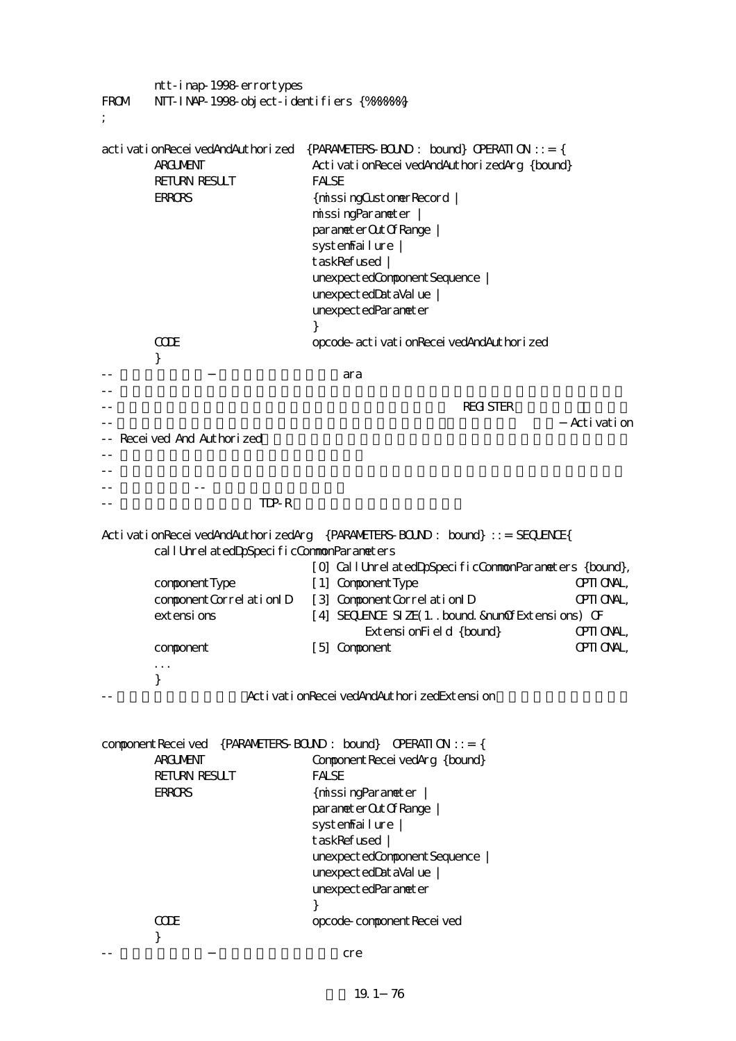ntt-inap-1998-errortypes FROM NTT-INAP-1998-object-identifiers {%%%%%} ; activationReceivedAndAuthorized {PARAMETERS-BOUND : bound} OPERATION ::= { ARGUMENT ActivationReceivedAndAuthorizedArg {bound} RETURN RESULT FALSE ERRORS {missingCustomerRecord | missingParameter | parameterOutOfRange | systemFailure | taskRefused | unexpect edComponent Sequence | unexpectedDataValue | unexpectedParameter } CODE opcode-activationReceivedAndAuthorized } -- ara  $\overline{a}$ -- このオペレーションはエンドユーザからエンドユーザとネットワーク間にアソシエーション -- REGISTER  $\overline{R}$ Activation -- Received And Authorized -- ットワークの間でオペレーションを起動する -- 要求を含むことが可能であるため、このオペレーションはオプションとしてSCFへのオペ -- レーションの-- コンポーネントを示す。  $\text{TP-R}$ ActivationReceivedAndAuthorizedArg {PARAMETERS-BOUND : bound} ::= SEQUENCE{ callUnrelatedDpSpecificCommonParameters [0] Call Unrel at edDpSpecificCommonParameters {bound}, component Type [1] Component Type **OPTIONAL**, component CorrelationID [3] Component CorrelationID OPTIONAL, extensions [4] SEQUENCE SIZE(1..bound.&nunOfExtensions) OF ExtensionField {bound} OPTIONAL, component [5] Component **OPTIONAL**, ... } -- ActivationReceivedAndAuthorizedExtension component Received {PARAMETERS-BOUND : bound} OPERATION ::= { ARGUMENT Component ReceivedArg {bound} RETURN RESULT FALSE ERRORS {missingParameter | parameterOutOfRange | systemFailure | taskRefused | unexpect edComponent Sequence | unexpectedDataValue | unexpectedParameter } CODE opcode-componentReceived } -- customers and the customers of the customers of the customers of the customers of the customers of the customers of the customers of the customers of the customers of the customers of the customers of the customers of t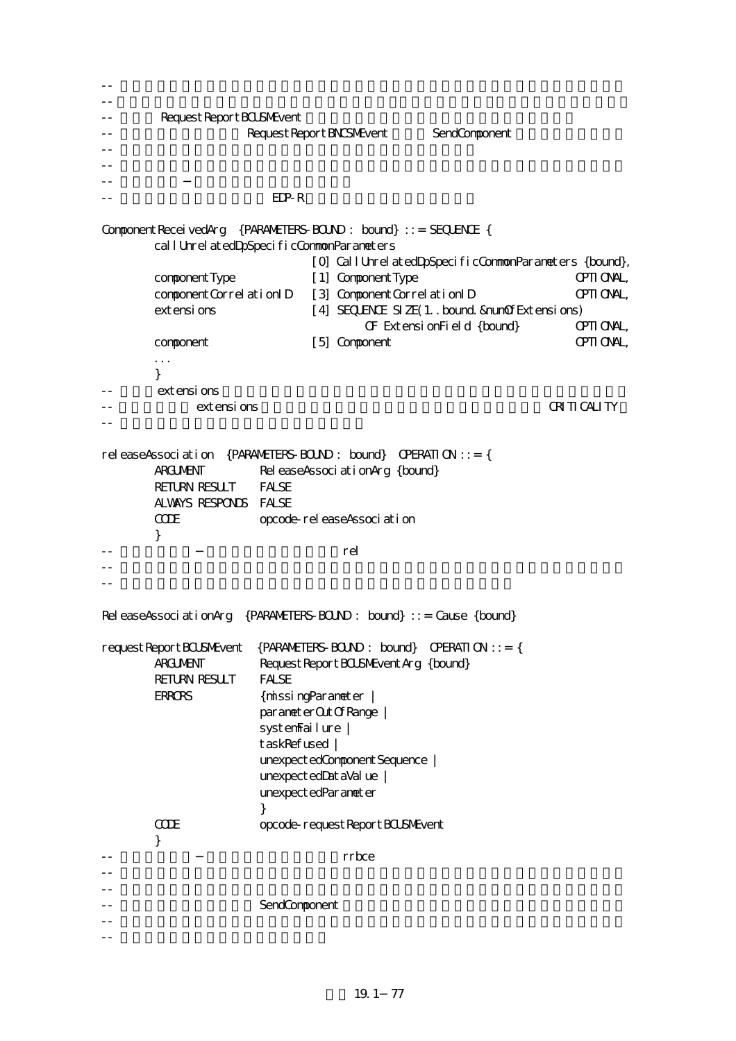-- /エラー応答/拒否の受信を示すのに用いられる。このイベントは、すべての場合に対して、 -- Request Report BCUSMEvent -- Request Report BNCSMEvent SendComponent -- もにユーザに配送された起動/結果と関連づけされるであろう。 -- ベアラに関連しては、それに対しては、それに対しては、それに対しては、それに対しては、それに対しては、 -- れはSCF-SSFの場合と同様である。  $EDP-R$ Component ReceivedArg {PARAMETERS-BOUND : bound} ::= SEQUENCE { callUnrelatedDpSpecificCommonParameters [0] Call Unrel at edDpSpecificCommonParameters {bound}, component Type [1] Component Type **OPTIONAL**, component CorrelationID [3] Component CorrelationID OPTIONAL, extensions [4] SEQUENCE SIZE(1..bound.&numOfExtensions) OF ExtensionField {bound} OPTIONAL, component [5] Component OPTIONAL, ... } -- extensions -- extensions extensions  $\alpha$ -- 対応した処理がサポートされる必要がある。 releaseAssociation {PARAMETERS-BOUND : bound} OPERATION ::= { ARGUMENT ReleaseAssociationArg {bound} RETURN RESULT FALSE ALWAYS RESPONDS FALSE CODE opcode-releaseAssociation } -- Trel -- 本オペレーションはCUSFに、BCUSMがDPで中断している時にユーザとネットワー -- ク間の既存のアソシエーションを解放することを示すのに用いられる。 ReleaseAssociationArg {PARAMETERS-BOUND : bound} ::= Cause {bound} request Report BCUSNEvent { PARAMETERS-BOUND : bound} OPERATION ::= { ARGUMENT Request Report BCUSMEvent Arg {bound} RETURN RESULT FALSE ERRORS {missingParameter |  $paraneterQutGRange$  | systemFailure | taskRefused | unexpect edComponent Sequence | unexpectedDataValue | unexpectedParameter } CODE opcode-request Report BCUSMEvent } -- Tribce -- 本オペレーションはCUSFに対して、オペレーションの起動もしくは結果応答/拒否をエ -- ンドユーザから受信したことをSCFへ報告することを要求するために用いられる。要求す -- SendConponent -- る応答としてのエンドユーザからの結果でも、エラー応答/拒否あるいはエンドユーザから -- の独立な起動/エラー応答でもよい。

-- このオペレーションはユーザからネットワークへのオペレーションの起動もしくは結果応答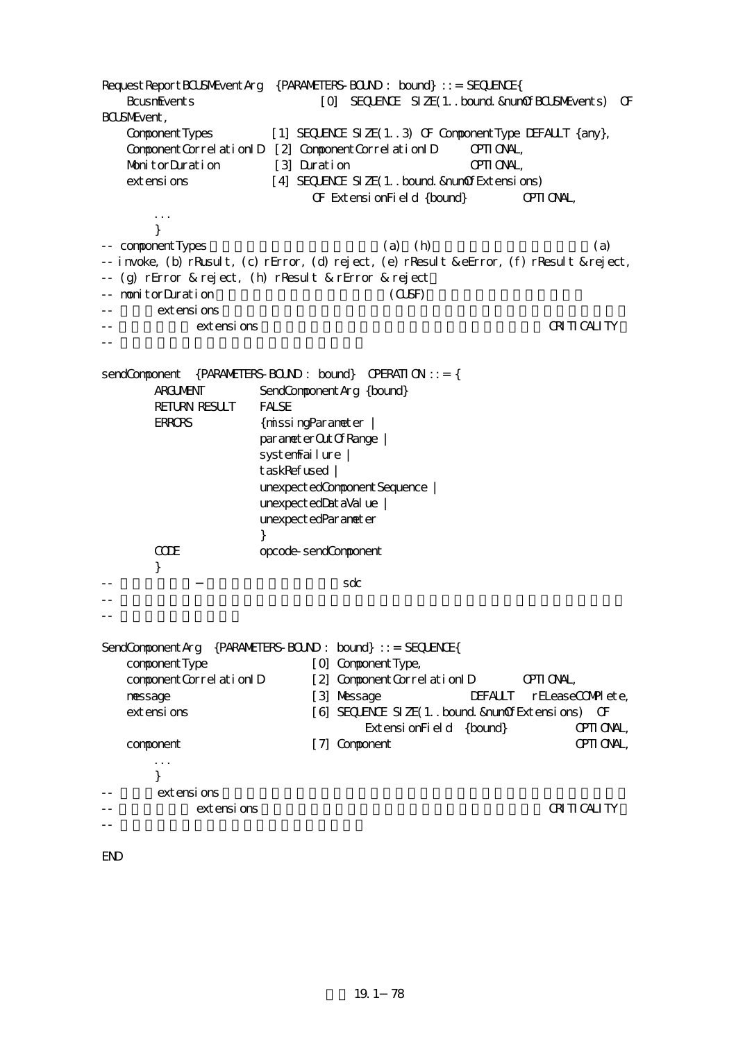$Request Report BUSMEventArg {PARAMEIERS-BAND : bound} :: = SEQENCE$ BcusmEvents [0] SEQUENCE SIZE(1..bound.&nunOfBCUSMEvents) OF BCL SMEvent, Component Types  $[1]$  SEQUENCE SIZE(1..3) OF Component Type DEFAULT {any}, Component Correl at i on ID [2] Component Correl at i on ID OPTIONAL, MonitorDuration [3] Duration OPTIONAL, extensions [4] SEQUENCE SIZE(1..bound.&numOfExtensions) OF ExtensionField {bound} OPTIONAL, ... } -- component Types (a) (h) (a) (fi) -- invoke, (b) rRusult, (c) rError, (d) reject, (e) rResult & eError, (f) rResult & reject, -- (g) rError & reject, (h) rResult & rError & reject。  $-$  monitorDuration  $(0.8F)$ -- extensions and the state  $\frac{1}{\sqrt{2\pi}}$ extensions  $\alpha$ -- 対応した処理がサポートされる必要がある。 sendComponent {PARAMETERS-BOUND : bound} OPERATION ::= { ARGUMENT SendComponent Arg {bound} RETURN RESULT FALSE ERRORS {missingParameter | parameterOutOfRange | systemFailure | taskRefused | unexpect edComponent Sequence | unexpectedDataValue | unexpectedParameter } CODE opcode-sendComponent } --  $Sdc$ -- 本オペレーションはBCUSMがDP中断中であるときにユーザにコンポーネントを送信す -- るために用いられる。 SendComponent Arg {PARAMETERS-BOUND : bound} ::= SEQUENCE{ component Type [0] Component Type, component Correl at i on ID [2] Component Correl at i on ID OPTIONAL, message [3] Message DEFAULT rELeaseCOMPlete, extensions [6] SEQUENCE SIZE(1..bound.&numOfExtensions) OF ExtensionField {bound} OPTIONAL, component [7] Component OPTIONAL, ... } -- extensions -- extensions  $\alpha$ -- 対応した処理がサポートされる必要がある。

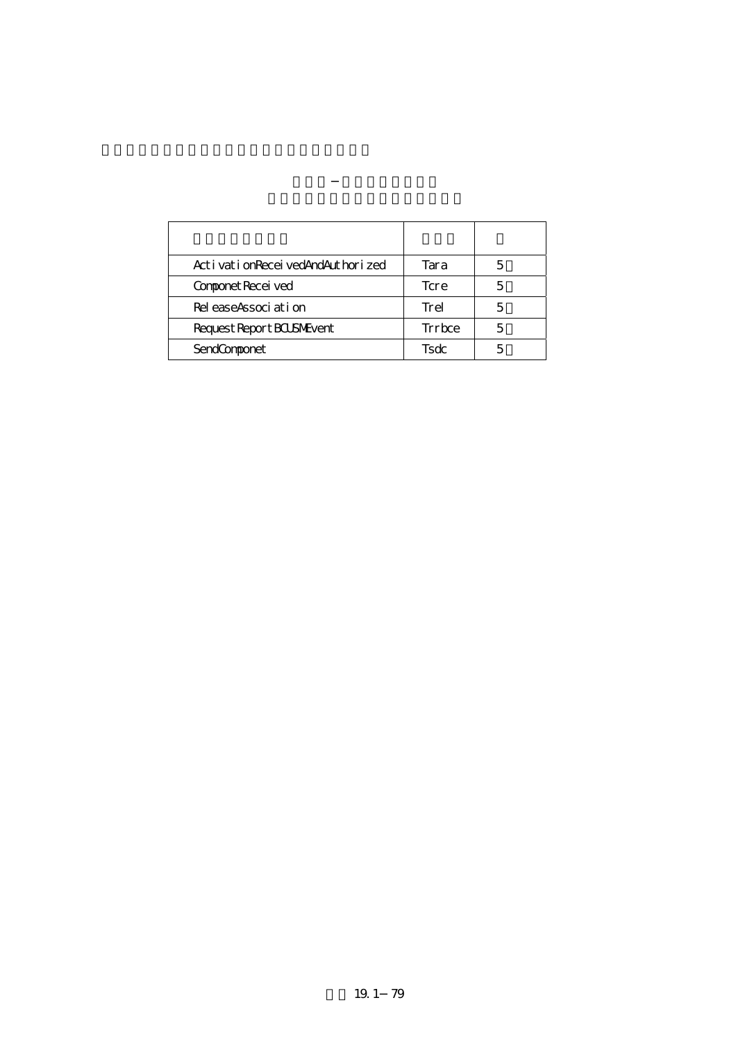| Act i vat i onRecei vedAndAut hor i zed | Tara   | 5  |  |
|-----------------------------------------|--------|----|--|
| Componet Recei ved                      | Tcre   | 5  |  |
| Rel easeAssoci at i on                  | Trel   | 5  |  |
| Request Report BOUSMEvent               | Trrbce | .5 |  |
| SendComponet                            | Tsdc   | 5  |  |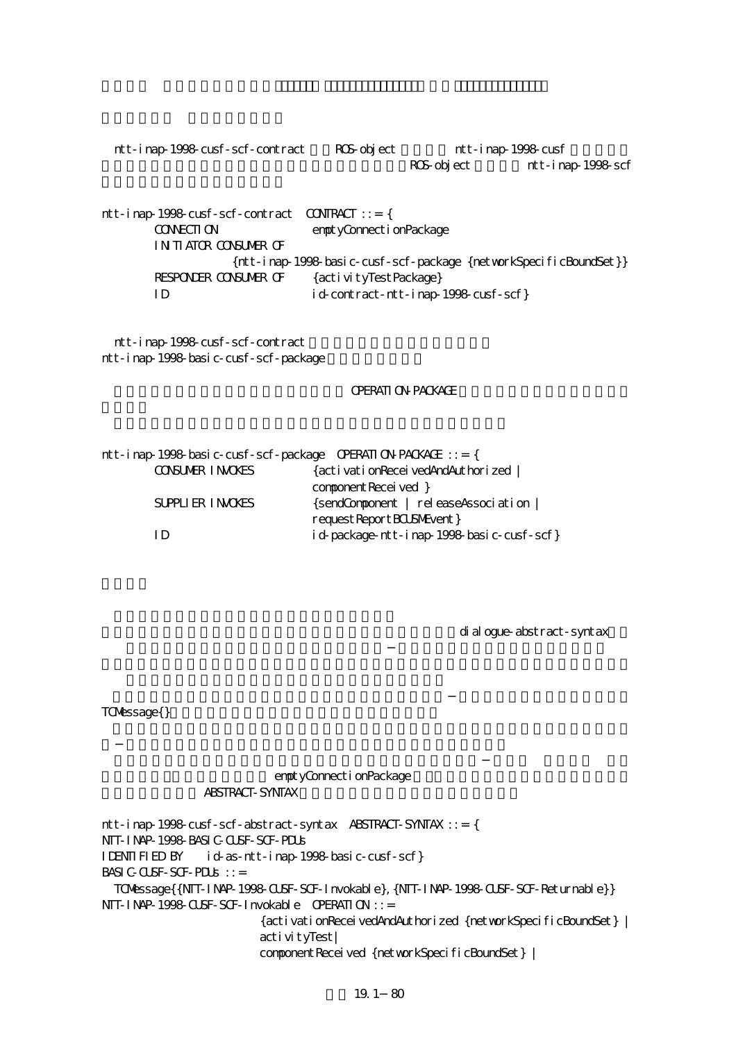ntt-inap-1998-cusf-scf-contract ROS-object ntt-inap-1998-cusf ROS-object ntt-inap-1998-scf

ntt-inap-1998-cusf-scf-contract CONTRACT ::= { CONNECTION emptyConnectionPackage INITIATOR CONSUMER OF {ntt-inap-1998-basic-cusf-scf-package {networkSpecificBoundSet}} RESPONDER CONSUMER OF {activityTestPackage} ID id-contract-ntt-inap-1998-cusf-scf}

ntt-inap-1998-cusf-scf-contract ntt-inap-1998-basic-cusf-scf-package

## **OPERATION-PACKAGE**

| ntt-inap-1998-basic-cusf-scf-package OPERAIION-PACKAGE ::= { |                                           |
|--------------------------------------------------------------|-------------------------------------------|
| <b>CONSUMER INVOKES</b>                                      | { act i vat i onRecei vedAndAut hor i zed |
|                                                              | component Received }                      |
| SUPPLIER INVOKES                                             | {sendComponent   releaseAssociation       |
|                                                              | request Report BOUSMEvent }               |
|                                                              | id-package-ntt-inap-1998 basic-cusf-scf}  |

di al ogue-abstract-syntax

TCMessage{}

## enptyConnectionPackage ABSTRACT-SYNTAX

ntt-inap-1998-cusf-scf-abstract-syntax ABSTRACT-SYNTAX ::= { NTT-INAP-1998-BASIC-CUSF-SCF-PDUs IDENTIFIED BY id-as-ntt-inap-1998-basic-cusf-scf} BASIC-CUSF-SCF-PDUs  $::=$  TCMessage{{NTT-INAP-1998-CUSF-SCF-Invokable},{NTT-INAP-1998-CUSF-SCF-Returnable}} NTT-INAP-1998-CUSF-SCF-Invokable OPERATION ::= {activationReceivedAndAuthorized {networkSpecificBoundSet} | activityTest| component Received {networkSpecificBoundSet} |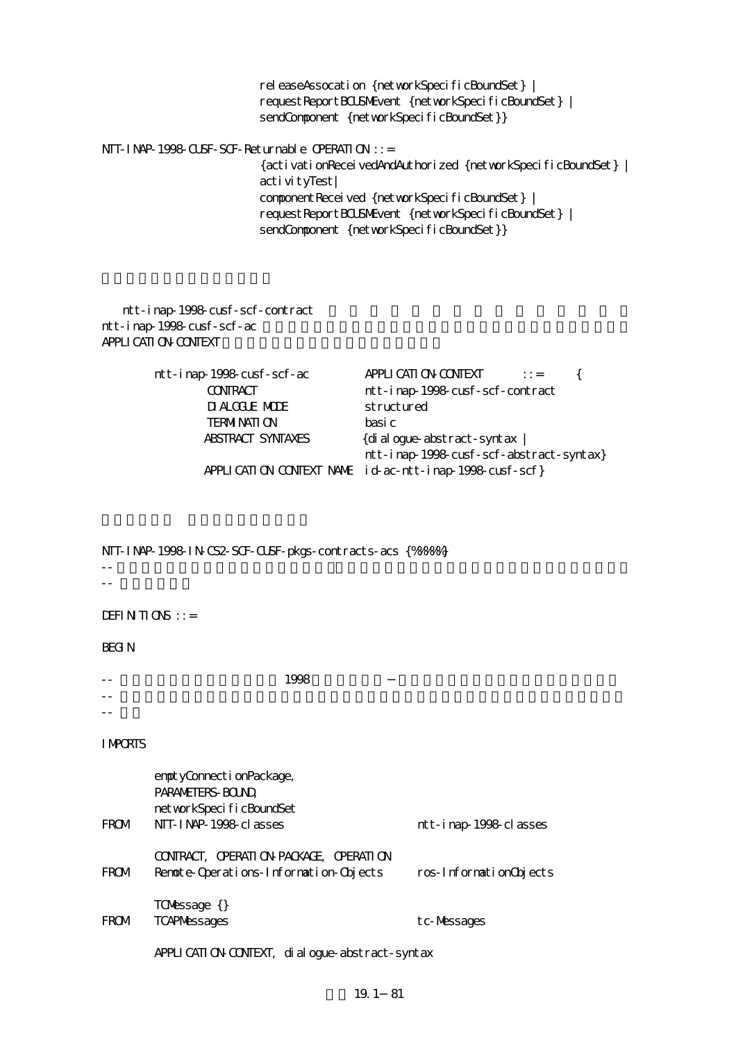releaseAssocation {networkSpecificBoundSet} | request Report BCUSMEvent { net workSpecificBoundSet} | sendComponent { net workSpecificBoundSet}}

NTT-INAP-1998-CUSF-SCF-Returnable OPERATION ::= {activationReceivedAndAuthorized {networkSpecificBoundSet} | activityTest| component Received {networkSpecificBoundSet} | request Report BCUSMEvent { net workSpecificBoundSet } | sendComponent {networkSpecificBoundSet}}

ntt-inap-1998-cusf-scf-contract ntt-inap-1998-cusf-scf-ac APPLICATION-CONTEXT

| nt t-i nap-1998 cusf-scf-ac | APPLI CATI ON CONTEXT<br>$\pm$ $\pm$                   |
|-----------------------------|--------------------------------------------------------|
| <b>CONTRACT</b>             | ntt-inap-1998-cusf-scf-contract                        |
| DI ALCOLE MODE              | structured                                             |
| <b>TERMINATION</b>          | basi c                                                 |
| <b>ABSTRACT SYNTAXES</b>    | $\{di$ al ogue-abstract-syntax $\ $                    |
|                             | ntt-inap-1998-cusf-scf-abstract-syntax}                |
|                             | APPLICATION CONTEXT NAME id-ac-ntt-inap-1998-cusf-scf} |

NTT-INAP-1998-IN-CS2-SCF-CUSF-pkgs-contracts-acs {%%%%} -- 本定義に対するオブジェクト識別子は、物理エンティティ間で交換されるものではないため、

-- 付与しない。

DEFINTIONS ::=

BEGIN

-- このモジュールは、NTTの 1998 世代のSCF-CUSFインタフェース上で使われるオ

-- ペレーションパッケージ、コントラクトアプリケーションコンテキストを記述するものであ  $\mathbb{L}^{\mathbb{Z}}$ 

IMPORTS

| <b>FROM</b> | enpt yConnect i onPackage,<br>PARAMETERS-BOUND<br>net vor kSpeci f i cBoundSet<br>NIT-I NAP-1998 classes | ntt-inap-1998-classes  |
|-------------|----------------------------------------------------------------------------------------------------------|------------------------|
| <b>FROM</b> | CONTRACT, OPERATION PACKAGE, OPERATION<br>Renote-Operations-Information-Objects                          | ros-InformationObjects |
| <b>FROM</b> | TCMessage {}<br><b>TCAPMessages</b>                                                                      | t c-Messages           |
|             | APPLICATION CONTEXT, di al ogue-abstract-syntax                                                          |                        |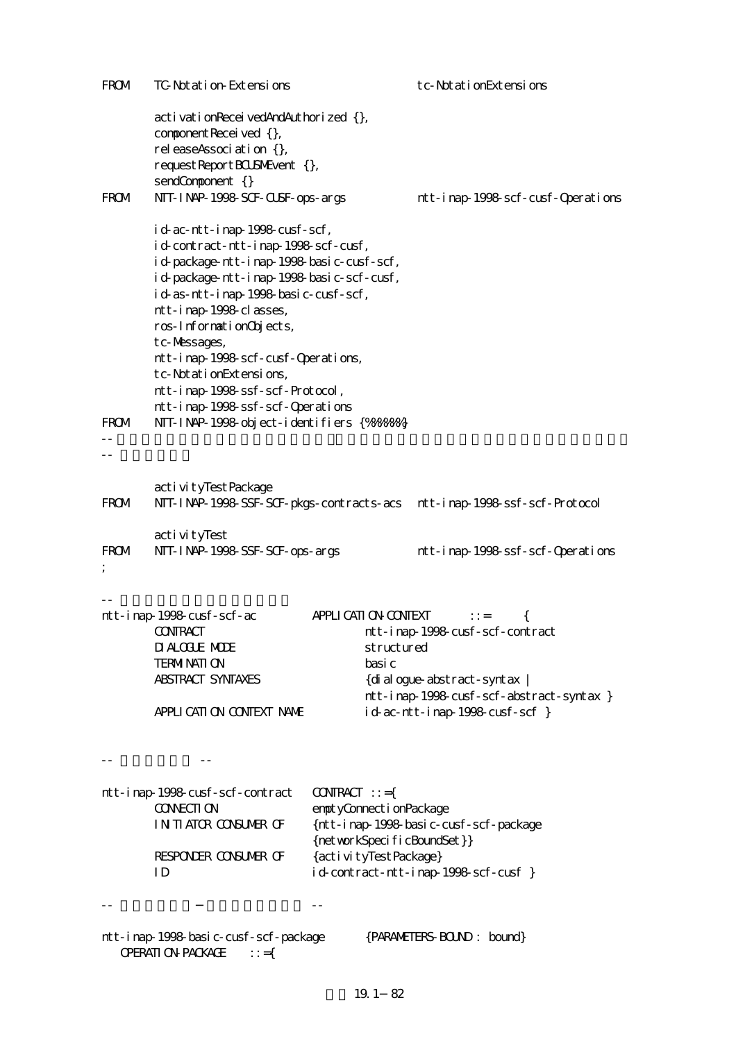| <b>FROM</b> | TC Not at i on Ext ensi ons                                                                                                                                                                                                                                                                                                                                                                                                                                    |                                                                                                           |                      | t c-Not at i on Ext ensi ons                                                                                                                                 |  |
|-------------|----------------------------------------------------------------------------------------------------------------------------------------------------------------------------------------------------------------------------------------------------------------------------------------------------------------------------------------------------------------------------------------------------------------------------------------------------------------|-----------------------------------------------------------------------------------------------------------|----------------------|--------------------------------------------------------------------------------------------------------------------------------------------------------------|--|
|             | act i vat i onRecei vedAndAuthori zed {},<br>component Received {},<br>rel easeAssociation {},<br>request Report BOUSNEvent {},<br>sendComponent {}                                                                                                                                                                                                                                                                                                            |                                                                                                           |                      |                                                                                                                                                              |  |
| <b>FROM</b> | NIT-INP-1998-SCF-CLSF-ops-args<br>id-ac-ntt-inap-1998-cusf-scf,<br>id-contract-ntt-inap-1998-scf-cusf,<br>i d-package-ntt-i nap-1998-basi c-cusf-scf,<br>i d-package-ntt-inap-1998-basi c-scf-cusf,<br>id-as-ntt-inap-1998-basic-cusf-scf,<br>nt t-i nap-1998-classes,<br>ros-InformationObjects,<br>t c-Messages,<br>ntt-inap-1998-scf-cusf-Qperations,<br>t c-Not at i on Extensions,<br>ntt-inap-1998-ssf-scf-Protocol,<br>ntt-inap-1998-ssf-scf-Operations |                                                                                                           |                      | ntt-inap-1998-scf-cusf-Qperations                                                                                                                            |  |
| <b>FROM</b> | NIT-INP-1998-object-identifiers {%%%%}                                                                                                                                                                                                                                                                                                                                                                                                                         |                                                                                                           |                      |                                                                                                                                                              |  |
|             |                                                                                                                                                                                                                                                                                                                                                                                                                                                                |                                                                                                           |                      |                                                                                                                                                              |  |
| <b>FROM</b> | act i vityTest Package<br>NTT-INP-1998-SSF-SCF-pkgs-contracts-acs                                                                                                                                                                                                                                                                                                                                                                                              |                                                                                                           |                      | ntt-inap-1998-ssf-scf-Protocol                                                                                                                               |  |
| <b>FROM</b> | activityTest<br>NIT-INP-1998-SSF-SCF-ops-args                                                                                                                                                                                                                                                                                                                                                                                                                  |                                                                                                           |                      | ntt-inap-1998-ssf-scf-Qperations                                                                                                                             |  |
|             | ntt-inap 1998-cusf-scf-ac<br><b>CONTRACT</b><br><b>DI ALCOLE MODE</b><br><b>TERMINATI ON</b><br><b>ABSTRACT SYNTAXES</b><br>APPLI CATI ON CONTEXT NAME                                                                                                                                                                                                                                                                                                         | APPLI CATI ON CONTEXT                                                                                     | structured<br>basi c | $\vdots$ : =<br>ntt-inap-1998-cusf-scf-contract<br>{dialogue-abstract-syntax  <br>ntt-inap-1998-cusf-scf-abstract-syntax }<br>id-ac-ntt-inap-1998-cusf-scf } |  |
|             |                                                                                                                                                                                                                                                                                                                                                                                                                                                                |                                                                                                           |                      |                                                                                                                                                              |  |
|             | ntt-inap-1998-cusf-scf-contract<br><b>CONECTI ON</b><br>IN TIATOR CONSUMER OF<br>RESPONER CONSUMER OF<br>ID                                                                                                                                                                                                                                                                                                                                                    | CONTRACT ::= {<br>enpt yConnect i onPackage<br>{ net workSpeci f i cBoundSet } }<br>{activityTestPackage} |                      | {ntt-inap-1998-basic-cusf-scf-package<br>id-contract-ntt-inap-1998-scf-cusf }                                                                                |  |
|             |                                                                                                                                                                                                                                                                                                                                                                                                                                                                |                                                                                                           |                      |                                                                                                                                                              |  |
|             | ntt-inap-1998-basic-cusf-scf-package<br><b>OPERATI ON PACKAGE</b><br>$\therefore$ ={                                                                                                                                                                                                                                                                                                                                                                           |                                                                                                           |                      | {PARAMETERS-BOLND: bound}                                                                                                                                    |  |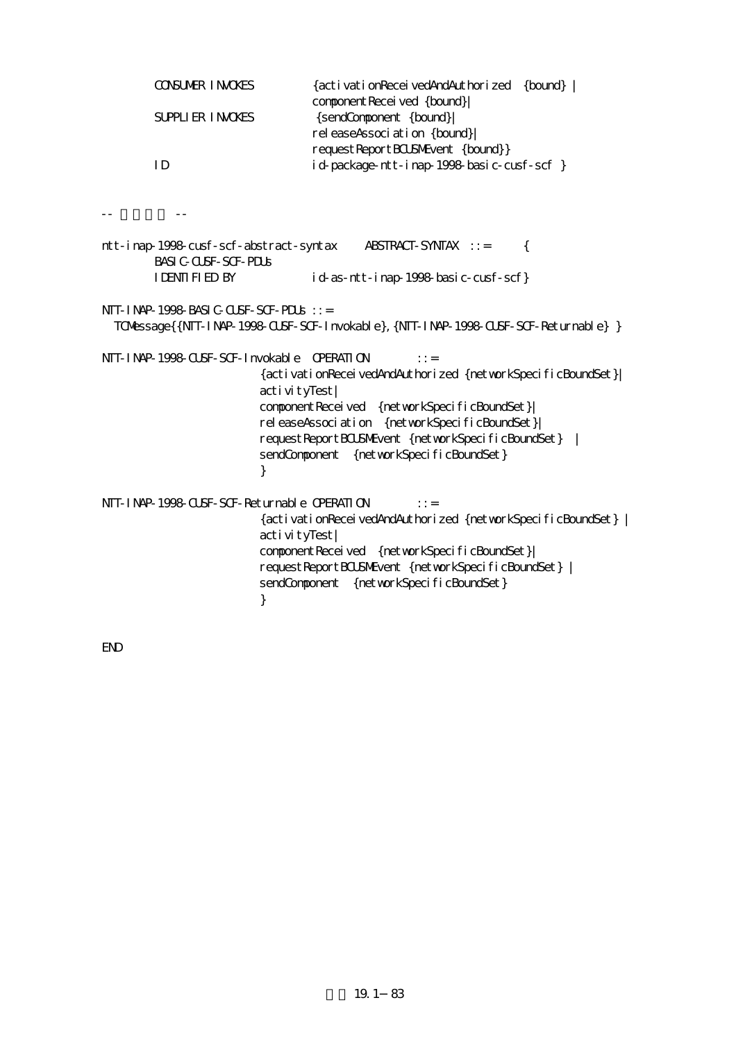| CONSUMER INVOKES                                               | { act i vat i onRecei vedAndAut hor i zed { bound}<br>component Received {bound}                            |
|----------------------------------------------------------------|-------------------------------------------------------------------------------------------------------------|
| SUPPLIER INVOKES                                               | {sendComponent {bound}                                                                                      |
|                                                                | rel easeAssociation {bound}                                                                                 |
|                                                                | request Report BOUSMEvent {bound}}                                                                          |
| ID                                                             | i d-package-ntt-inap-1998-basi c-cusf-scf }                                                                 |
|                                                                |                                                                                                             |
| ntt-inap-1998-cusf-scf-abstract-syntax<br>BASI C-CLSF-SCF-PDLS | $ABSTRACT-SMTAX :: =$<br>$\left\{ \right.$                                                                  |
| <b>IDENTIFIED BY</b>                                           | id-as-ntt-inap-1998-basic-cusf-scf}                                                                         |
| NIT-INAP-1998-BASIC-CUSF-SCF-PDUs ::=                          | TCM:ssage{{NTI-IN4P-1998-CLSF-SCF-Invokable},{NTI-IN4P-1998-CLSF-SCF-Returnable}}                           |
| NIT-INAP-1998-CLSF-SCF-Invokable CPERATION<br>activityTest     | $\vdots$ : $=$<br>{ act i vat i onRecei vedAndAut hor i zed { net vor kSpeci f i cBoundSet }                |
|                                                                | component Received { net workSpecificBoundSet }  <br>rel easeAssociation { net workSpecificBoundSet}        |
|                                                                | request Report BCUSNEvent { net workSpecific BoundSet}                                                      |
|                                                                | sendComponent { net workSpecificBoundSet}                                                                   |
| }                                                              |                                                                                                             |
| NIT-INAP-1998-CUSF-SCF-Returnable CPERAIION                    | $: :=$                                                                                                      |
| activityTest                                                   | { act i vat i onRecei vedAndAut hor i zed { net workSpeci f i cBoundSet}                                    |
|                                                                | component Received { net workSpecificBoundSet }  <br>request Report BCUSNEvent { net workSpecific BoundSet} |
| }                                                              | sendComponent { net workSpecificBoundSet}                                                                   |
|                                                                |                                                                                                             |

END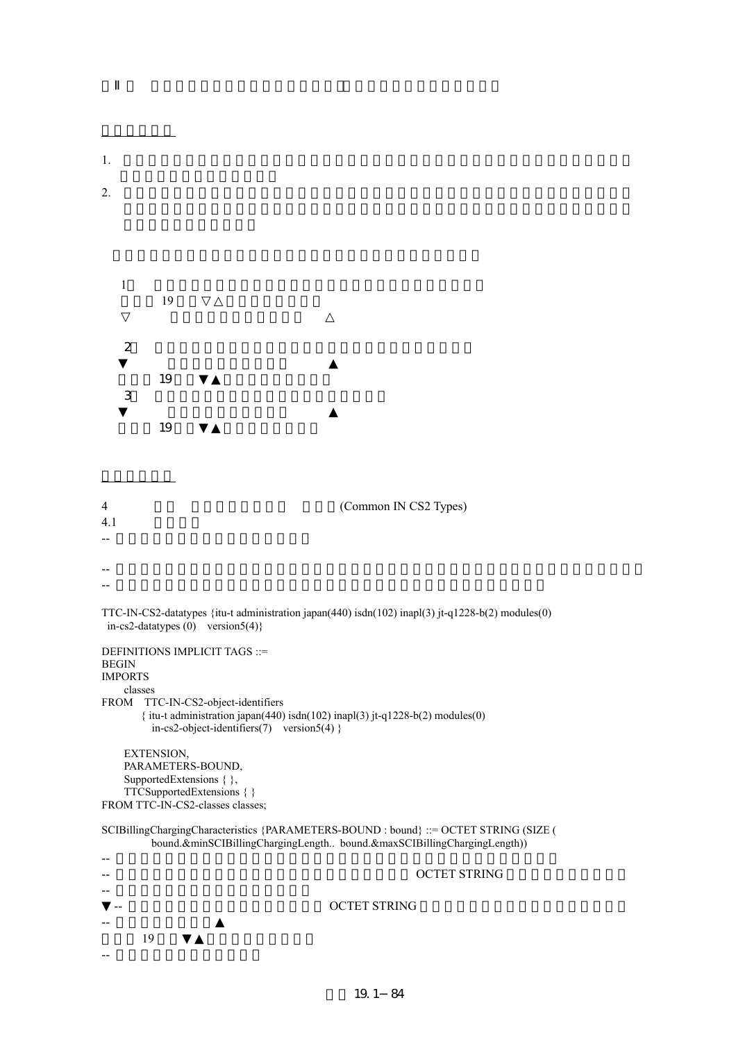| 1.                                        |                                                                                                                                                                                                     |
|-------------------------------------------|-----------------------------------------------------------------------------------------------------------------------------------------------------------------------------------------------------|
| 2.                                        |                                                                                                                                                                                                     |
|                                           |                                                                                                                                                                                                     |
|                                           |                                                                                                                                                                                                     |
| $\mathbf{1}$                              |                                                                                                                                                                                                     |
|                                           | 19                                                                                                                                                                                                  |
|                                           |                                                                                                                                                                                                     |
| $\boldsymbol{z}$                          |                                                                                                                                                                                                     |
| 3                                         | 19                                                                                                                                                                                                  |
|                                           | 19                                                                                                                                                                                                  |
|                                           |                                                                                                                                                                                                     |
|                                           |                                                                                                                                                                                                     |
| $\overline{4}$                            | (Common IN CS2 Types)                                                                                                                                                                               |
| 4.1                                       |                                                                                                                                                                                                     |
|                                           |                                                                                                                                                                                                     |
|                                           |                                                                                                                                                                                                     |
|                                           | TTC-IN-CS2-datatypes {itu-t administration japan(440) isdn(102) inapl(3) jt-q1228-b(2) modules(0)<br>in-cs2-datatypes $(0)$ version5(4)}                                                            |
| <b>BEGIN</b><br><b>IMPORTS</b><br>classes | DEFINITIONS IMPLICIT TAGS ::=<br>FROM TTC-IN-CS2-object-identifiers<br>{ itu-t administration japan(440) isdn(102) inapl(3) jt-q1228-b(2) modules(0)<br>$incs2-object-identifiers(7)$ version5(4) } |
|                                           | EXTENSION,<br>PARAMETERS-BOUND,<br>SupportedExtensions { },<br>TTCSupportedExtensions { }<br>FROM TTC-IN-CS2-classes classes;                                                                       |
|                                           | SCIBillingChargingCharacteristics {PARAMETERS-BOUND : bound} ::= OCTET STRING (SIZE (<br>bound.&minSCIBillingChargingLength bound.&maxSCIBillingChargingLength))                                    |
|                                           | <b>OCTET STRING</b>                                                                                                                                                                                 |
| --                                        | <b>OCTET STRING</b>                                                                                                                                                                                 |
|                                           | 19                                                                                                                                                                                                  |
|                                           |                                                                                                                                                                                                     |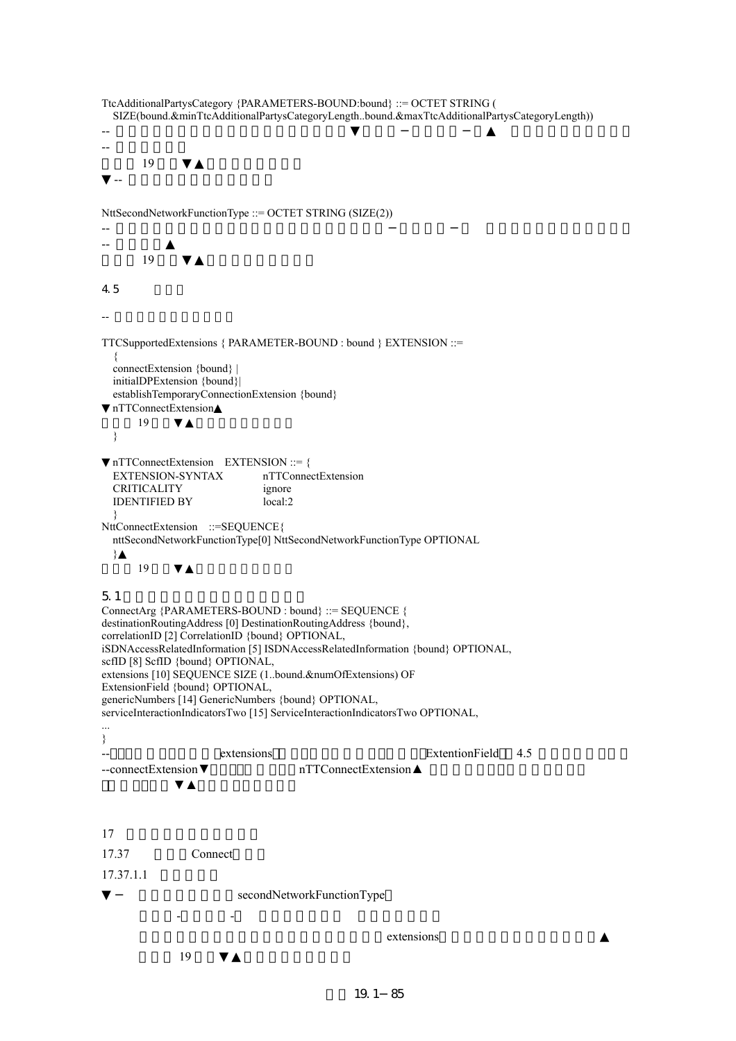```
TtcAdditionalPartysCategory {PARAMETERS-BOUND:bound} ::= OCTET STRING ( 
  SIZE(bound.&minTtcAdditionalPartysCategoryLength..bound.&maxTtcAdditionalPartysCategoryLength)) 
-- 付加ユーザ種別を示す。符号化については▼NTT-Q763-1▲ 付加ユーザ種別パラメ
-- ータを参照。
19-- NTT固有の共通データ型 
NttSecondNetworkFunctionType ::= OCTET STRING (SIZE(2)) 
-- 第2網機能種別を示す。符号化についてはNTT-Q763-1 第2網機能種別パラメータ
-- を参照。▲
194.5 クラス 
-- TTC固有の拡張を示す 
TTCSupportedExtensions { PARAMETER-BOUND : bound } EXTENSION ::= 
  { 
  connectExtension {bound} | 
  initialDPExtension {bound}| 
  establishTemporaryConnectionExtension {bound} 
 nTTConnectExtension
19 } 
 nTTConnectExtension EXTENSION ::= {<br>EXTENSION-SYNTAX nTTConnectExtension
 EXTENSION-SYNTAX
  CRITICALITY ignore 
  IDENTIFIED BY local:2 
 } 
NttConnectExtension ::=SEQUENCE{
  nttSecondNetworkFunctionType[0] NttSecondNetworkFunctionType OPTIONAL 
  }
195.1ConnectArg {PARAMETERS-BOUND : bound} ::= SEQUENCE { 
destinationRoutingAddress [0] DestinationRoutingAddress {bound}, 
correlationID [2] CorrelationID {bound} OPTIONAL, 
iSDNAccessRelatedInformation [5] ISDNAccessRelatedInformation {bound} OPTIONAL, 
scfID [8] ScfID {bound} OPTIONAL, 
extensions [10] SEQUENCE SIZE (1..bound.&numOfExtensions) OF 
ExtensionField {bound} OPTIONAL, 
genericNumbers [14] GenericNumbers {bound} OPTIONAL, 
serviceInteractionIndicatorsTwo [15] ServiceInteractionIndicatorsTwo OPTIONAL,
... 
} 
                extensions ExtentionField 4.5
--connectExtension▼とNTT固有としてnTTConnectExtension▲ を設定することが可能である。
【技別19では▼▲を規定していない】
17 h
17.37 Connect
17.37.1.1
                   secondNetworkFunctionType
   NTT-Q762-1 第2網機能種別 信号情報参照。 
  extensions19
```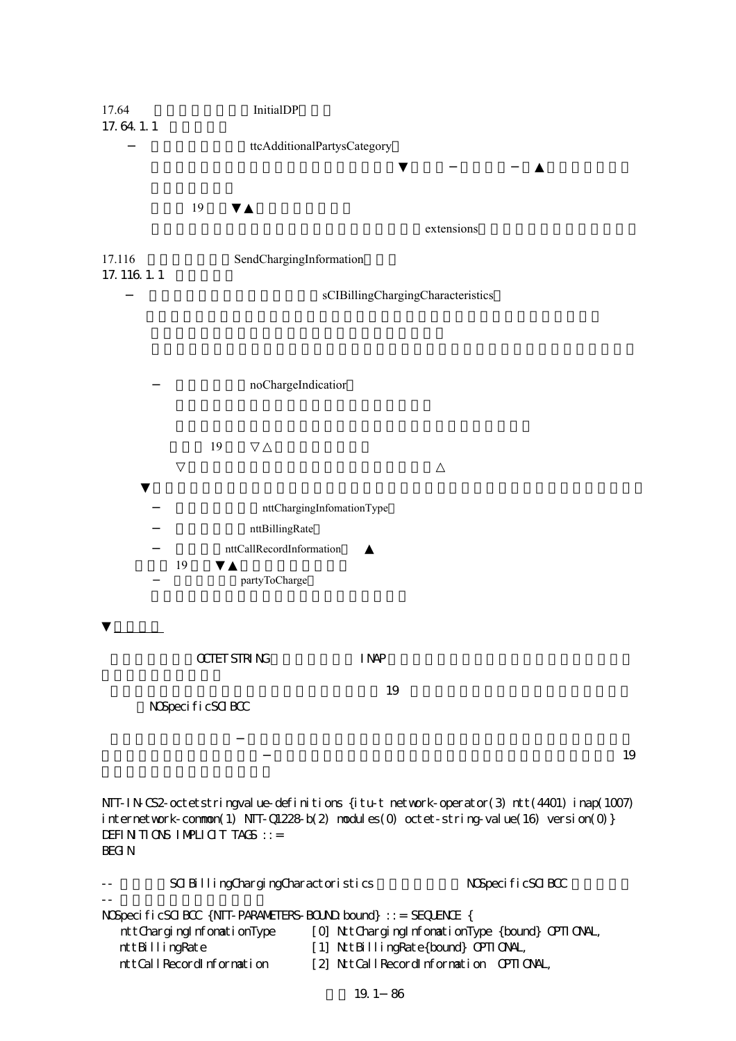| 17.64<br>17.64.1.1   | InitialDP                                                                                                                                                                                                                                                   |
|----------------------|-------------------------------------------------------------------------------------------------------------------------------------------------------------------------------------------------------------------------------------------------------------|
|                      | ttcAdditionalPartysCategory                                                                                                                                                                                                                                 |
| 17.116<br>17.116.1.1 | 19<br>extensions<br>SendChargingInformation<br>sCIBillingChargingCharacteristics                                                                                                                                                                            |
|                      | noChargeIndicatior                                                                                                                                                                                                                                          |
|                      | 19                                                                                                                                                                                                                                                          |
|                      | nttChargingInfomationType<br>nttBillingRate<br>nttCallRecordInformation<br>19<br>partyToCharge                                                                                                                                                              |
|                      | <b>CCIET STRING</b><br><b>INP</b>                                                                                                                                                                                                                           |
|                      | 19<br>NG pecific SCIBCC                                                                                                                                                                                                                                     |
|                      | 19                                                                                                                                                                                                                                                          |
| <b>BEGIN</b>         | NIT-IN CS2- octets tringvalue-definitions {itu-t network-operator(3) ntt(4401) inap(1007)<br>internetwork-common(1) NTT-Q1228-b(2) nodules(0) octet-string-value(16) version(0)}<br>DEFINITIONS IMPLICITIAGS ::=                                            |
|                      | NSpecificSCIBCC<br>SCI BillingChargingCharactoristics                                                                                                                                                                                                       |
| nttBillingRate       | NSpecificSCIBCC {NIT-PARAMETERS-BOUND bound} ::= SEQUENCE {<br>ntt Char gingInfonationType<br>[O] Nt ChargingInfonationType {bound} CPIIONL,<br>[1] NtBillingRate{bound} CPIIONL,<br>ntt Call RecordI nformation<br>[2] Nt Call RecordInformation CPIIONAL, |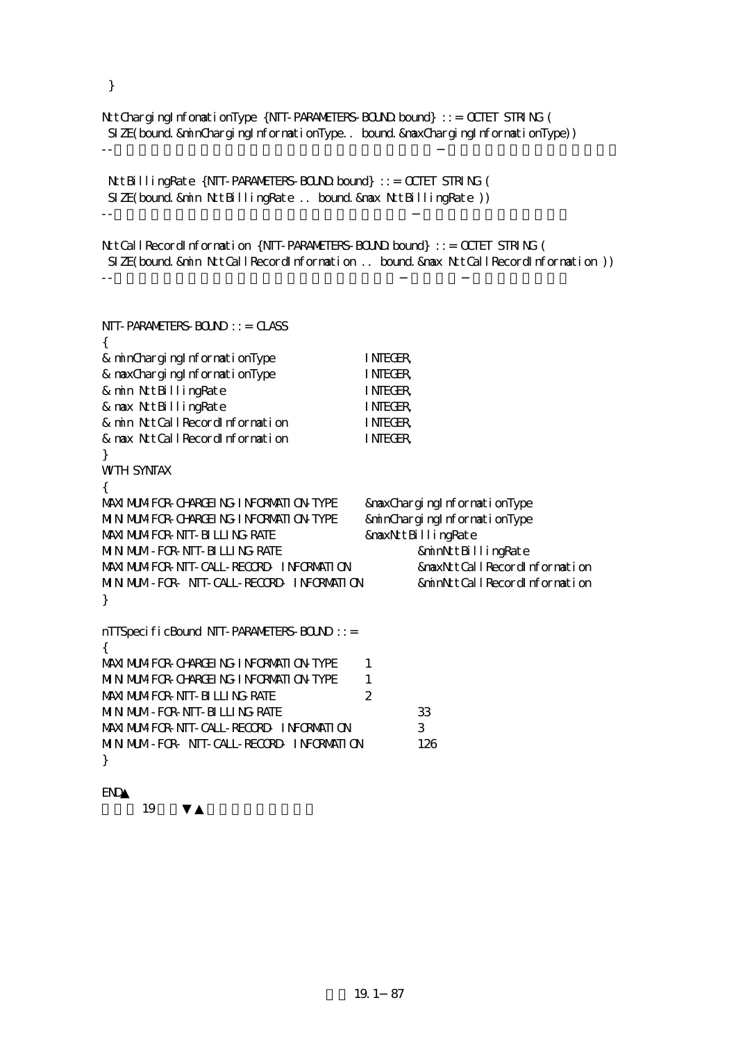NttChargingInfonationType {NTT-PARAMETERS-BOUND bound} ::= OCTET STRING ( SIZE(bound.&minChargingInformationType.. bound.&maxChargingInformationType))  $\pm\pi$  -state  $\sim$  and  $\sim$  and  $\sim$  and  $\sim$  and  $\sim$  and  $\sim$  and  $\sim$  and  $\sim$   $\sim$   $\sim$ NtBillingRate {NTT-PARAMETERS-BOUND bound} ::= OCTET STRING ( SIZE(bound.&min NttBillingRate .. bound.&max NttBillingRate )) --課金情報パラメータを示す。符号化についてはNTT-Q763課金情報を参照。 Ntt Call RecordInformation {NTT-PARAMETERS-BOUND bound} ::= OCTET STRING ( SIZE(bound.&min NttCallRecordInformation .. bound.&max NttCallRecordInformation )) --呼情報パラメータを示す。符号化についてはNTT-Q763-1呼情報を参照。 NTT-PARAMETERS-BOUND :: = CLASS { & minChargingInformationType INTEGER, & maxChargingInformationType INTEGER, & min NttBillingRate INTEGER, & max NttBillingRate INTEGER, & min NttCallRecordInformation INTEGER, & max NttCallRecordInformation INTEGER, } WIH SYNTAX { MAXIMUM-FOR-CHARGEING-INFORMATION-TYPE &maxChargingInformationType MINIMUM-FOR-CHARGEING-INFORMATION-TYPE &minChargingInformationType MAXIMUM-FOR-NIT-BILLING-RATE &maxNttBillingRate MINIM - FOR-NIT-BILLING-RATE 8 aninNtBillingRate MAXIMUM-FOR-NIT-CALL-RECORD-INFORMATION &maxNttCallRecordInformation MINIMUM -FOR- NTT-CALL-RECORD- INFORMATION &minNttCallRecordInformation } nTTSpecificBound NTT-PARAMETERS-BOUND ::= { MAXIMUM-FOR-CHARGEING-INFORMATION-TYPE 1 MINIMING CHARGEING-INFORMATION-TYPE 1 MAXIMUM-FOR-NIT-BILLING-RATE 2 MIN MIM - FOR-NIT-BILLING-RATE 33 MAXIMUM-FOR-NIT-CALL-RECORD-INFORMATION 3 MINIMUM -FOR- NTT-CALL-RECORD- INFORMATION 126 }

END▲

}

19  $19$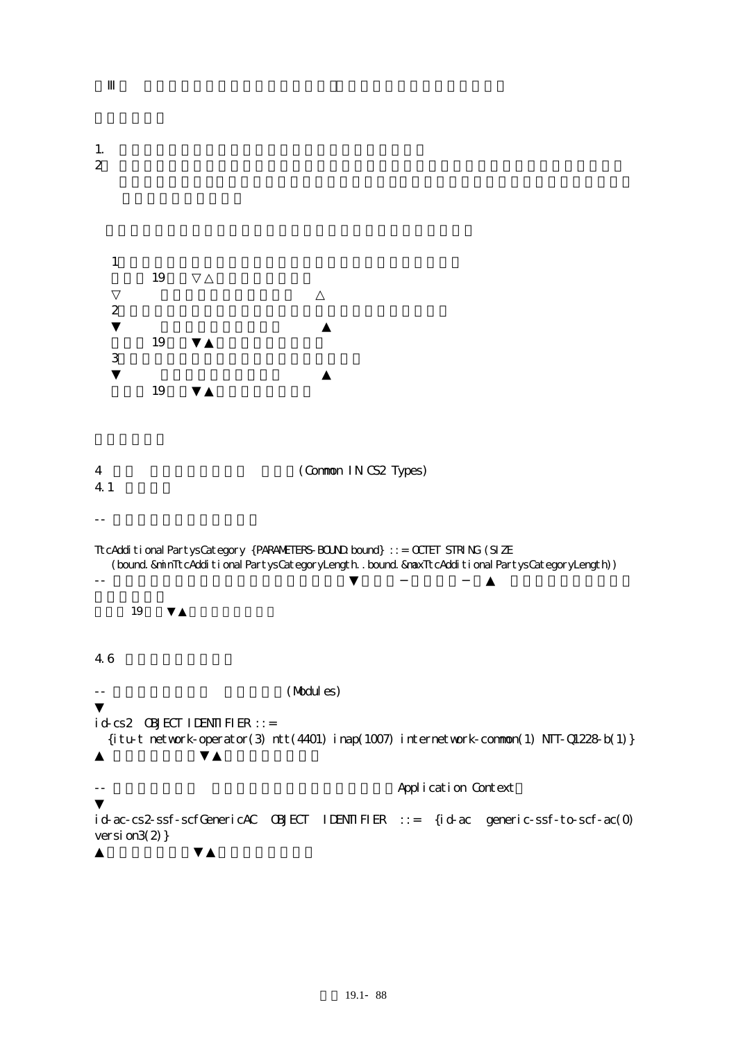$1.$  $2 \text{ }$  $1$ 19  $19$  $2$ 19  $19$  $3$ 19 and  $\overline{19}$ 4 (Common IN CS2 Types) 4.1 -- TTC固有の共通データ型 TtcAdditional PartysCategory { PARAMETERS-BOUND bound} ::= OCTET STRING (SIZE (bound.&minTtcAdditionalPartysCategoryLength..bound.&maxTtcAdditionalPartysCategoryLength)) -- 付加ユーザ種別を示す。符号化については▼NTT-Q763-1▲ 付加ユーザ種別パラメ  $19$ 4.6 -- IN the INternational CN6dules)  $id-cs2$  **CEUECT IDENTIFIER ::=** {itu-t network-operator(3)  $nt(4401)$  inap(1007) internetwork-common(1) NTT-Q1228-b(1)} -- ssential response to the state  $\Delta$ pplication Context id-ac-cs2-ssf-scfGenericAC OBJECT IDENTIFIER ::= {id-ac generic-ssf-to-scf-ac(0) version $3(2)$ }